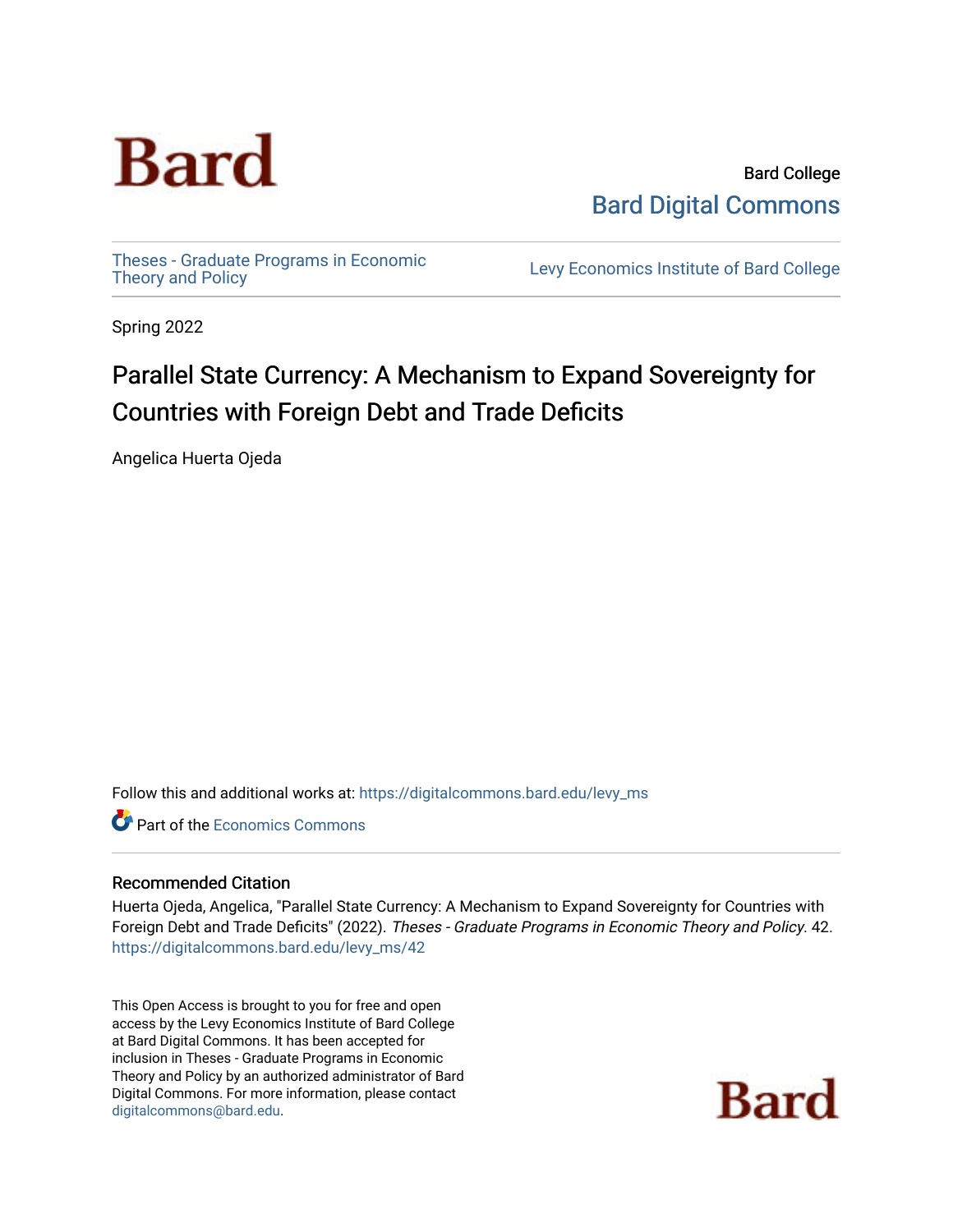

Bard College [Bard Digital Commons](https://digitalcommons.bard.edu/) 

[Theses - Graduate Programs in Economic](https://digitalcommons.bard.edu/levy_ms)

Levy Economics Institute of Bard College

Spring 2022

# Parallel State Currency: A Mechanism to Expand Sovereignty for Countries with Foreign Debt and Trade Deficits

Angelica Huerta Ojeda

Follow this and additional works at: [https://digitalcommons.bard.edu/levy\\_ms](https://digitalcommons.bard.edu/levy_ms?utm_source=digitalcommons.bard.edu%2Flevy_ms%2F42&utm_medium=PDF&utm_campaign=PDFCoverPages) 

**C** Part of the [Economics Commons](https://network.bepress.com/hgg/discipline/340?utm_source=digitalcommons.bard.edu%2Flevy_ms%2F42&utm_medium=PDF&utm_campaign=PDFCoverPages)

# Recommended Citation

Huerta Ojeda, Angelica, "Parallel State Currency: A Mechanism to Expand Sovereignty for Countries with Foreign Debt and Trade Deficits" (2022). Theses - Graduate Programs in Economic Theory and Policy. 42. [https://digitalcommons.bard.edu/levy\\_ms/42](https://digitalcommons.bard.edu/levy_ms/42?utm_source=digitalcommons.bard.edu%2Flevy_ms%2F42&utm_medium=PDF&utm_campaign=PDFCoverPages)

This Open Access is brought to you for free and open access by the Levy Economics Institute of Bard College at Bard Digital Commons. It has been accepted for inclusion in Theses - Graduate Programs in Economic Theory and Policy by an authorized administrator of Bard Digital Commons. For more information, please contact [digitalcommons@bard.edu](mailto:digitalcommons@bard.edu).

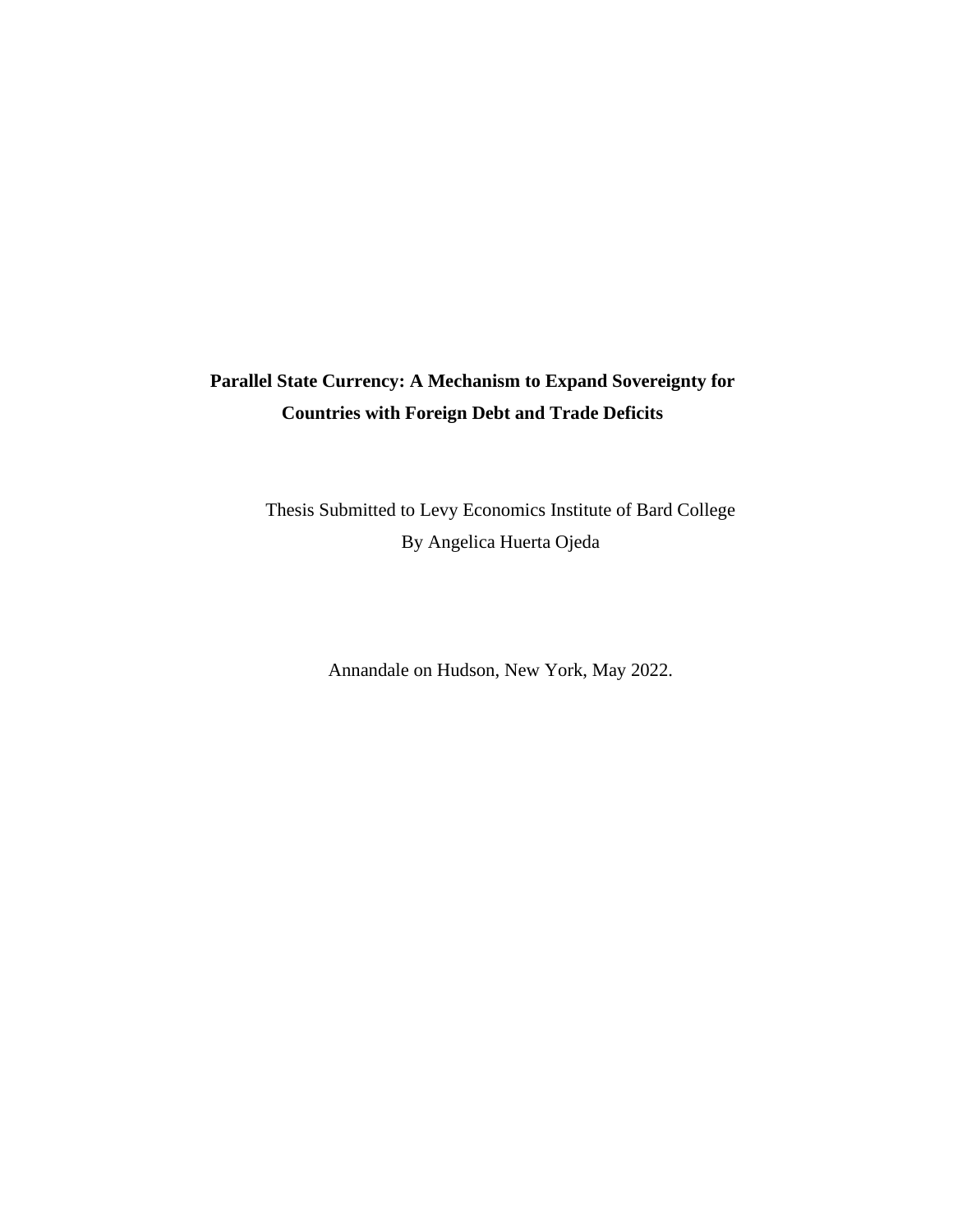# **Parallel State Currency: A Mechanism to Expand Sovereignty for Countries with Foreign Debt and Trade Deficits**

Thesis Submitted to Levy Economics Institute of Bard College By Angelica Huerta Ojeda

Annandale on Hudson, New York, May 2022.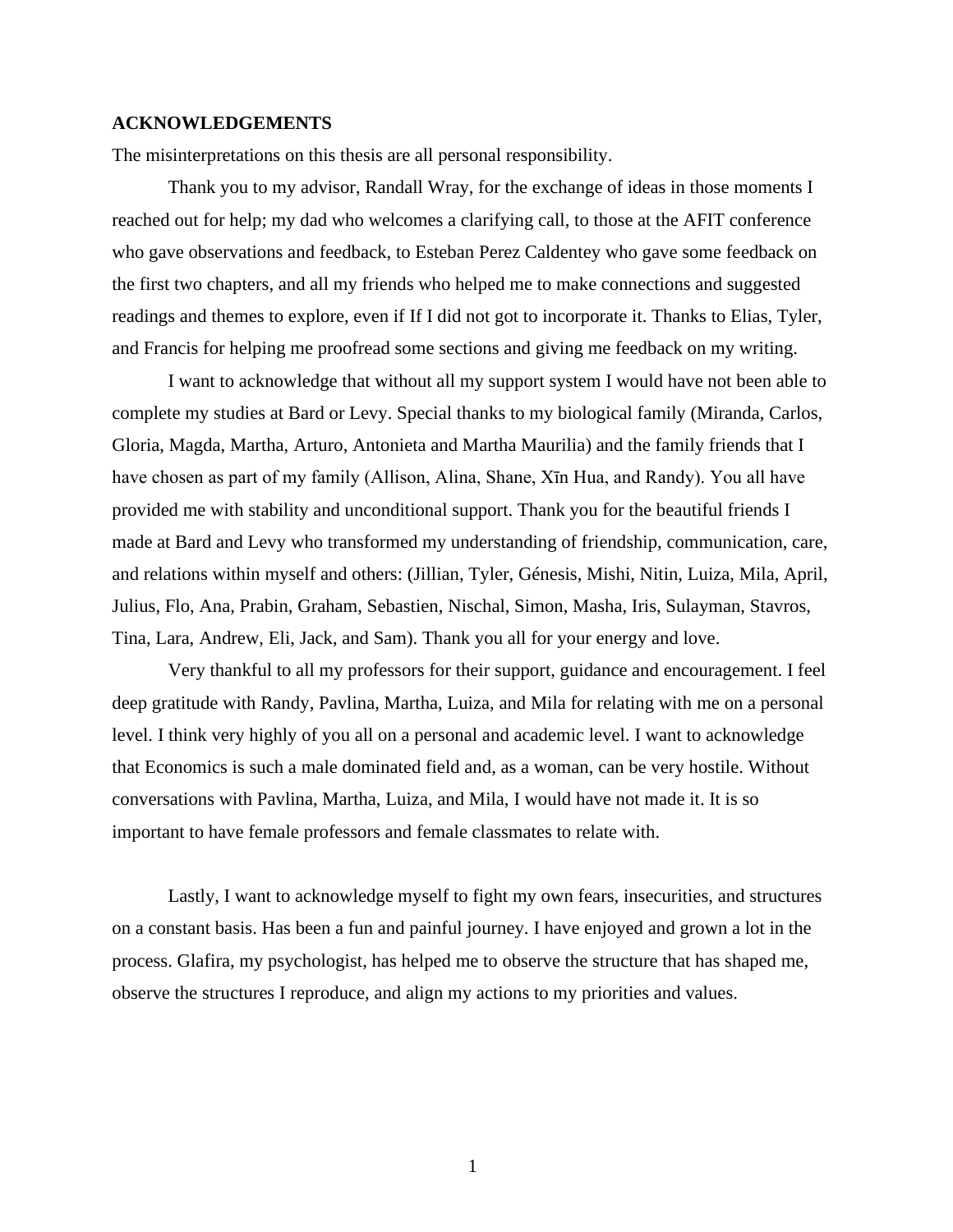#### **ACKNOWLEDGEMENTS**

The misinterpretations on this thesis are all personal responsibility.

Thank you to my advisor, Randall Wray, for the exchange of ideas in those moments I reached out for help; my dad who welcomes a clarifying call, to those at the AFIT conference who gave observations and feedback, to Esteban Perez Caldentey who gave some feedback on the first two chapters, and all my friends who helped me to make connections and suggested readings and themes to explore, even if If I did not got to incorporate it. Thanks to Elias, Tyler, and Francis for helping me proofread some sections and giving me feedback on my writing.

I want to acknowledge that without all my support system I would have not been able to complete my studies at Bard or Levy. Special thanks to my biological family (Miranda, Carlos, Gloria, Magda, Martha, Arturo, Antonieta and Martha Maurilia) and the family friends that I have chosen as part of my family (Allison, Alina, Shane, Xīn Hua, and Randy). You all have provided me with stability and unconditional support. Thank you for the beautiful friends I made at Bard and Levy who transformed my understanding of friendship, communication, care, and relations within myself and others: (Jillian, Tyler, Génesis, Mishi, Nitin, Luiza, Mila, April, Julius, Flo, Ana, Prabin, Graham, Sebastien, Nischal, Simon, Masha, Iris, Sulayman, Stavros, Tina, Lara, Andrew, Eli, Jack, and Sam). Thank you all for your energy and love.

Very thankful to all my professors for their support, guidance and encouragement. I feel deep gratitude with Randy, Pavlina, Martha, Luiza, and Mila for relating with me on a personal level. I think very highly of you all on a personal and academic level. I want to acknowledge that Economics is such a male dominated field and, as a woman, can be very hostile. Without conversations with Pavlina, Martha, Luiza, and Mila, I would have not made it. It is so important to have female professors and female classmates to relate with.

Lastly, I want to acknowledge myself to fight my own fears, insecurities, and structures on a constant basis. Has been a fun and painful journey. I have enjoyed and grown a lot in the process. Glafira, my psychologist, has helped me to observe the structure that has shaped me, observe the structures I reproduce, and align my actions to my priorities and values.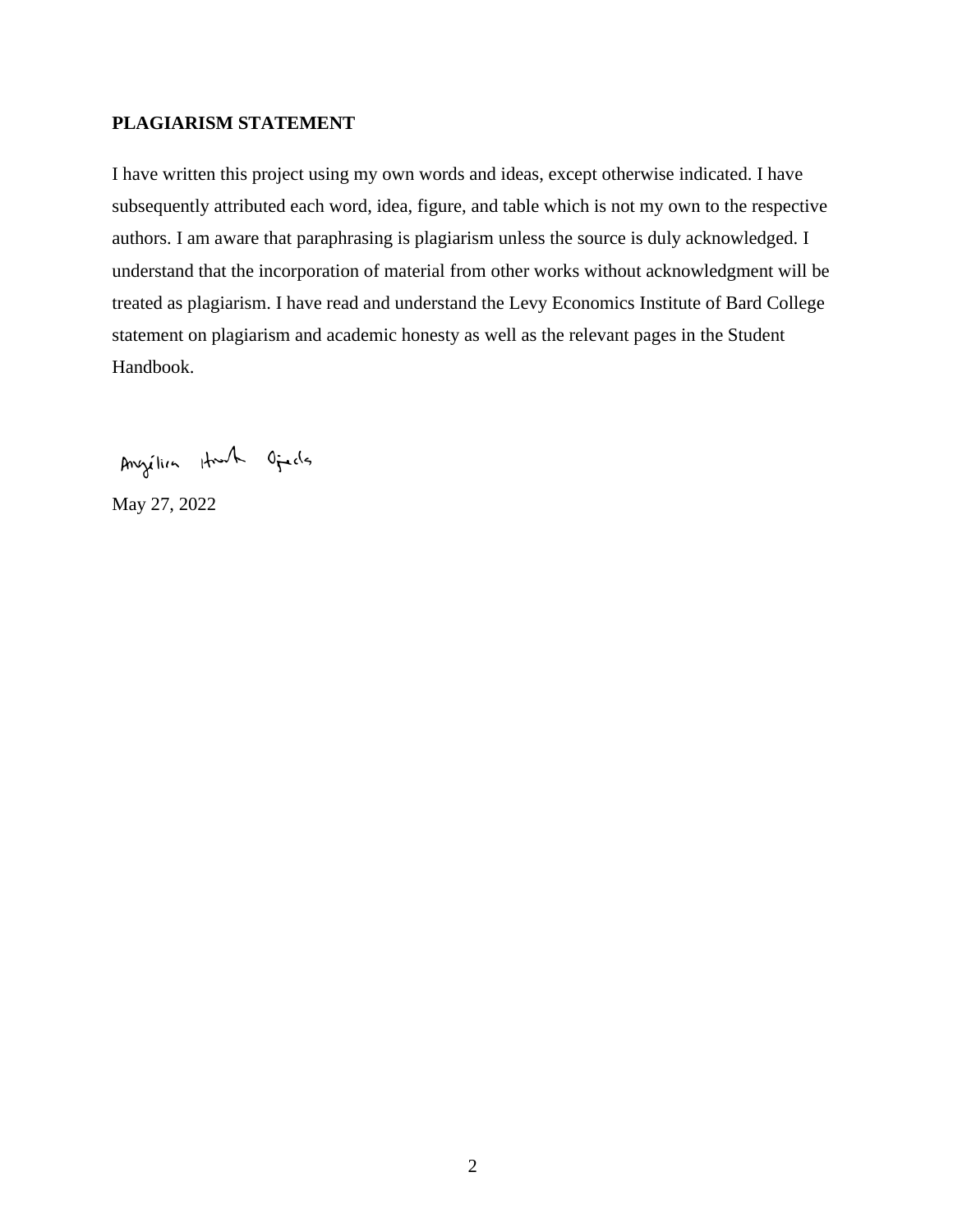# **PLAGIARISM STATEMENT**

I have written this project using my own words and ideas, except otherwise indicated. I have subsequently attributed each word, idea, figure, and table which is not my own to the respective authors. I am aware that paraphrasing is plagiarism unless the source is duly acknowledged. I understand that the incorporation of material from other works without acknowledgment will be treated as plagiarism. I have read and understand the Levy Economics Institute of Bard College statement on plagiarism and academic honesty as well as the relevant pages in the Student Handbook.

Angélia Hunh Oficis

May 27, 2022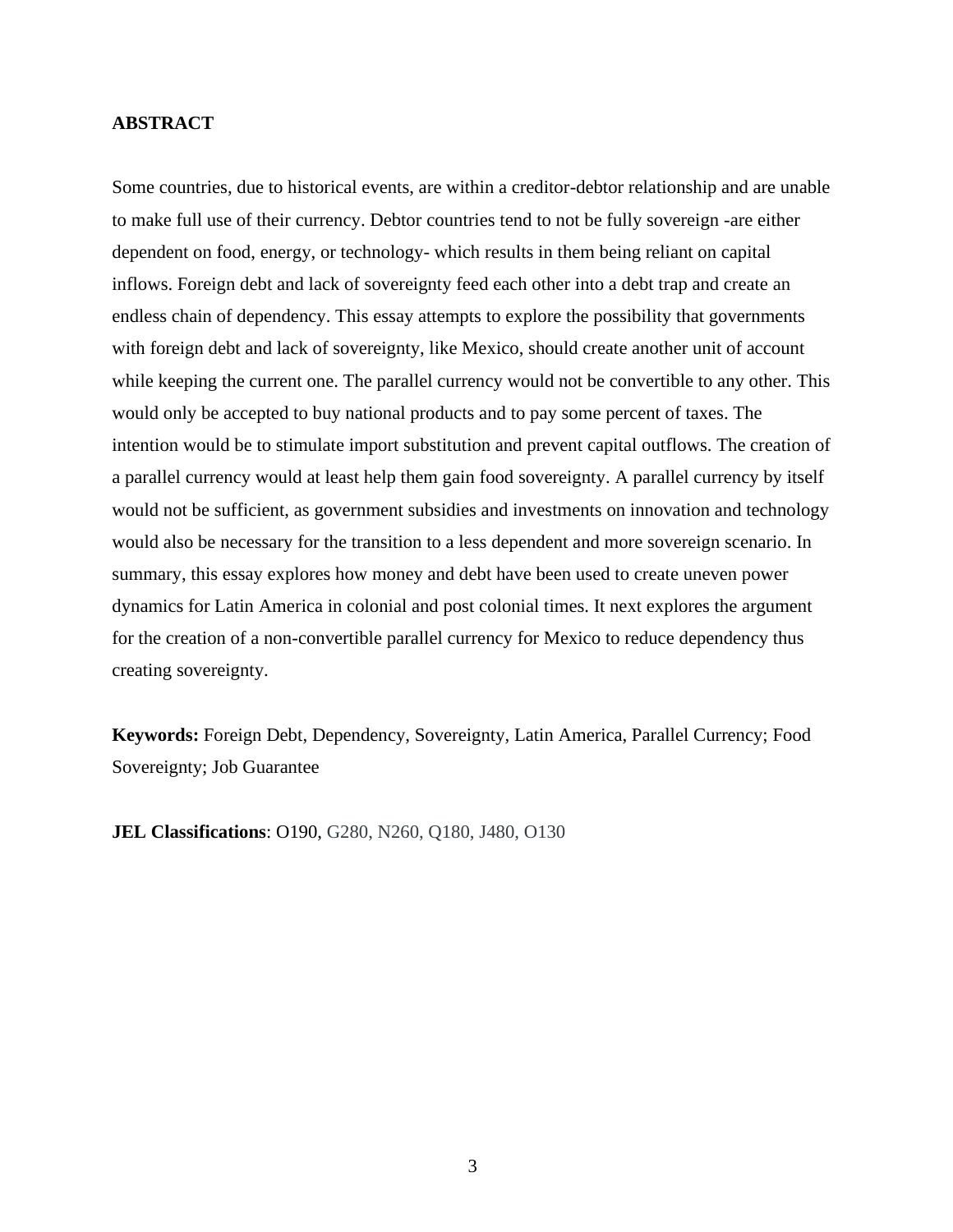### **ABSTRACT**

Some countries, due to historical events, are within a creditor-debtor relationship and are unable to make full use of their currency. Debtor countries tend to not be fully sovereign -are either dependent on food, energy, or technology- which results in them being reliant on capital inflows. Foreign debt and lack of sovereignty feed each other into a debt trap and create an endless chain of dependency. This essay attempts to explore the possibility that governments with foreign debt and lack of sovereignty, like Mexico, should create another unit of account while keeping the current one. The parallel currency would not be convertible to any other. This would only be accepted to buy national products and to pay some percent of taxes. The intention would be to stimulate import substitution and prevent capital outflows. The creation of a parallel currency would at least help them gain food sovereignty. A parallel currency by itself would not be sufficient, as government subsidies and investments on innovation and technology would also be necessary for the transition to a less dependent and more sovereign scenario. In summary, this essay explores how money and debt have been used to create uneven power dynamics for Latin America in colonial and post colonial times. It next explores the argument for the creation of a non-convertible parallel currency for Mexico to reduce dependency thus creating sovereignty.

**Keywords:** Foreign Debt, Dependency, Sovereignty, Latin America, Parallel Currency; Food Sovereignty; Job Guarantee

**JEL Classifications**: O190, G280, N260, Q180, J480, O130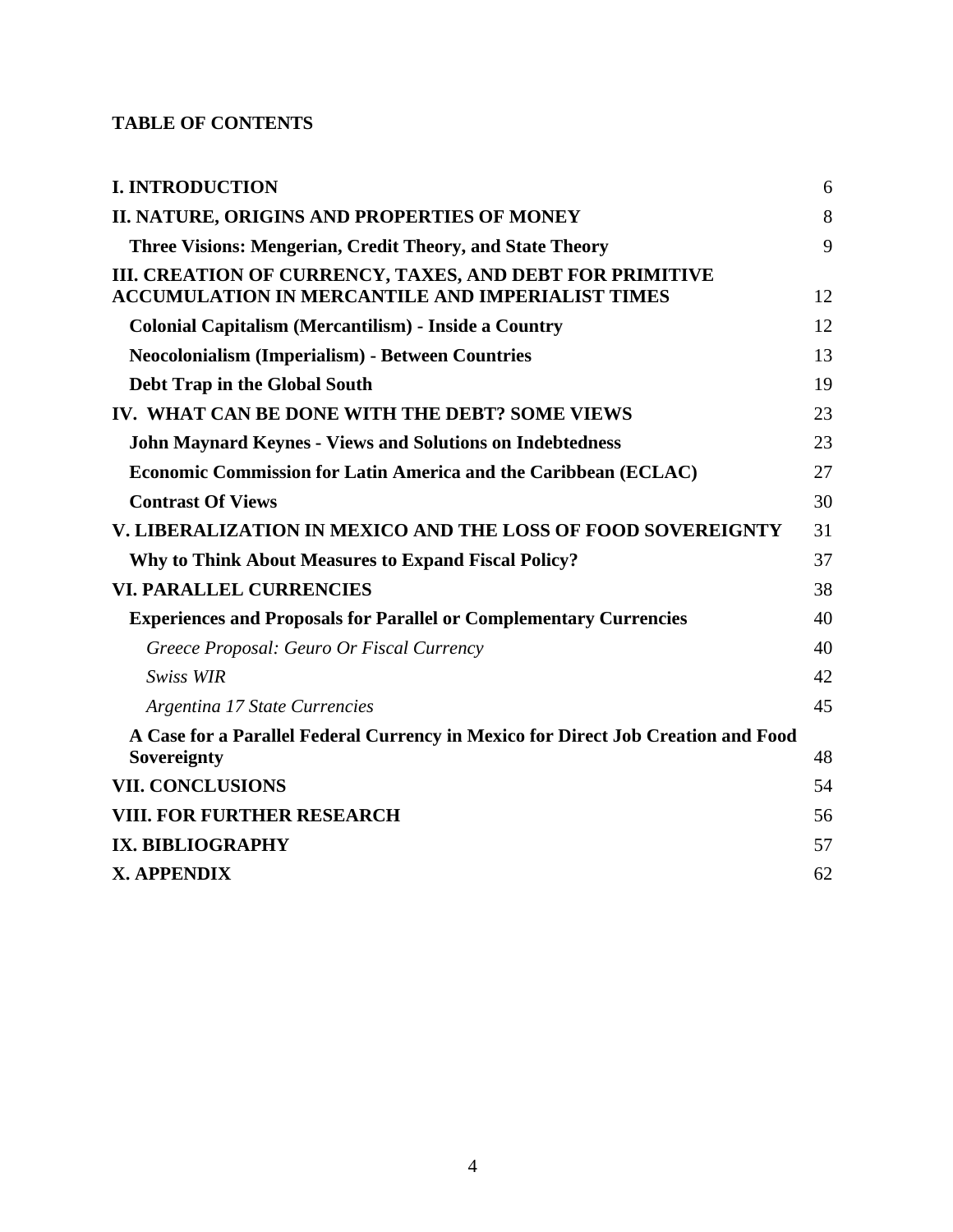# **TABLE OF CONTENTS**

| <b>I. INTRODUCTION</b>                                                                                              | 6  |
|---------------------------------------------------------------------------------------------------------------------|----|
| II. NATURE, ORIGINS AND PROPERTIES OF MONEY                                                                         | 8  |
| Three Visions: Mengerian, Credit Theory, and State Theory                                                           | 9  |
| III. CREATION OF CURRENCY, TAXES, AND DEBT FOR PRIMITIVE<br><b>ACCUMULATION IN MERCANTILE AND IMPERIALIST TIMES</b> | 12 |
| <b>Colonial Capitalism (Mercantilism) - Inside a Country</b>                                                        | 12 |
| <b>Neocolonialism (Imperialism) - Between Countries</b>                                                             | 13 |
| Debt Trap in the Global South                                                                                       | 19 |
| IV. WHAT CAN BE DONE WITH THE DEBT? SOME VIEWS                                                                      | 23 |
| <b>John Maynard Keynes - Views and Solutions on Indebtedness</b>                                                    | 23 |
| <b>Economic Commission for Latin America and the Caribbean (ECLAC)</b>                                              | 27 |
| <b>Contrast Of Views</b>                                                                                            | 30 |
| <b>V. LIBERALIZATION IN MEXICO AND THE LOSS OF FOOD SOVEREIGNTY</b>                                                 | 31 |
| <b>Why to Think About Measures to Expand Fiscal Policy?</b>                                                         | 37 |
| <b>VI. PARALLEL CURRENCIES</b>                                                                                      | 38 |
| <b>Experiences and Proposals for Parallel or Complementary Currencies</b>                                           | 40 |
| Greece Proposal: Geuro Or Fiscal Currency                                                                           | 40 |
| <b>Swiss WIR</b>                                                                                                    | 42 |
| Argentina 17 State Currencies                                                                                       | 45 |
| A Case for a Parallel Federal Currency in Mexico for Direct Job Creation and Food<br>Sovereignty                    | 48 |
| <b>VII. CONCLUSIONS</b>                                                                                             | 54 |
| <b>VIII. FOR FURTHER RESEARCH</b>                                                                                   | 56 |
| IX. BIBLIOGRAPHY                                                                                                    | 57 |
| X. APPENDIX                                                                                                         | 62 |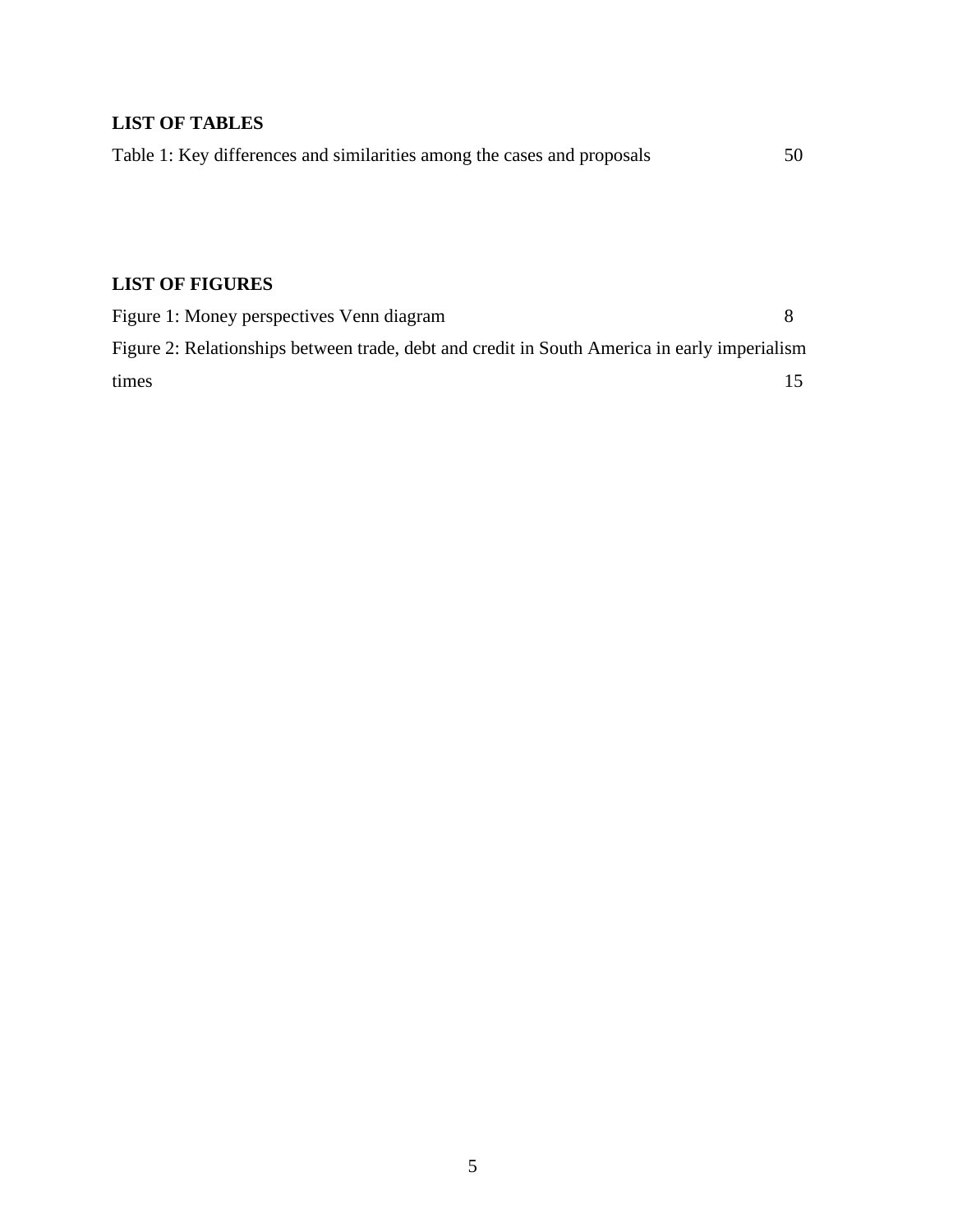# **LIST OF TABLES**

| Table 1: Key differences and similarities among the cases and proposals | 50 |
|-------------------------------------------------------------------------|----|
|                                                                         |    |

# **LIST OF FIGURES**

| Figure 1: Money perspectives Venn diagram                                                    |  |
|----------------------------------------------------------------------------------------------|--|
| Figure 2: Relationships between trade, debt and credit in South America in early imperialism |  |
| times                                                                                        |  |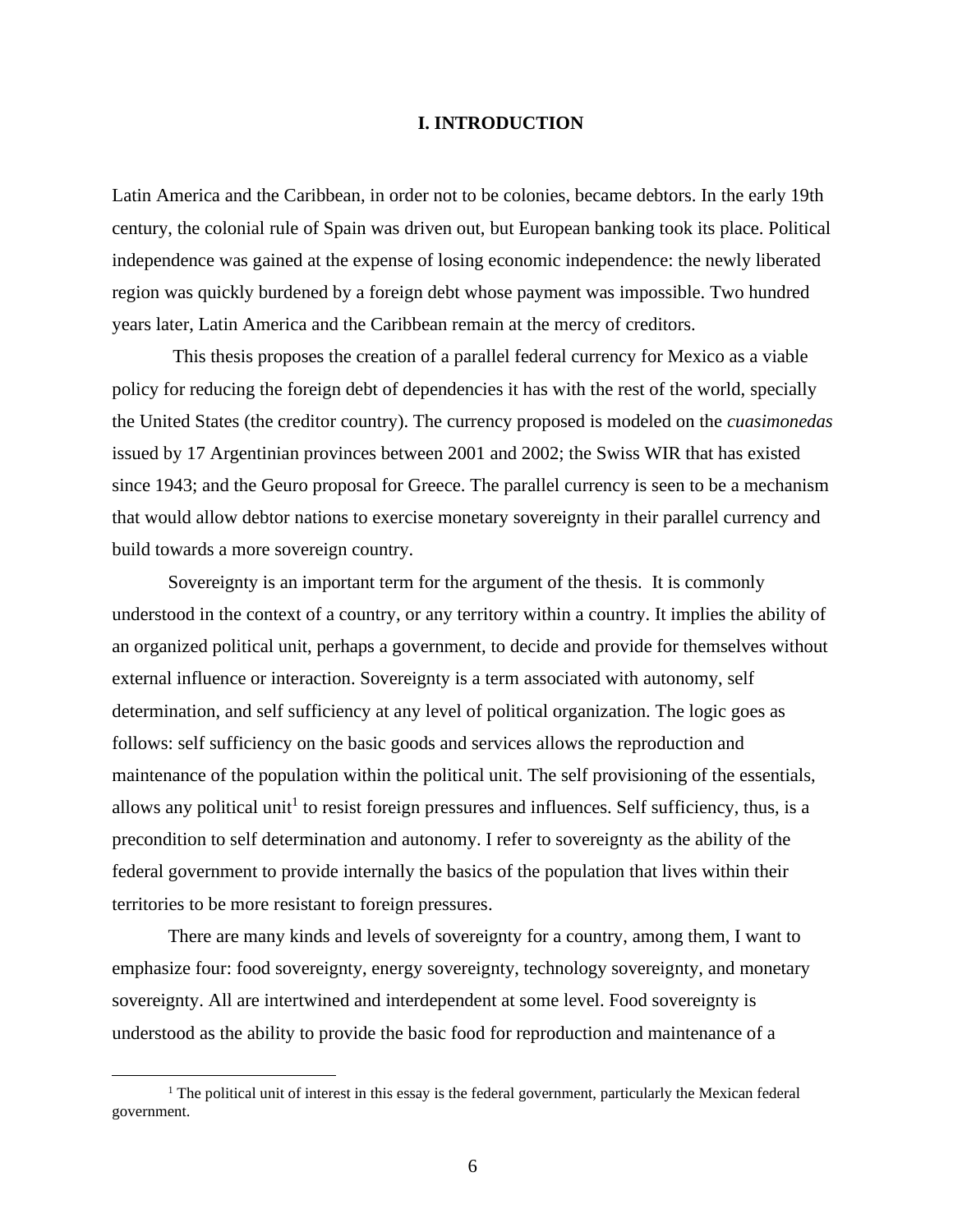#### **I. INTRODUCTION**

<span id="page-7-0"></span>Latin America and the Caribbean, in order not to be colonies, became debtors. In the early 19th century, the colonial rule of Spain was driven out, but European banking took its place. Political independence was gained at the expense of losing economic independence: the newly liberated region was quickly burdened by a foreign debt whose payment was impossible. Two hundred years later, Latin America and the Caribbean remain at the mercy of creditors.

This thesis proposes the creation of a parallel federal currency for Mexico as a viable policy for reducing the foreign debt of dependencies it has with the rest of the world, specially the United States (the creditor country). The currency proposed is modeled on the *cuasimonedas* issued by 17 Argentinian provinces between 2001 and 2002; the Swiss WIR that has existed since 1943; and the Geuro proposal for Greece. The parallel currency is seen to be a mechanism that would allow debtor nations to exercise monetary sovereignty in their parallel currency and build towards a more sovereign country.

Sovereignty is an important term for the argument of the thesis. It is commonly understood in the context of a country, or any territory within a country. It implies the ability of an organized political unit, perhaps a government, to decide and provide for themselves without external influence or interaction. Sovereignty is a term associated with autonomy, self determination, and self sufficiency at any level of political organization. The logic goes as follows: self sufficiency on the basic goods and services allows the reproduction and maintenance of the population within the political unit. The self provisioning of the essentials, allows any political unit<sup>1</sup> to resist foreign pressures and influences. Self sufficiency, thus, is a precondition to self determination and autonomy. I refer to sovereignty as the ability of the federal government to provide internally the basics of the population that lives within their territories to be more resistant to foreign pressures.

There are many kinds and levels of sovereignty for a country, among them, I want to emphasize four: food sovereignty, energy sovereignty, technology sovereignty, and monetary sovereignty. All are intertwined and interdependent at some level. Food sovereignty is understood as the ability to provide the basic food for reproduction and maintenance of a

 $<sup>1</sup>$  The political unit of interest in this essay is the federal government, particularly the Mexican federal</sup> government.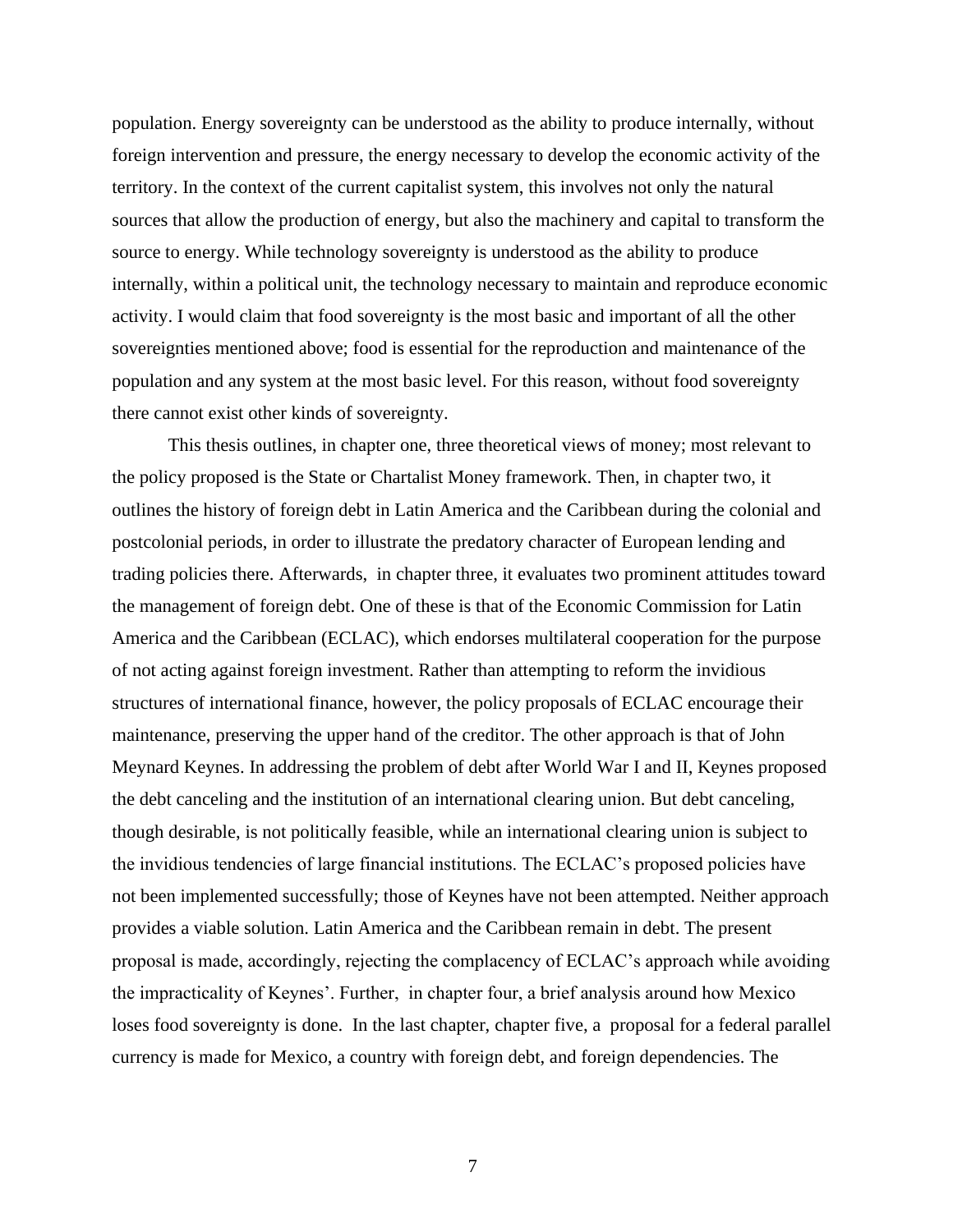population. Energy sovereignty can be understood as the ability to produce internally, without foreign intervention and pressure, the energy necessary to develop the economic activity of the territory. In the context of the current capitalist system, this involves not only the natural sources that allow the production of energy, but also the machinery and capital to transform the source to energy. While technology sovereignty is understood as the ability to produce internally, within a political unit, the technology necessary to maintain and reproduce economic activity. I would claim that food sovereignty is the most basic and important of all the other sovereignties mentioned above; food is essential for the reproduction and maintenance of the population and any system at the most basic level. For this reason, without food sovereignty there cannot exist other kinds of sovereignty.

This thesis outlines, in chapter one, three theoretical views of money; most relevant to the policy proposed is the State or Chartalist Money framework. Then, in chapter two, it outlines the history of foreign debt in Latin America and the Caribbean during the colonial and postcolonial periods, in order to illustrate the predatory character of European lending and trading policies there. Afterwards, in chapter three, it evaluates two prominent attitudes toward the management of foreign debt. One of these is that of the Economic Commission for Latin America and the Caribbean (ECLAC), which endorses multilateral cooperation for the purpose of not acting against foreign investment. Rather than attempting to reform the invidious structures of international finance, however, the policy proposals of ECLAC encourage their maintenance, preserving the upper hand of the creditor. The other approach is that of John Meynard Keynes. In addressing the problem of debt after World War I and II, Keynes proposed the debt canceling and the institution of an international clearing union. But debt canceling, though desirable, is not politically feasible, while an international clearing union is subject to the invidious tendencies of large financial institutions. The ECLAC's proposed policies have not been implemented successfully; those of Keynes have not been attempted. Neither approach provides a viable solution. Latin America and the Caribbean remain in debt. The present proposal is made, accordingly, rejecting the complacency of ECLAC's approach while avoiding the impracticality of Keynes'. Further, in chapter four, a brief analysis around how Mexico loses food sovereignty is done. In the last chapter, chapter five, a proposal for a federal parallel currency is made for Mexico, a country with foreign debt, and foreign dependencies. The

7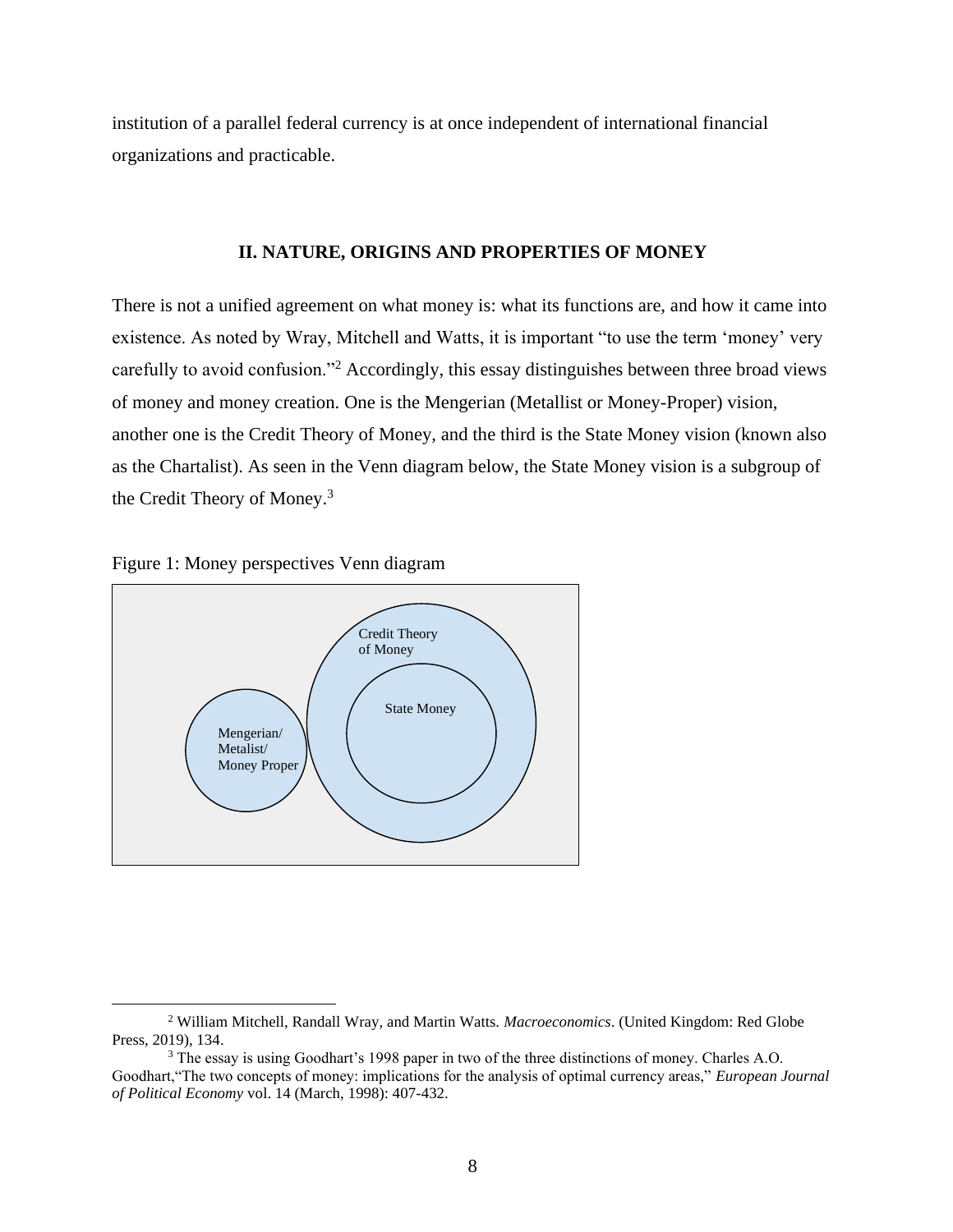institution of a parallel federal currency is at once independent of international financial organizations and practicable.

#### **II. NATURE, ORIGINS AND PROPERTIES OF MONEY**

<span id="page-9-0"></span>There is not a unified agreement on what money is: what its functions are, and how it came into existence. As noted by Wray, Mitchell and Watts, it is important "to use the term 'money' very carefully to avoid confusion."<sup>2</sup> Accordingly, this essay distinguishes between three broad views of money and money creation. One is the Mengerian (Metallist or Money-Proper) vision, another one is the Credit Theory of Money, and the third is the State Money vision (known also as the Chartalist). As seen in the Venn diagram below, the State Money vision is a subgroup of the Credit Theory of Money.<sup>3</sup>





<sup>2</sup> William Mitchell, Randall Wray, and Martin Watts. *Macroeconomics*. (United Kingdom: Red Globe Press, 2019), 134.

<sup>&</sup>lt;sup>3</sup> The essay is using Goodhart's 1998 paper in two of the three distinctions of money. Charles A.O. Goodhart,"The two concepts of money: implications for the analysis of optimal currency areas," *European Journal of Political Economy* vol. 14 (March, 1998): 407-432.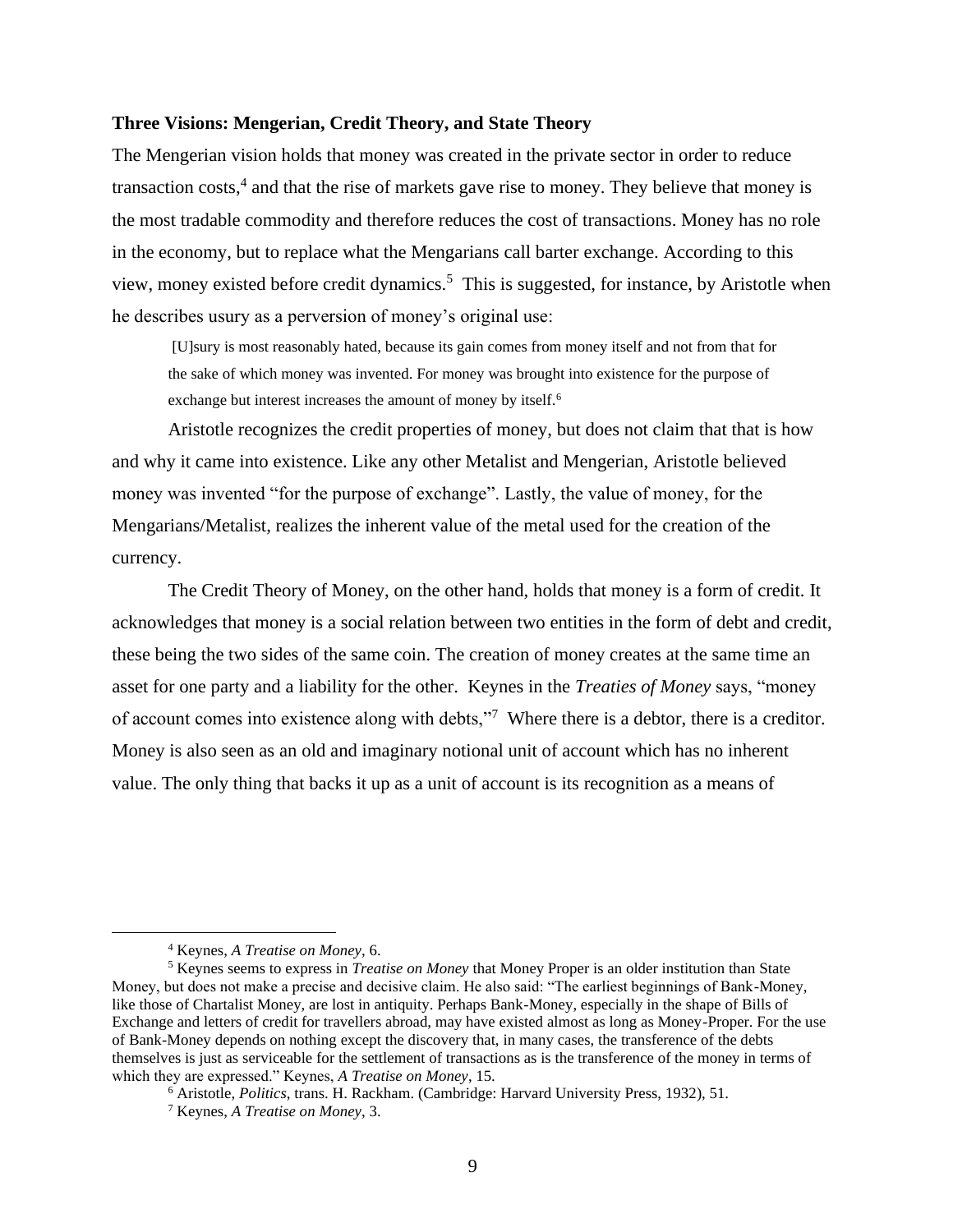#### <span id="page-10-0"></span>**Three Visions: Mengerian, Credit Theory, and State Theory**

The Mengerian vision holds that money was created in the private sector in order to reduce transaction costs,<sup>4</sup> and that the rise of markets gave rise to money. They believe that money is the most tradable commodity and therefore reduces the cost of transactions. Money has no role in the economy, but to replace what the Mengarians call barter exchange. According to this view, money existed before credit dynamics.<sup>5</sup> This is suggested, for instance, by Aristotle when he describes usury as a perversion of money's original use:

[U]sury is most reasonably hated, because its gain comes from money itself and not from that for the sake of which money was invented. For money was brought into existence for the purpose of exchange but interest increases the amount of money by itself.<sup>6</sup>

Aristotle recognizes the credit properties of money, but does not claim that that is how and why it came into existence. Like any other Metalist and Mengerian, Aristotle believed money was invented "for the purpose of exchange". Lastly, the value of money, for the Mengarians/Metalist, realizes the inherent value of the metal used for the creation of the currency.

The Credit Theory of Money, on the other hand, holds that money is a form of credit. It acknowledges that money is a social relation between two entities in the form of debt and credit, these being the two sides of the same coin. The creation of money creates at the same time an asset for one party and a liability for the other. Keynes in the *Treaties of Money* says, "money of account comes into existence along with debts,"<sup>7</sup> Where there is a debtor, there is a creditor. Money is also seen as an old and imaginary notional unit of account which has no inherent value. The only thing that backs it up as a unit of account is its recognition as a means of

<sup>4</sup> Keynes, *A Treatise on Money*, 6.

<sup>5</sup> Keynes seems to express in *Treatise on Money* that Money Proper is an older institution than State Money, but does not make a precise and decisive claim. He also said: "The earliest beginnings of Bank-Money, like those of Chartalist Money, are lost in antiquity. Perhaps Bank-Money, especially in the shape of Bills of Exchange and letters of credit for travellers abroad, may have existed almost as long as Money-Proper. For the use of Bank-Money depends on nothing except the discovery that, in many cases, the transference of the debts themselves is just as serviceable for the settlement of transactions as is the transference of the money in terms of which they are expressed." Keynes, *A Treatise on Money*, 15.

<sup>6</sup> Aristotle, *Politics*, trans. H. Rackham. (Cambridge: Harvard University Press, 1932), 51.

<sup>7</sup> Keynes, *A Treatise on Money*, 3.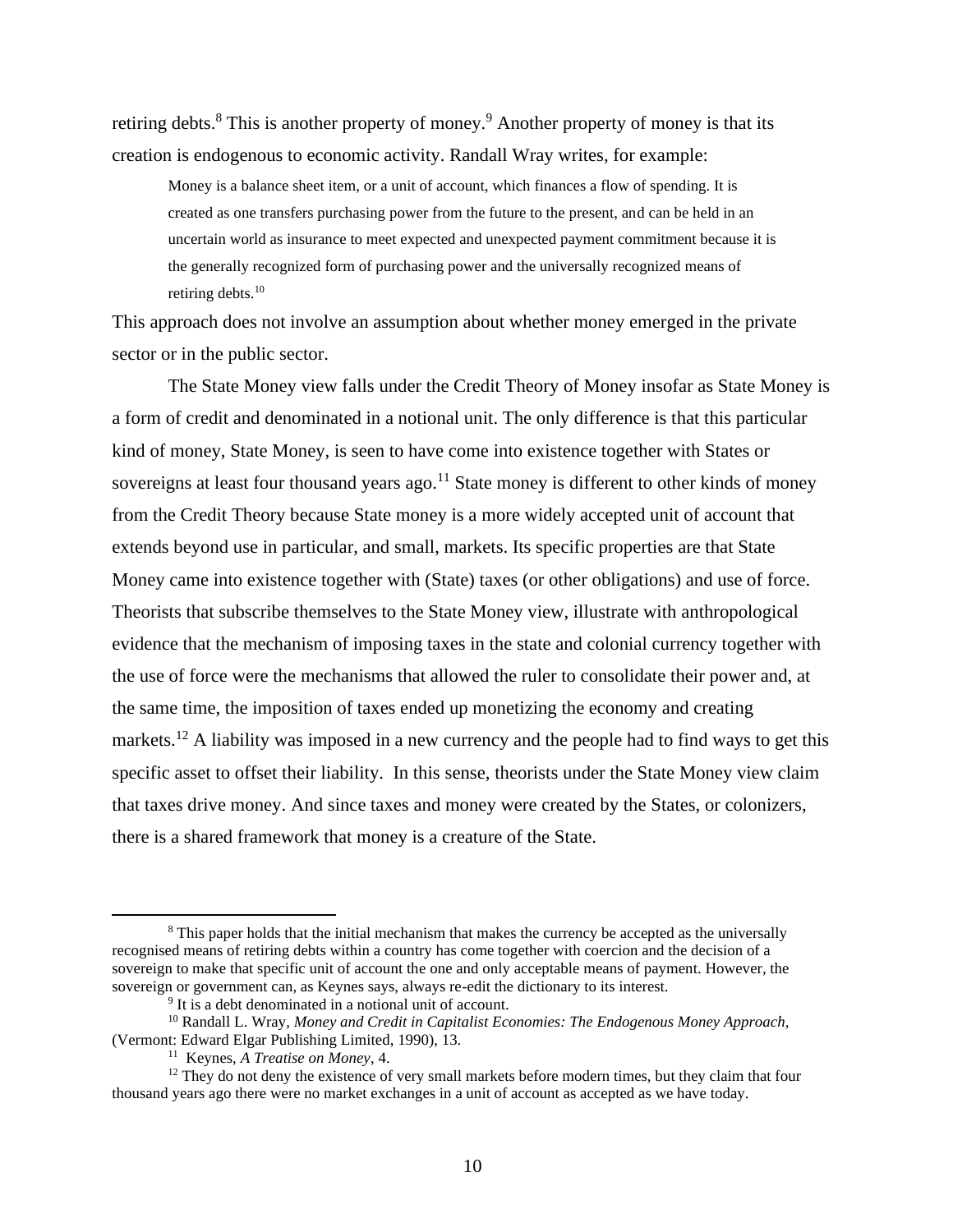retiring debts.<sup>8</sup> This is another property of money.<sup>9</sup> Another property of money is that its creation is endogenous to economic activity. Randall Wray writes, for example:

Money is a balance sheet item, or a unit of account, which finances a flow of spending. It is created as one transfers purchasing power from the future to the present, and can be held in an uncertain world as insurance to meet expected and unexpected payment commitment because it is the generally recognized form of purchasing power and the universally recognized means of retiring debts.<sup>10</sup>

This approach does not involve an assumption about whether money emerged in the private sector or in the public sector.

The State Money view falls under the Credit Theory of Money insofar as State Money is a form of credit and denominated in a notional unit. The only difference is that this particular kind of money, State Money, is seen to have come into existence together with States or sovereigns at least four thousand years ago.<sup>11</sup> State money is different to other kinds of money from the Credit Theory because State money is a more widely accepted unit of account that extends beyond use in particular, and small, markets. Its specific properties are that State Money came into existence together with (State) taxes (or other obligations) and use of force. Theorists that subscribe themselves to the State Money view, illustrate with anthropological evidence that the mechanism of imposing taxes in the state and colonial currency together with the use of force were the mechanisms that allowed the ruler to consolidate their power and, at the same time, the imposition of taxes ended up monetizing the economy and creating markets.<sup>12</sup> A liability was imposed in a new currency and the people had to find ways to get this specific asset to offset their liability. In this sense, theorists under the State Money view claim that taxes drive money. And since taxes and money were created by the States, or colonizers, there is a shared framework that money is a creature of the State.

<sup>&</sup>lt;sup>8</sup> This paper holds that the initial mechanism that makes the currency be accepted as the universally recognised means of retiring debts within a country has come together with coercion and the decision of a sovereign to make that specific unit of account the one and only acceptable means of payment. However, the sovereign or government can, as Keynes says, always re-edit the dictionary to its interest.

<sup>&</sup>lt;sup>9</sup> It is a debt denominated in a notional unit of account.

<sup>10</sup> Randall L. Wray, *Money and Credit in Capitalist Economies: The Endogenous Money Approach,*  (Vermont: Edward Elgar Publishing Limited, 1990), 13.

<sup>11</sup> Keynes, *A Treatise on Money*, 4.

<sup>&</sup>lt;sup>12</sup> They do not deny the existence of very small markets before modern times, but they claim that four thousand years ago there were no market exchanges in a unit of account as accepted as we have today.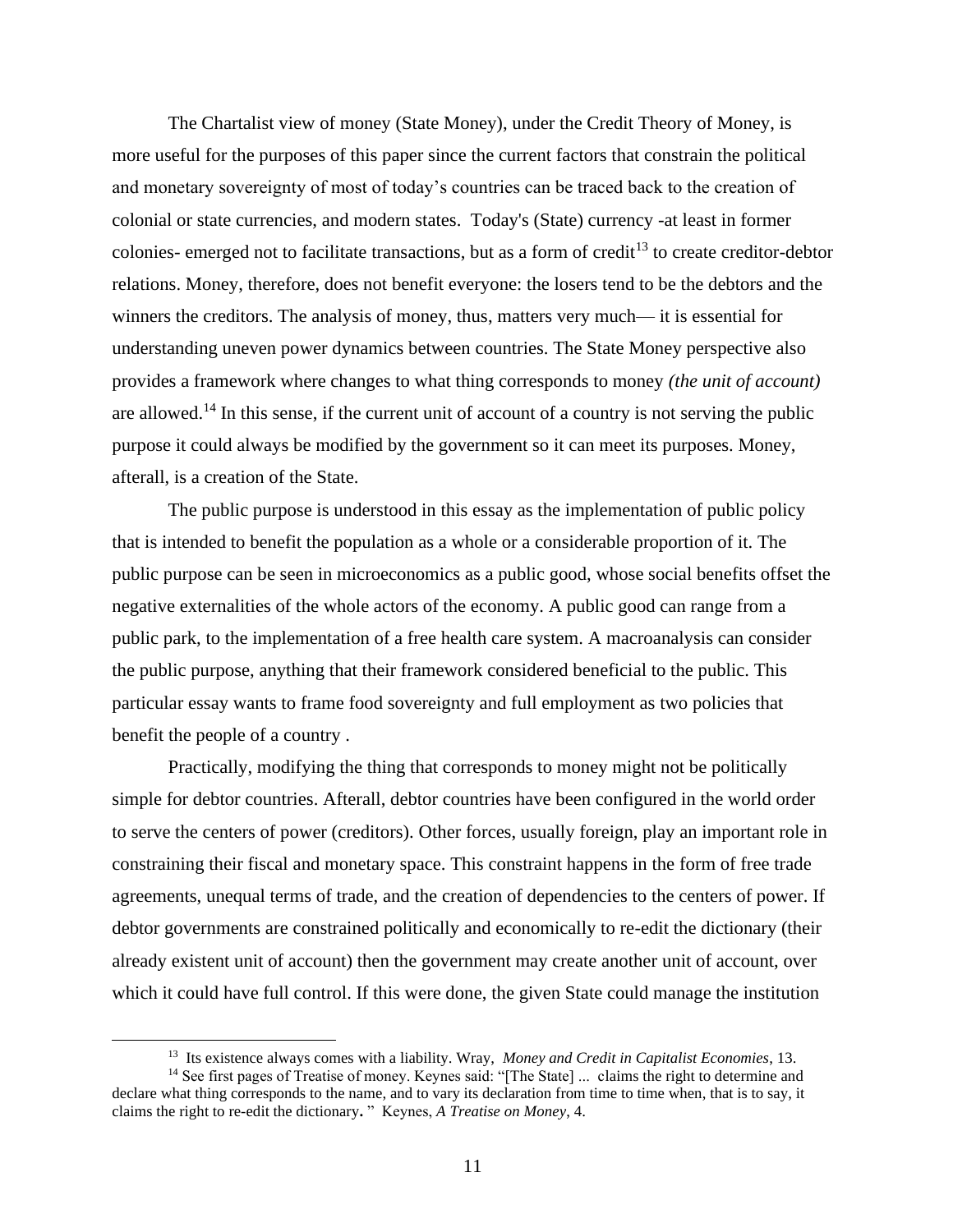The Chartalist view of money (State Money), under the Credit Theory of Money, is more useful for the purposes of this paper since the current factors that constrain the political and monetary sovereignty of most of today's countries can be traced back to the creation of colonial or state currencies, and modern states. Today's (State) currency -at least in former colonies- emerged not to facilitate transactions, but as a form of credit<sup>13</sup> to create creditor-debtor relations. Money, therefore, does not benefit everyone: the losers tend to be the debtors and the winners the creditors. The analysis of money, thus, matters very much— it is essential for understanding uneven power dynamics between countries. The State Money perspective also provides a framework where changes to what thing corresponds to money *(the unit of account)* are allowed.<sup>14</sup> In this sense, if the current unit of account of a country is not serving the public purpose it could always be modified by the government so it can meet its purposes. Money, afterall, is a creation of the State.

The public purpose is understood in this essay as the implementation of public policy that is intended to benefit the population as a whole or a considerable proportion of it. The public purpose can be seen in microeconomics as a public good, whose social benefits offset the negative externalities of the whole actors of the economy. A public good can range from a public park, to the implementation of a free health care system. A macroanalysis can consider the public purpose, anything that their framework considered beneficial to the public. This particular essay wants to frame food sovereignty and full employment as two policies that benefit the people of a country .

Practically, modifying the thing that corresponds to money might not be politically simple for debtor countries. Afterall, debtor countries have been configured in the world order to serve the centers of power (creditors). Other forces, usually foreign, play an important role in constraining their fiscal and monetary space. This constraint happens in the form of free trade agreements, unequal terms of trade, and the creation of dependencies to the centers of power. If debtor governments are constrained politically and economically to re-edit the dictionary (their already existent unit of account) then the government may create another unit of account, over which it could have full control. If this were done, the given State could manage the institution

<sup>13</sup> Its existence always comes with a liability. Wray, *Money and Credit in Capitalist Economies*, 13.

<sup>&</sup>lt;sup>14</sup> See first pages of Treatise of money. Keynes said: "[The State] ... claims the right to determine and declare what thing corresponds to the name, and to vary its declaration from time to time when, that is to say, it claims the right to re-edit the dictionary**.** " Keynes, *A Treatise on Money*, 4.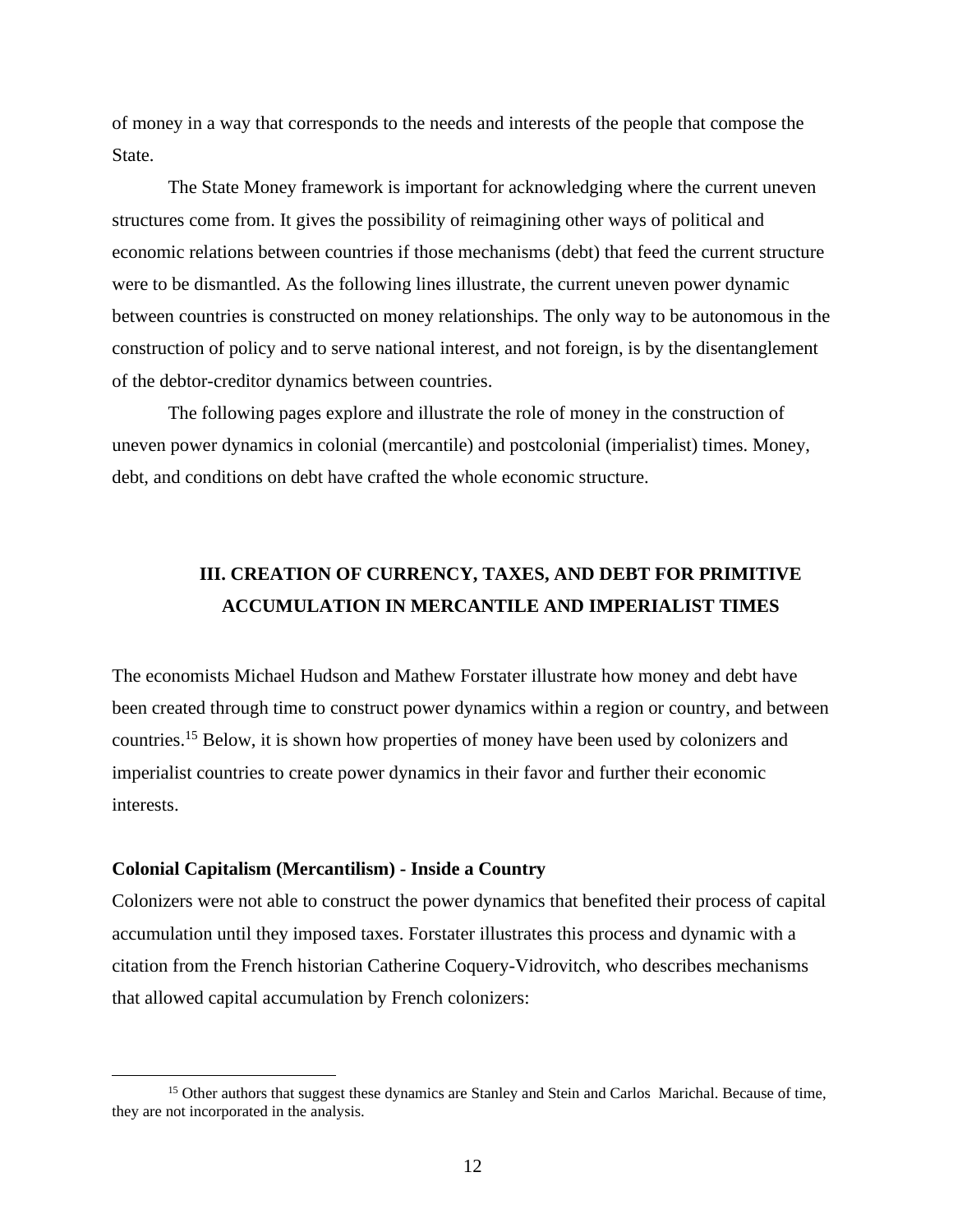of money in a way that corresponds to the needs and interests of the people that compose the State.

The State Money framework is important for acknowledging where the current uneven structures come from. It gives the possibility of reimagining other ways of political and economic relations between countries if those mechanisms (debt) that feed the current structure were to be dismantled. As the following lines illustrate, the current uneven power dynamic between countries is constructed on money relationships. The only way to be autonomous in the construction of policy and to serve national interest, and not foreign, is by the disentanglement of the debtor-creditor dynamics between countries.

The following pages explore and illustrate the role of money in the construction of uneven power dynamics in colonial (mercantile) and postcolonial (imperialist) times. Money, debt, and conditions on debt have crafted the whole economic structure.

# <span id="page-13-0"></span>**III. CREATION OF CURRENCY, TAXES, AND DEBT FOR PRIMITIVE ACCUMULATION IN MERCANTILE AND IMPERIALIST TIMES**

The economists Michael Hudson and Mathew Forstater illustrate how money and debt have been created through time to construct power dynamics within a region or country, and between countries.<sup>15</sup> Below, it is shown how properties of money have been used by colonizers and imperialist countries to create power dynamics in their favor and further their economic interests.

#### <span id="page-13-1"></span>**Colonial Capitalism (Mercantilism) - Inside a Country**

Colonizers were not able to construct the power dynamics that benefited their process of capital accumulation until they imposed taxes. Forstater illustrates this process and dynamic with a citation from the French historian Catherine Coquery-Vidrovitch, who describes mechanisms that allowed capital accumulation by French colonizers:

<sup>&</sup>lt;sup>15</sup> Other authors that suggest these dynamics are Stanley and Stein and Carlos Marichal. Because of time, they are not incorporated in the analysis.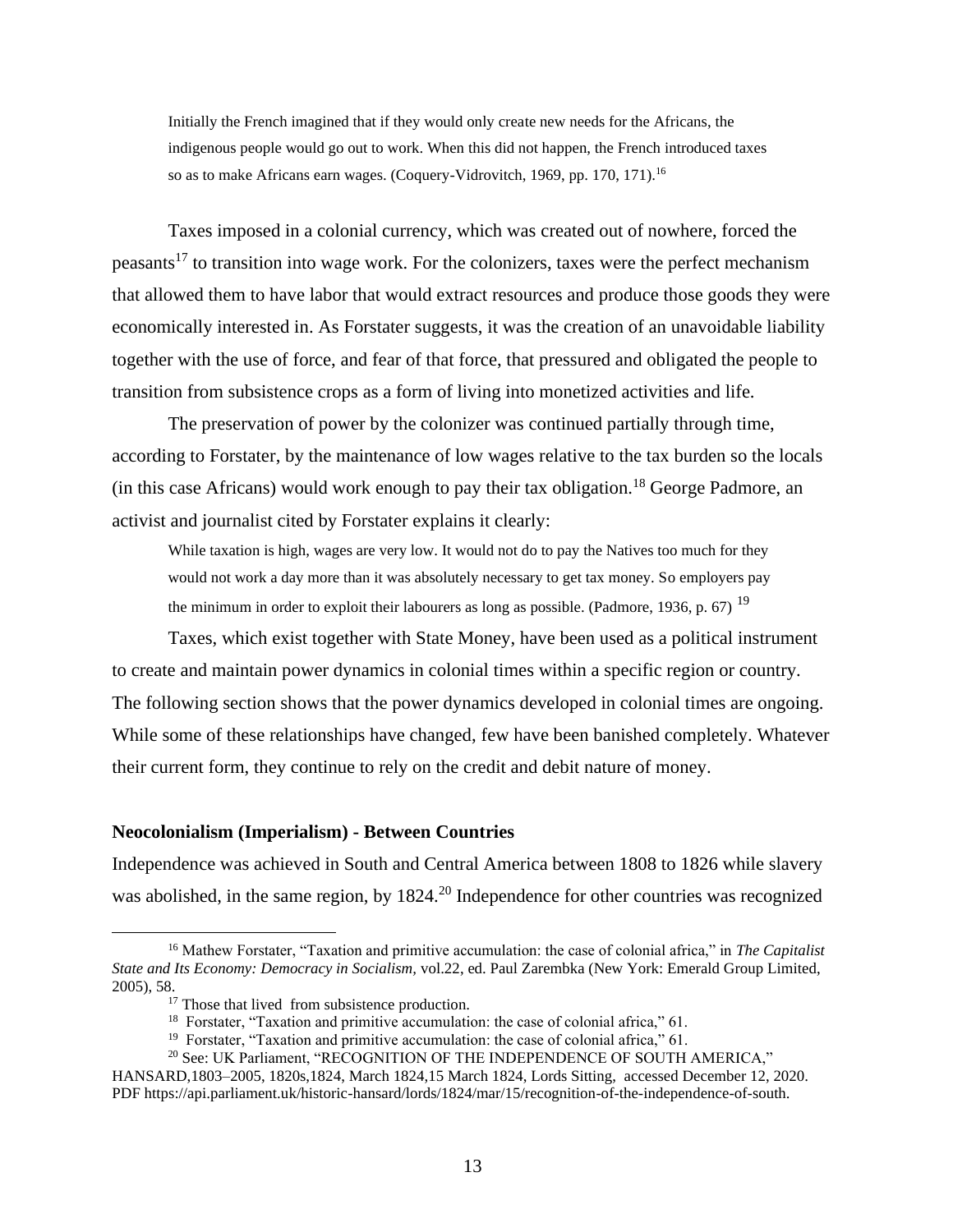Initially the French imagined that if they would only create new needs for the Africans, the indigenous people would go out to work. When this did not happen, the French introduced taxes so as to make Africans earn wages. (Coquery-Vidrovitch, 1969, pp. 170, 171).<sup>16</sup>

Taxes imposed in a colonial currency, which was created out of nowhere, forced the peasants<sup>17</sup> to transition into wage work. For the colonizers, taxes were the perfect mechanism that allowed them to have labor that would extract resources and produce those goods they were economically interested in. As Forstater suggests, it was the creation of an unavoidable liability together with the use of force, and fear of that force, that pressured and obligated the people to transition from subsistence crops as a form of living into monetized activities and life.

The preservation of power by the colonizer was continued partially through time, according to Forstater, by the maintenance of low wages relative to the tax burden so the locals (in this case Africans) would work enough to pay their tax obligation.<sup>18</sup> George Padmore, an activist and journalist cited by Forstater explains it clearly:

While taxation is high, wages are very low. It would not do to pay the Natives too much for they would not work a day more than it was absolutely necessary to get tax money. So employers pay the minimum in order to exploit their labourers as long as possible. (Padmore, 1936, p. 67)  $^{19}$ 

Taxes, which exist together with State Money, have been used as a political instrument to create and maintain power dynamics in colonial times within a specific region or country. The following section shows that the power dynamics developed in colonial times are ongoing. While some of these relationships have changed, few have been banished completely. Whatever their current form, they continue to rely on the credit and debit nature of money.

#### <span id="page-14-0"></span>**Neocolonialism (Imperialism) - Between Countries**

Independence was achieved in South and Central America between 1808 to 1826 while slavery was abolished, in the same region, by 1824.<sup>20</sup> Independence for other countries was recognized

<sup>16</sup> Mathew Forstater, "Taxation and primitive accumulation: the case of colonial africa," in *The Capitalist State and Its Economy: Democracy in Socialism,* vol.22, ed. Paul Zarembka (New York: Emerald Group Limited, 2005), 58.

<sup>&</sup>lt;sup>17</sup> Those that lived from subsistence production.

<sup>&</sup>lt;sup>18</sup> Forstater, "Taxation and primitive accumulation: the case of colonial africa," 61.

<sup>&</sup>lt;sup>19</sup> Forstater, "Taxation and primitive accumulation: the case of colonial africa," 61.

<sup>&</sup>lt;sup>20</sup> See: UK Parliament, "RECOGNITION OF THE INDEPENDENCE OF SOUTH AMERICA,"

HANSARD,1803–2005, 1820s,1824, March 1824,15 March 1824, Lords Sitting, accessed December 12, 2020. PDF https://api.parliament.uk/historic-hansard/lords/1824/mar/15/recognition-of-the-independence-of-south.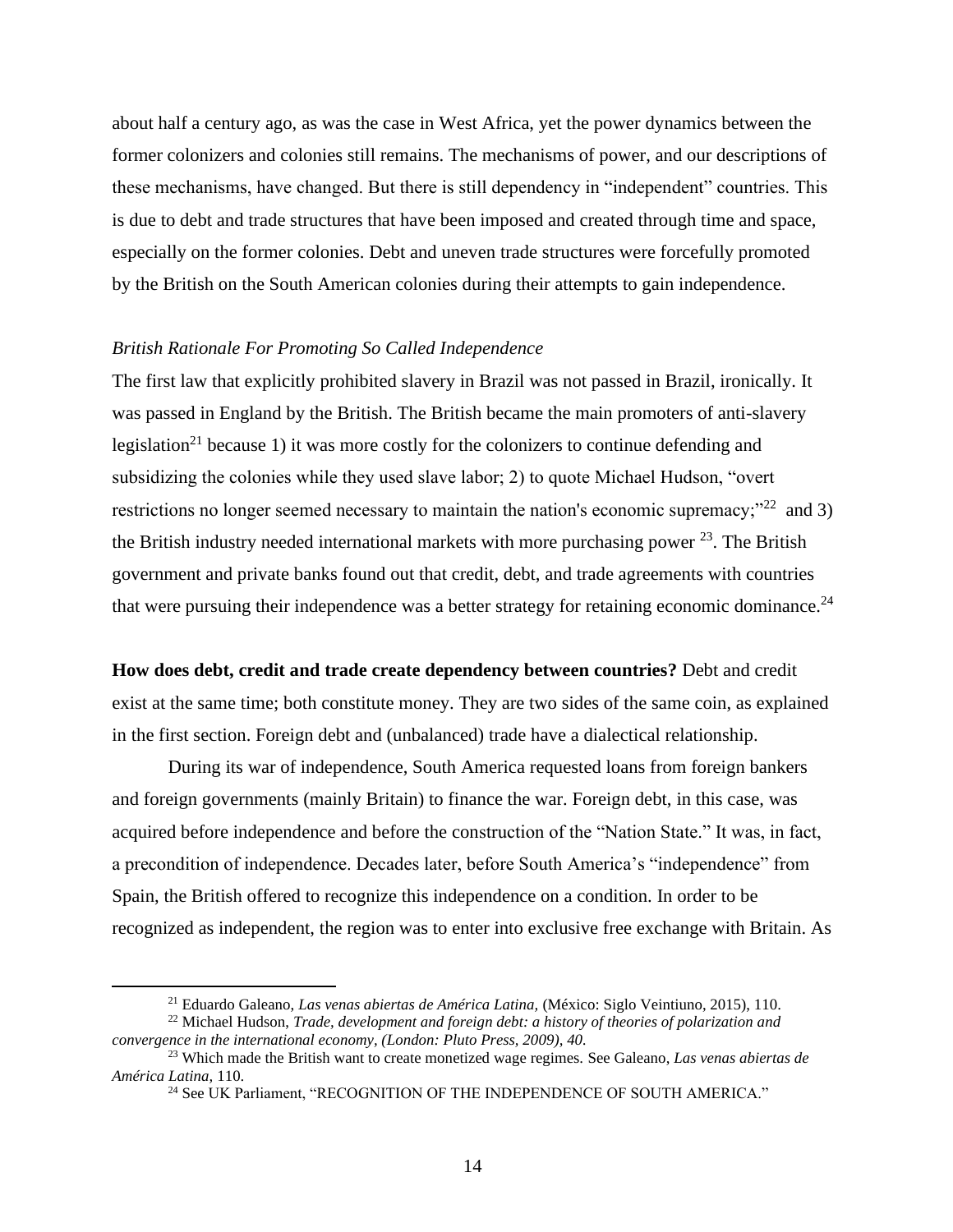about half a century ago, as was the case in West Africa, yet the power dynamics between the former colonizers and colonies still remains. The mechanisms of power, and our descriptions of these mechanisms, have changed. But there is still dependency in "independent" countries. This is due to debt and trade structures that have been imposed and created through time and space, especially on the former colonies. Debt and uneven trade structures were forcefully promoted by the British on the South American colonies during their attempts to gain independence.

#### *British Rationale For Promoting So Called Independence*

The first law that explicitly prohibited slavery in Brazil was not passed in Brazil, ironically. It was passed in England by the British. The British became the main promoters of anti-slavery legislation<sup>21</sup> because 1) it was more costly for the colonizers to continue defending and subsidizing the colonies while they used slave labor; 2) to quote Michael Hudson, "overt restrictions no longer seemed necessary to maintain the nation's economic supremacy; $"^{22}$  and 3) the British industry needed international markets with more purchasing power  $^{23}$ . The British government and private banks found out that credit, debt, and trade agreements with countries that were pursuing their independence was a better strategy for retaining economic dominance. $^{24}$ 

#### **How does debt, credit and trade create dependency between countries?** Debt and credit

exist at the same time; both constitute money. They are two sides of the same coin, as explained in the first section. Foreign debt and (unbalanced) trade have a dialectical relationship.

During its war of independence, South America requested loans from foreign bankers and foreign governments (mainly Britain) to finance the war. Foreign debt, in this case, was acquired before independence and before the construction of the "Nation State." It was, in fact, a precondition of independence. Decades later, before South America's "independence" from Spain, the British offered to recognize this independence on a condition. In order to be recognized as independent, the region was to enter into exclusive free exchange with Britain. As

<sup>21</sup> Eduardo Galeano, *Las venas abiertas de América Latina,* (México: Siglo Veintiuno, 2015), 110.

<sup>22</sup> Michael Hudson, *Trade, development and foreign debt: a history of theories of polarization and convergence in the international economy, (London: Pluto Press, 2009), 40.*

<sup>23</sup> Which made the British want to create monetized wage regimes. See Galeano, *Las venas abiertas de América Latina,* 110.

<sup>&</sup>lt;sup>24</sup> See UK Parliament, "RECOGNITION OF THE INDEPENDENCE OF SOUTH AMERICA."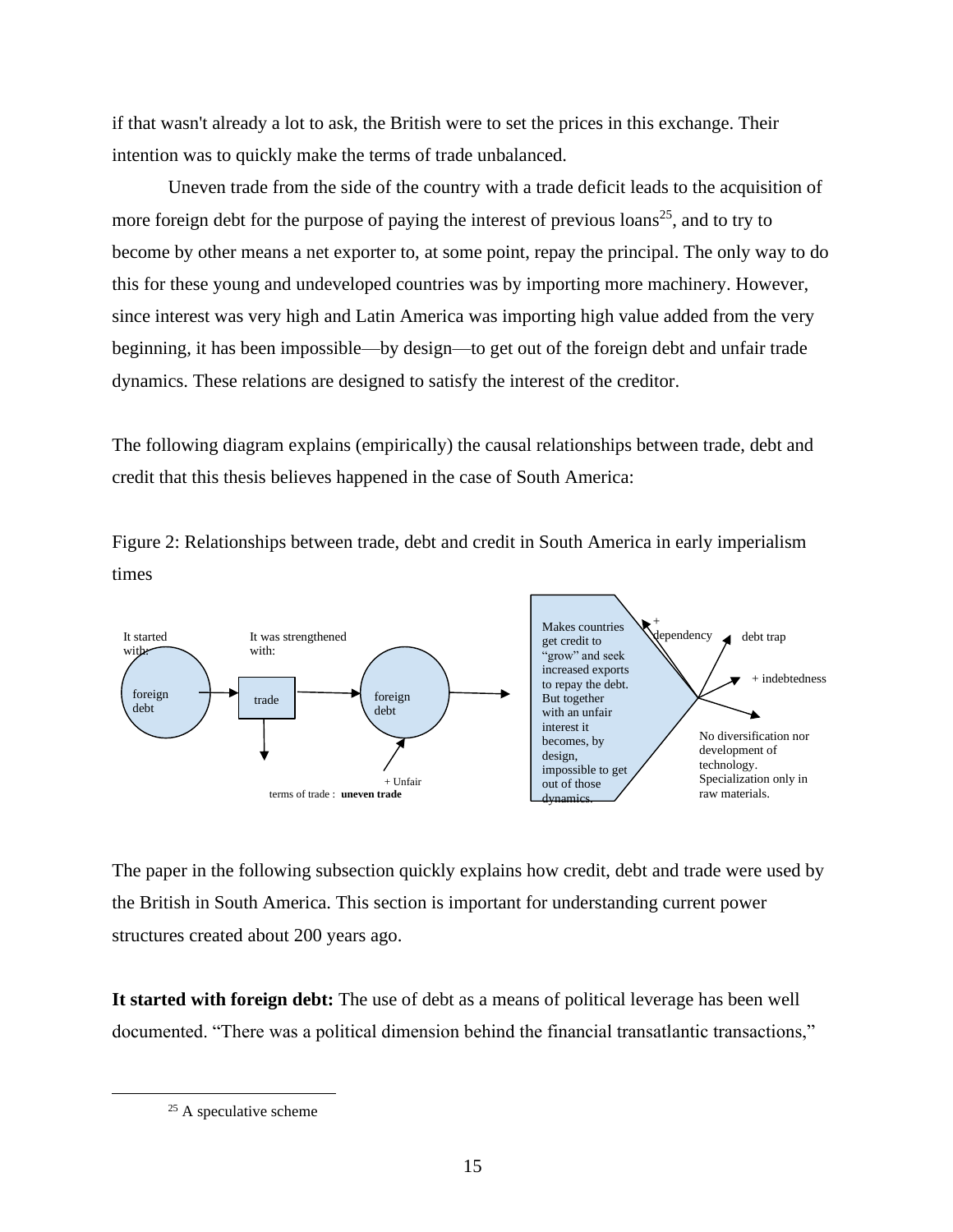if that wasn't already a lot to ask, the British were to set the prices in this exchange. Their intention was to quickly make the terms of trade unbalanced.

Uneven trade from the side of the country with a trade deficit leads to the acquisition of more foreign debt for the purpose of paying the interest of previous  $\text{loans}^{25}$ , and to try to become by other means a net exporter to, at some point, repay the principal. The only way to do this for these young and undeveloped countries was by importing more machinery. However, since interest was very high and Latin America was importing high value added from the very beginning, it has been impossible—by design—to get out of the foreign debt and unfair trade dynamics. These relations are designed to satisfy the interest of the creditor.

The following diagram explains (empirically) the causal relationships between trade, debt and credit that this thesis believes happened in the case of South America:

Figure 2: Relationships between trade, debt and credit in South America in early imperialism times



The paper in the following subsection quickly explains how credit, debt and trade were used by the British in South America. This section is important for understanding current power structures created about 200 years ago.

**It started with foreign debt:** The use of debt as a means of political leverage has been well documented. "There was a political dimension behind the financial transatlantic transactions,"

 $25$  A speculative scheme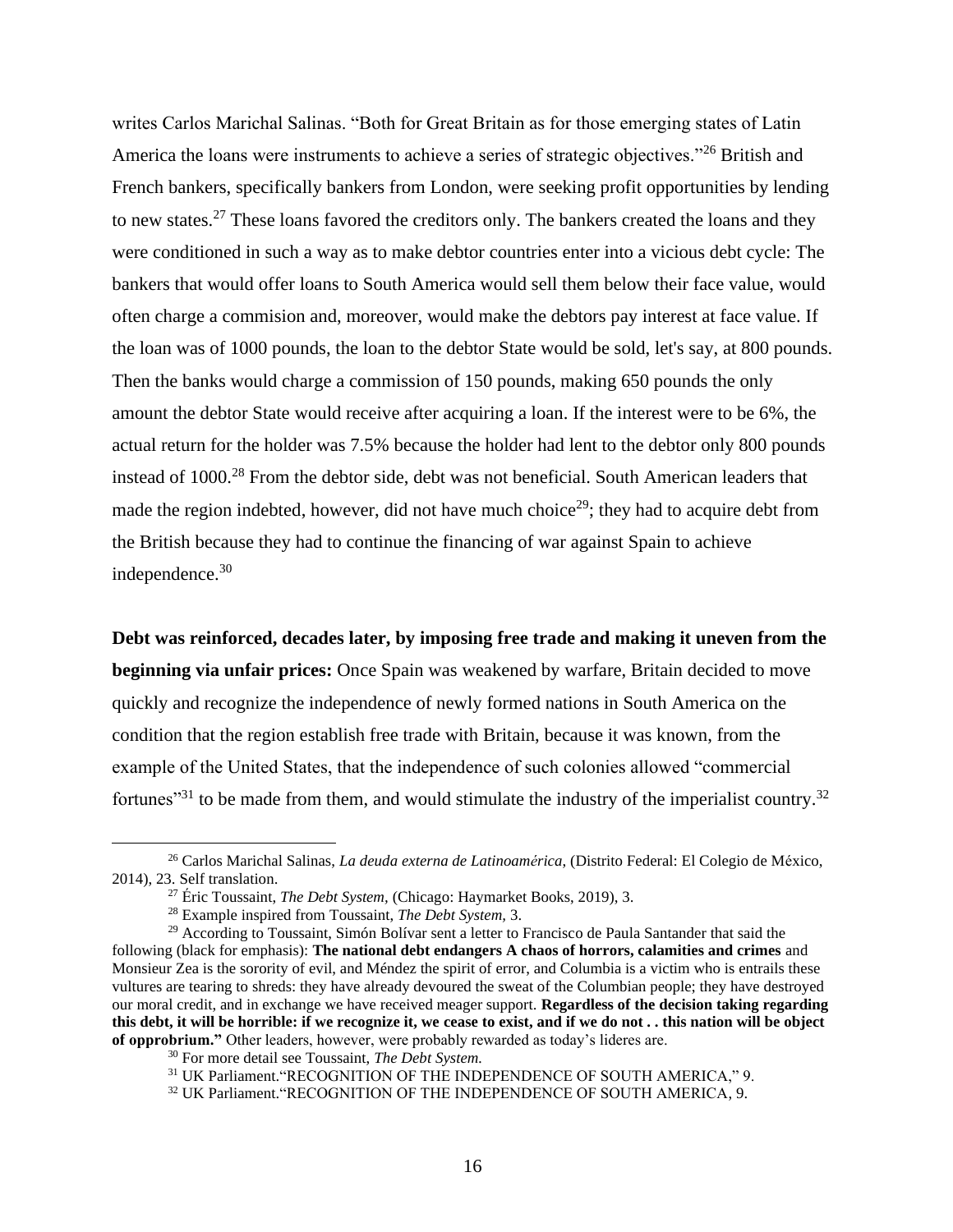writes Carlos Marichal Salinas. "Both for Great Britain as for those emerging states of Latin America the loans were instruments to achieve a series of strategic objectives."<sup>26</sup> British and French bankers, specifically bankers from London, were seeking profit opportunities by lending to new states.<sup>27</sup> These loans favored the creditors only. The bankers created the loans and they were conditioned in such a way as to make debtor countries enter into a vicious debt cycle: The bankers that would offer loans to South America would sell them below their face value, would often charge a commision and, moreover, would make the debtors pay interest at face value. If the loan was of 1000 pounds, the loan to the debtor State would be sold, let's say, at 800 pounds. Then the banks would charge a commission of 150 pounds, making 650 pounds the only amount the debtor State would receive after acquiring a loan. If the interest were to be 6%, the actual return for the holder was 7.5% because the holder had lent to the debtor only 800 pounds instead of 1000.<sup>28</sup> From the debtor side, debt was not beneficial. South American leaders that made the region indebted, however, did not have much choice<sup>29</sup>; they had to acquire debt from the British because they had to continue the financing of war against Spain to achieve independence.<sup>30</sup>

**Debt was reinforced, decades later, by imposing free trade and making it uneven from the beginning via unfair prices:** Once Spain was weakened by warfare, Britain decided to move quickly and recognize the independence of newly formed nations in South America on the condition that the region establish free trade with Britain, because it was known, from the example of the United States, that the independence of such colonies allowed "commercial fortunes<sup> $31$ </sup> to be made from them, and would stimulate the industry of the imperialist country.<sup>32</sup>

<sup>26</sup> Carlos Marichal Salinas, *La deuda externa de Latinoamérica*, (Distrito Federal: El Colegio de México, 2014), 23. Self translation.

<sup>27</sup> Éric Toussaint, *The Debt System,* (Chicago: Haymarket Books, 2019), 3.

<sup>28</sup> Example inspired from Toussaint, *The Debt System,* 3.

<sup>&</sup>lt;sup>29</sup> According to Toussaint, Simón Bolívar sent a letter to Francisco de Paula Santander that said the following (black for emphasis): **The national debt endangers A chaos of horrors, calamities and crimes** and Monsieur Zea is the sorority of evil, and Méndez the spirit of error, and Columbia is a victim who is entrails these vultures are tearing to shreds: they have already devoured the sweat of the Columbian people; they have destroyed our moral credit, and in exchange we have received meager support. **Regardless of the decision taking regarding this debt, it will be horrible: if we recognize it, we cease to exist, and if we do not . . this nation will be object of opprobrium."** Other leaders, however, were probably rewarded as today's lideres are.

<sup>30</sup> For more detail see Toussaint, *The Debt System.*

<sup>31</sup> UK Parliament."RECOGNITION OF THE INDEPENDENCE OF SOUTH AMERICA," 9.

<sup>&</sup>lt;sup>32</sup> UK Parliament. "RECOGNITION OF THE INDEPENDENCE OF SOUTH AMERICA, 9.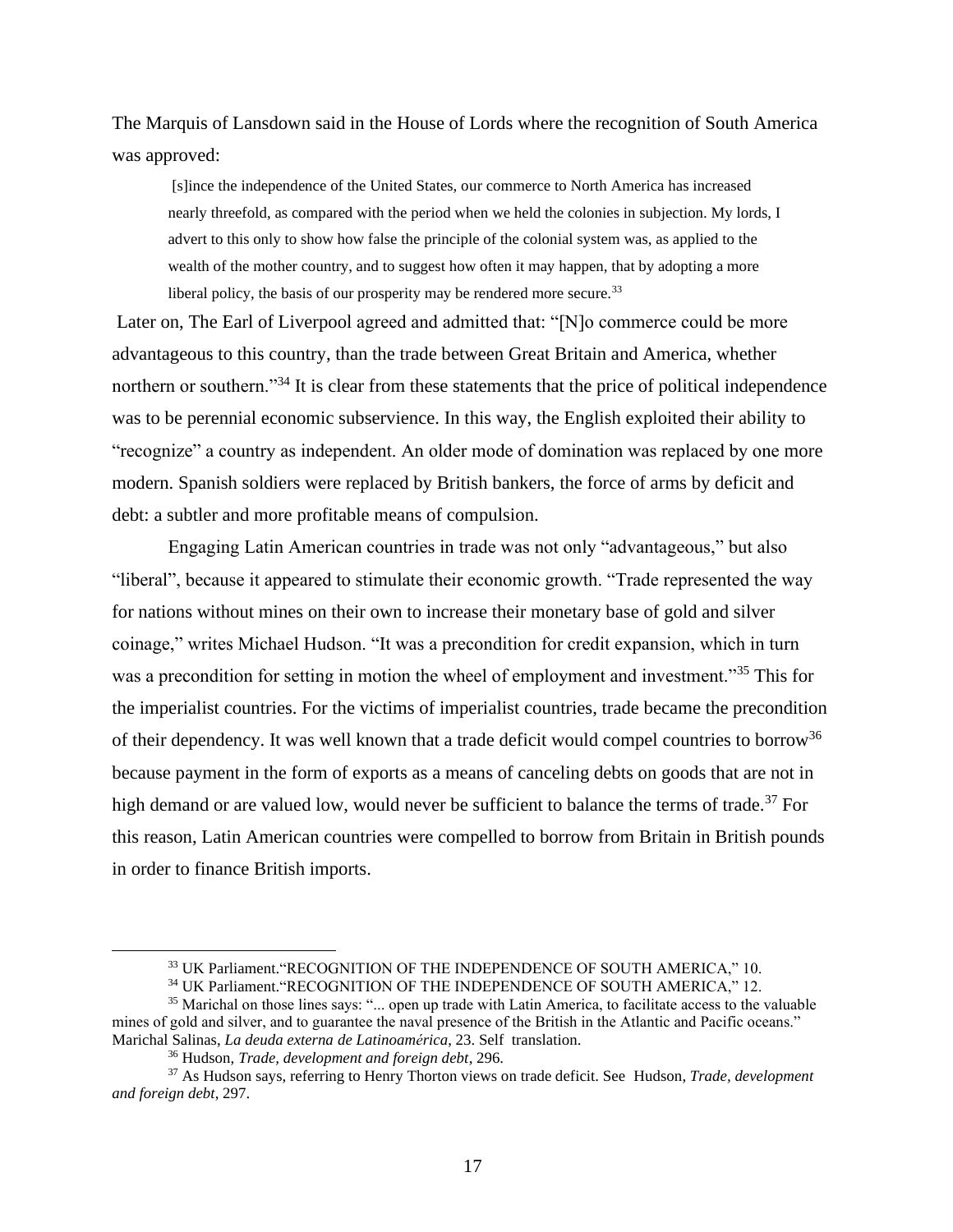The Marquis of Lansdown said in the House of Lords where the recognition of South America was approved:

[s]ince the independence of the United States, our commerce to North America has increased nearly threefold, as compared with the period when we held the colonies in subjection. My lords, I advert to this only to show how false the principle of the colonial system was, as applied to the wealth of the mother country, and to suggest how often it may happen, that by adopting a more liberal policy, the basis of our prosperity may be rendered more secure.<sup>33</sup>

Later on, The Earl of Liverpool agreed and admitted that: "[N]o commerce could be more advantageous to this country, than the trade between Great Britain and America, whether northern or southern."<sup>34</sup> It is clear from these statements that the price of political independence was to be perennial economic subservience. In this way, the English exploited their ability to "recognize" a country as independent. An older mode of domination was replaced by one more modern. Spanish soldiers were replaced by British bankers, the force of arms by deficit and debt: a subtler and more profitable means of compulsion.

Engaging Latin American countries in trade was not only "advantageous," but also "liberal", because it appeared to stimulate their economic growth. "Trade represented the way for nations without mines on their own to increase their monetary base of gold and silver coinage," writes Michael Hudson. "It was a precondition for credit expansion, which in turn was a precondition for setting in motion the wheel of employment and investment."<sup>35</sup> This for the imperialist countries. For the victims of imperialist countries, trade became the precondition of their dependency. It was well known that a trade deficit would compel countries to borrow<sup>36</sup> because payment in the form of exports as a means of canceling debts on goods that are not in high demand or are valued low, would never be sufficient to balance the terms of trade.<sup>37</sup> For this reason, Latin American countries were compelled to borrow from Britain in British pounds in order to finance British imports.

<sup>33</sup> UK Parliament."RECOGNITION OF THE INDEPENDENCE OF SOUTH AMERICA," 10.

<sup>&</sup>lt;sup>34</sup> UK Parliament. "RECOGNITION OF THE INDEPENDENCE OF SOUTH AMERICA," 12.

<sup>&</sup>lt;sup>35</sup> Marichal on those lines says: "... open up trade with Latin America, to facilitate access to the valuable mines of gold and silver, and to guarantee the naval presence of the British in the Atlantic and Pacific oceans." Marichal Salinas, *La deuda externa de Latinoamérica*, 23. Self translation.

<sup>36</sup> Hudson, *Trade, development and foreign debt*, 296.

<sup>37</sup> As Hudson says, referring to Henry Thorton views on trade deficit. See Hudson, *Trade, development and foreign debt*, 297.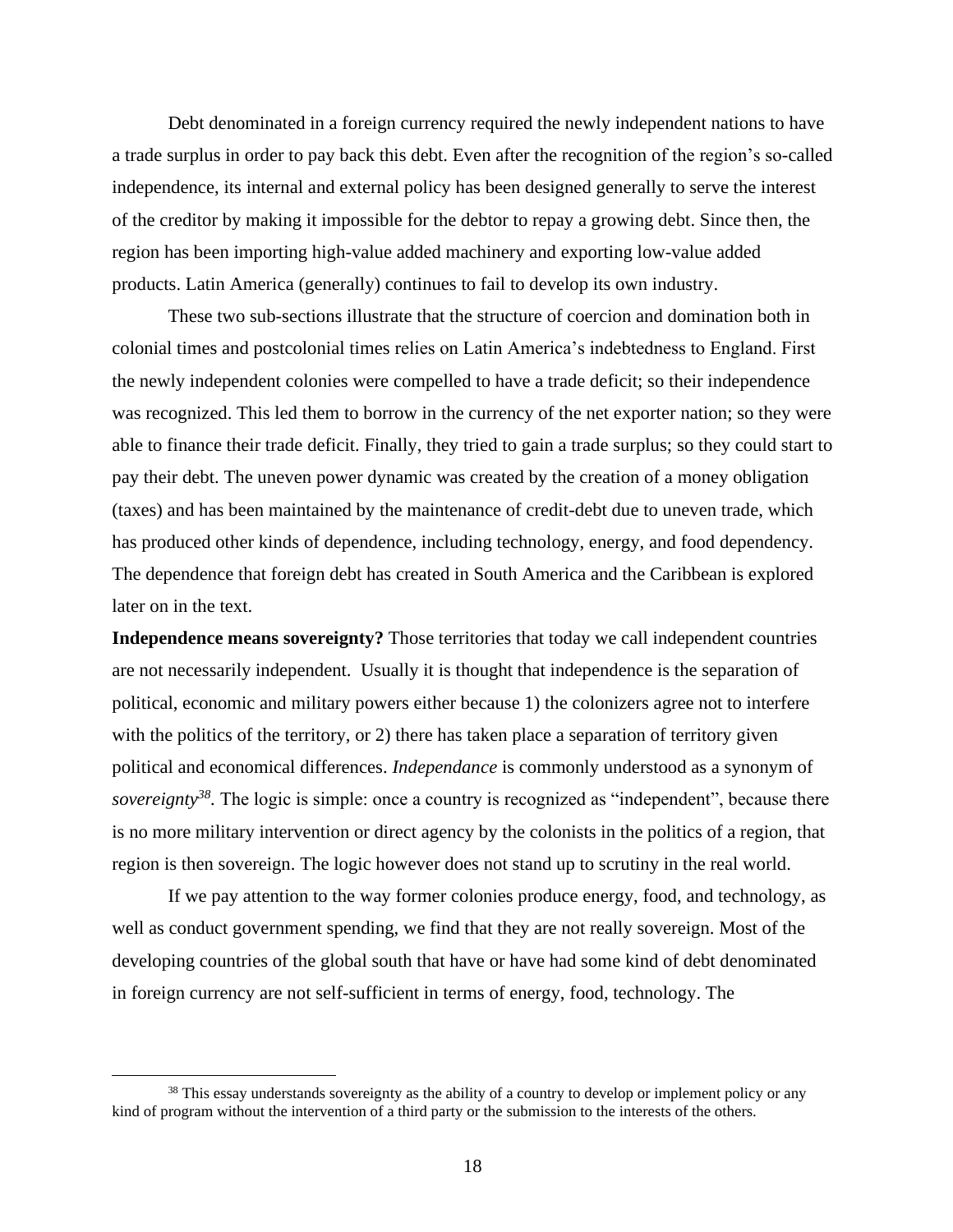Debt denominated in a foreign currency required the newly independent nations to have a trade surplus in order to pay back this debt. Even after the recognition of the region's so-called independence, its internal and external policy has been designed generally to serve the interest of the creditor by making it impossible for the debtor to repay a growing debt. Since then, the region has been importing high-value added machinery and exporting low-value added products. Latin America (generally) continues to fail to develop its own industry.

These two sub-sections illustrate that the structure of coercion and domination both in colonial times and postcolonial times relies on Latin America's indebtedness to England. First the newly independent colonies were compelled to have a trade deficit; so their independence was recognized. This led them to borrow in the currency of the net exporter nation; so they were able to finance their trade deficit. Finally, they tried to gain a trade surplus; so they could start to pay their debt. The uneven power dynamic was created by the creation of a money obligation (taxes) and has been maintained by the maintenance of credit-debt due to uneven trade, which has produced other kinds of dependence, including technology, energy, and food dependency. The dependence that foreign debt has created in South America and the Caribbean is explored later on in the text.

**Independence means sovereignty?** Those territories that today we call independent countries are not necessarily independent. Usually it is thought that independence is the separation of political, economic and military powers either because 1) the colonizers agree not to interfere with the politics of the territory, or 2) there has taken place a separation of territory given political and economical differences. *Independance* is commonly understood as a synonym of *sovereignty*<sup>38</sup>. The logic is simple: once a country is recognized as "independent", because there is no more military intervention or direct agency by the colonists in the politics of a region, that region is then sovereign. The logic however does not stand up to scrutiny in the real world.

If we pay attention to the way former colonies produce energy, food, and technology, as well as conduct government spending, we find that they are not really sovereign. Most of the developing countries of the global south that have or have had some kind of debt denominated in foreign currency are not self-sufficient in terms of energy, food, technology. The

<sup>&</sup>lt;sup>38</sup> This essay understands sovereignty as the ability of a country to develop or implement policy or any kind of program without the intervention of a third party or the submission to the interests of the others.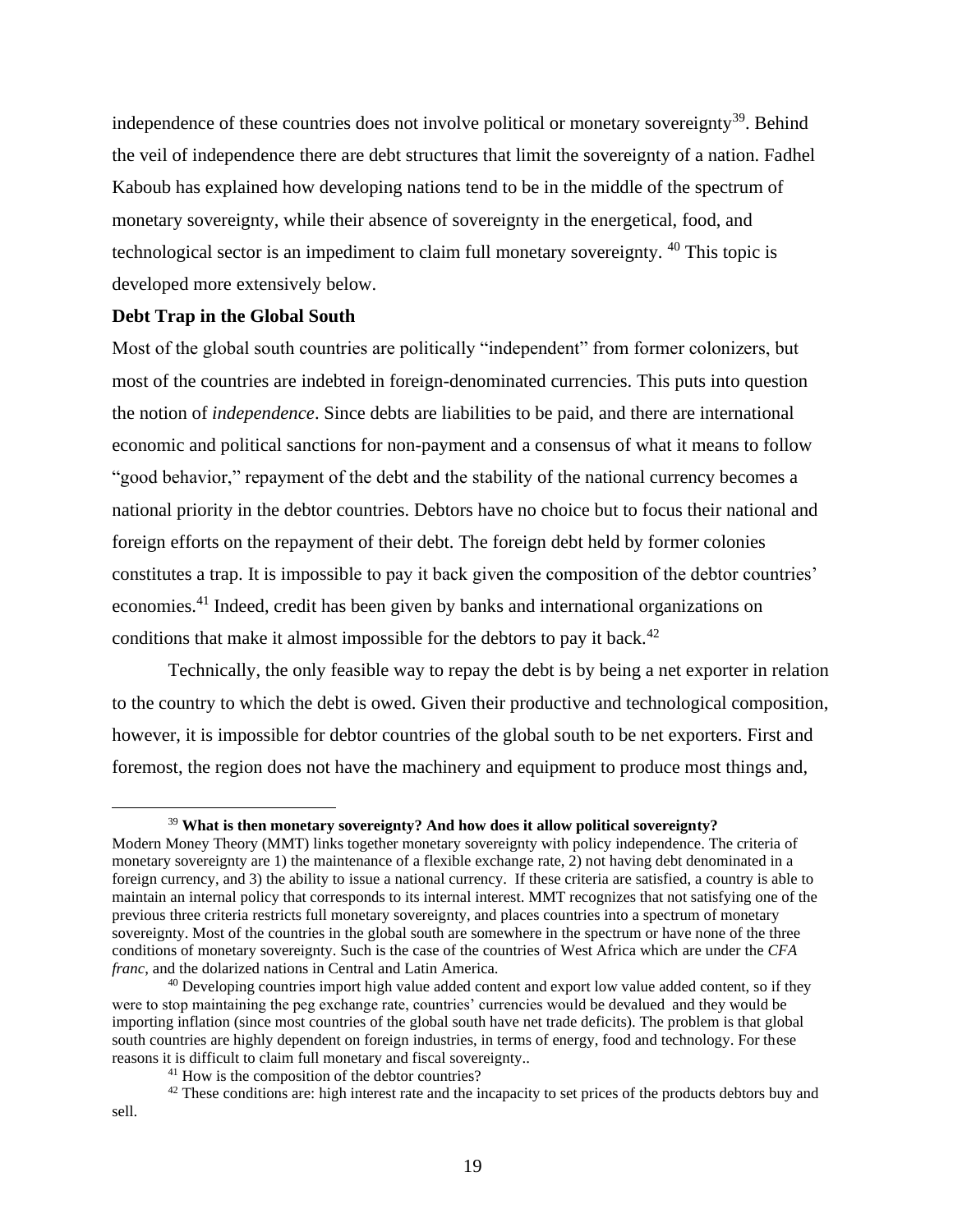independence of these countries does not involve political or monetary sovereignty<sup>39</sup>. Behind the veil of independence there are debt structures that limit the sovereignty of a nation. Fadhel Kaboub has explained how developing nations tend to be in the middle of the spectrum of monetary sovereignty, while their absence of sovereignty in the energetical, food, and technological sector is an impediment to claim full monetary sovereignty. <sup>40</sup> This topic is developed more extensively below.

### <span id="page-20-0"></span>**Debt Trap in the Global South**

Most of the global south countries are politically "independent" from former colonizers, but most of the countries are indebted in foreign-denominated currencies. This puts into question the notion of *independence*. Since debts are liabilities to be paid, and there are international economic and political sanctions for non-payment and a consensus of what it means to follow "good behavior," repayment of the debt and the stability of the national currency becomes a national priority in the debtor countries. Debtors have no choice but to focus their national and foreign efforts on the repayment of their debt. The foreign debt held by former colonies constitutes a trap. It is impossible to pay it back given the composition of the debtor countries' economies.<sup>41</sup> Indeed, credit has been given by banks and international organizations on conditions that make it almost impossible for the debtors to pay it back. $42$ 

Technically, the only feasible way to repay the debt is by being a net exporter in relation to the country to which the debt is owed. Given their productive and technological composition, however, it is impossible for debtor countries of the global south to be net exporters. First and foremost, the region does not have the machinery and equipment to produce most things and,

<sup>39</sup> **What is then monetary sovereignty? And how does it allow political sovereignty?** Modern Money Theory (MMT) links together monetary sovereignty with policy independence. The criteria of monetary sovereignty are 1) the maintenance of a flexible exchange rate, 2) not having debt denominated in a foreign currency, and 3) the ability to issue a national currency. If these criteria are satisfied, a country is able to maintain an internal policy that corresponds to its internal interest. MMT recognizes that not satisfying one of the previous three criteria restricts full monetary sovereignty, and places countries into a spectrum of monetary sovereignty. Most of the countries in the global south are somewhere in the spectrum or have none of the three conditions of monetary sovereignty. Such is the case of the countries of West Africa which are under the *CFA franc*, and the dolarized nations in Central and Latin America.

<sup>&</sup>lt;sup>40</sup> Developing countries import high value added content and export low value added content, so if they were to stop maintaining the peg exchange rate, countries' currencies would be devalued and they would be importing inflation (since most countries of the global south have net trade deficits). The problem is that global south countries are highly dependent on foreign industries, in terms of energy, food and technology. For these reasons it is difficult to claim full monetary and fiscal sovereignty..

<sup>41</sup> How is the composition of the debtor countries?

 $42$  These conditions are: high interest rate and the incapacity to set prices of the products debtors buy and sell.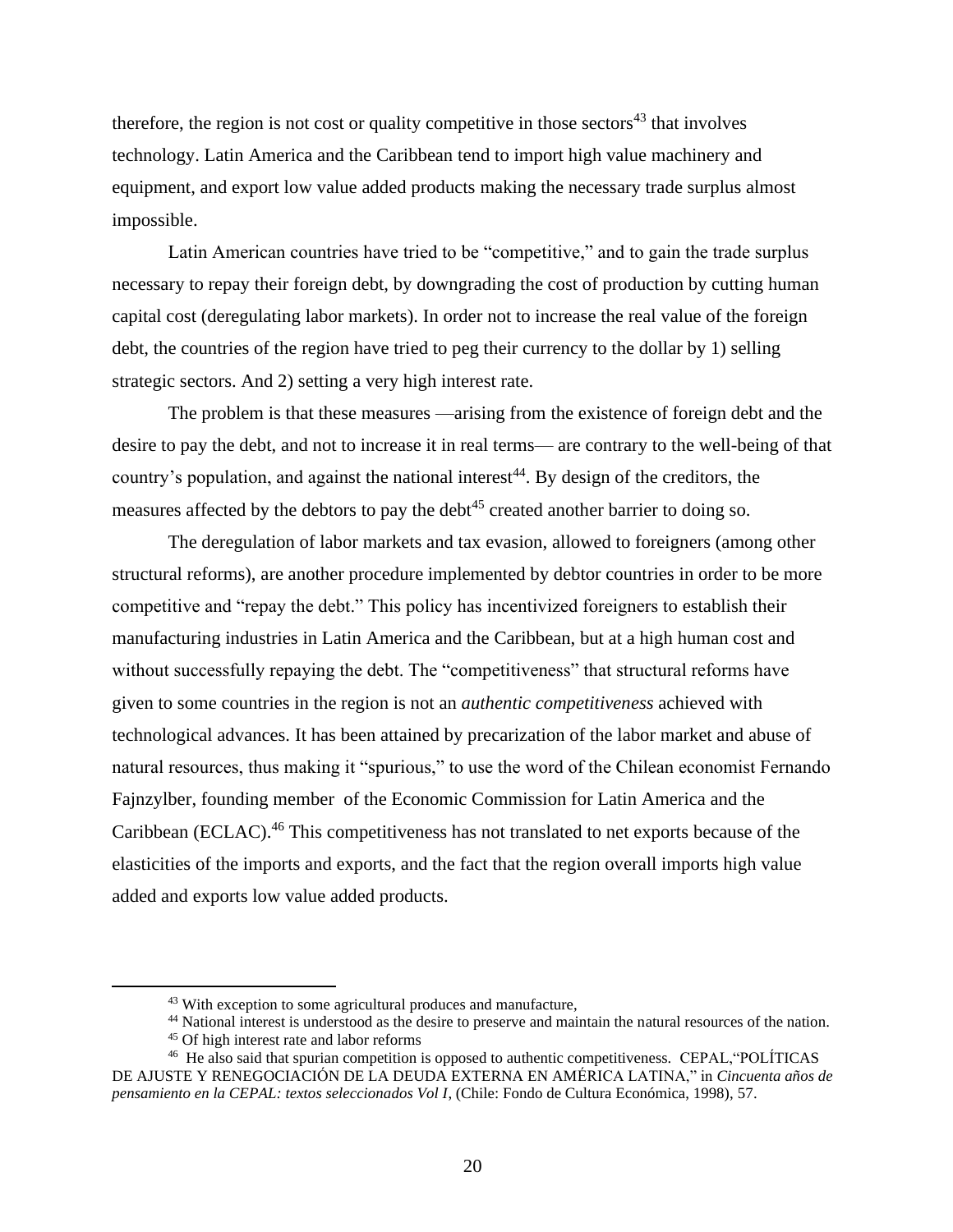therefore, the region is not cost or quality competitive in those sectors<sup>43</sup> that involves technology. Latin America and the Caribbean tend to import high value machinery and equipment, and export low value added products making the necessary trade surplus almost impossible.

Latin American countries have tried to be "competitive," and to gain the trade surplus necessary to repay their foreign debt, by downgrading the cost of production by cutting human capital cost (deregulating labor markets). In order not to increase the real value of the foreign debt, the countries of the region have tried to peg their currency to the dollar by 1) selling strategic sectors. And 2) setting a very high interest rate.

The problem is that these measures —arising from the existence of foreign debt and the desire to pay the debt, and not to increase it in real terms— are contrary to the well-being of that country's population, and against the national interest<sup>44</sup>. By design of the creditors, the measures affected by the debtors to pay the debt<sup>45</sup> created another barrier to doing so.

The deregulation of labor markets and tax evasion, allowed to foreigners (among other structural reforms), are another procedure implemented by debtor countries in order to be more competitive and "repay the debt." This policy has incentivized foreigners to establish their manufacturing industries in Latin America and the Caribbean, but at a high human cost and without successfully repaying the debt. The "competitiveness" that structural reforms have given to some countries in the region is not an *authentic competitiveness* achieved with technological advances. It has been attained by precarization of the labor market and abuse of natural resources, thus making it "spurious," to use the word of the Chilean economist Fernando Fajnzylber, founding member of the Economic Commission for Latin America and the Caribbean (ECLAC).<sup>46</sup> This competitiveness has not translated to net exports because of the elasticities of the imports and exports, and the fact that the region overall imports high value added and exports low value added products.

<sup>&</sup>lt;sup>43</sup> With exception to some agricultural produces and manufacture,

<sup>&</sup>lt;sup>44</sup> National interest is understood as the desire to preserve and maintain the natural resources of the nation.

<sup>&</sup>lt;sup>45</sup> Of high interest rate and labor reforms

<sup>&</sup>lt;sup>46</sup> He also said that spurian competition is opposed to authentic competitiveness. CEPAL, "POLÍTICAS" DE AJUSTE Y RENEGOCIACIÓN DE LA DEUDA EXTERNA EN AMÉRICA LATINA," in *Cincuenta años de pensamiento en la CEPAL: textos seleccionados Vol I*, (Chile: Fondo de Cultura Económica, 1998), 57.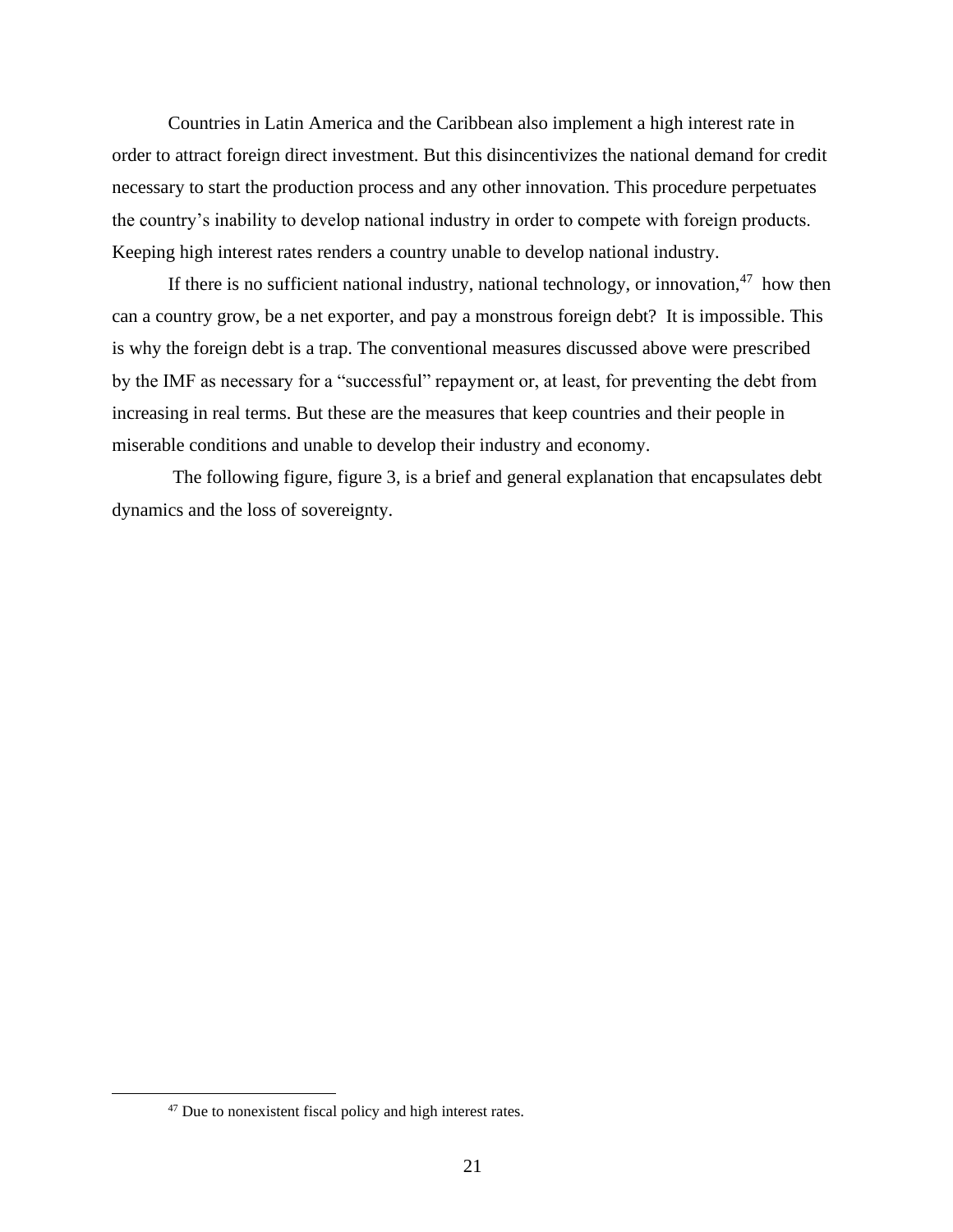Countries in Latin America and the Caribbean also implement a high interest rate in order to attract foreign direct investment. But this disincentivizes the national demand for credit necessary to start the production process and any other innovation. This procedure perpetuates the country's inability to develop national industry in order to compete with foreign products. Keeping high interest rates renders a country unable to develop national industry.

If there is no sufficient national industry, national technology, or innovation,  $47$  how then can a country grow, be a net exporter, and pay a monstrous foreign debt? It is impossible. This is why the foreign debt is a trap. The conventional measures discussed above were prescribed by the IMF as necessary for a "successful" repayment or, at least, for preventing the debt from increasing in real terms. But these are the measures that keep countries and their people in miserable conditions and unable to develop their industry and economy.

The following figure, figure 3, is a brief and general explanation that encapsulates debt dynamics and the loss of sovereignty.

<sup>47</sup> Due to nonexistent fiscal policy and high interest rates.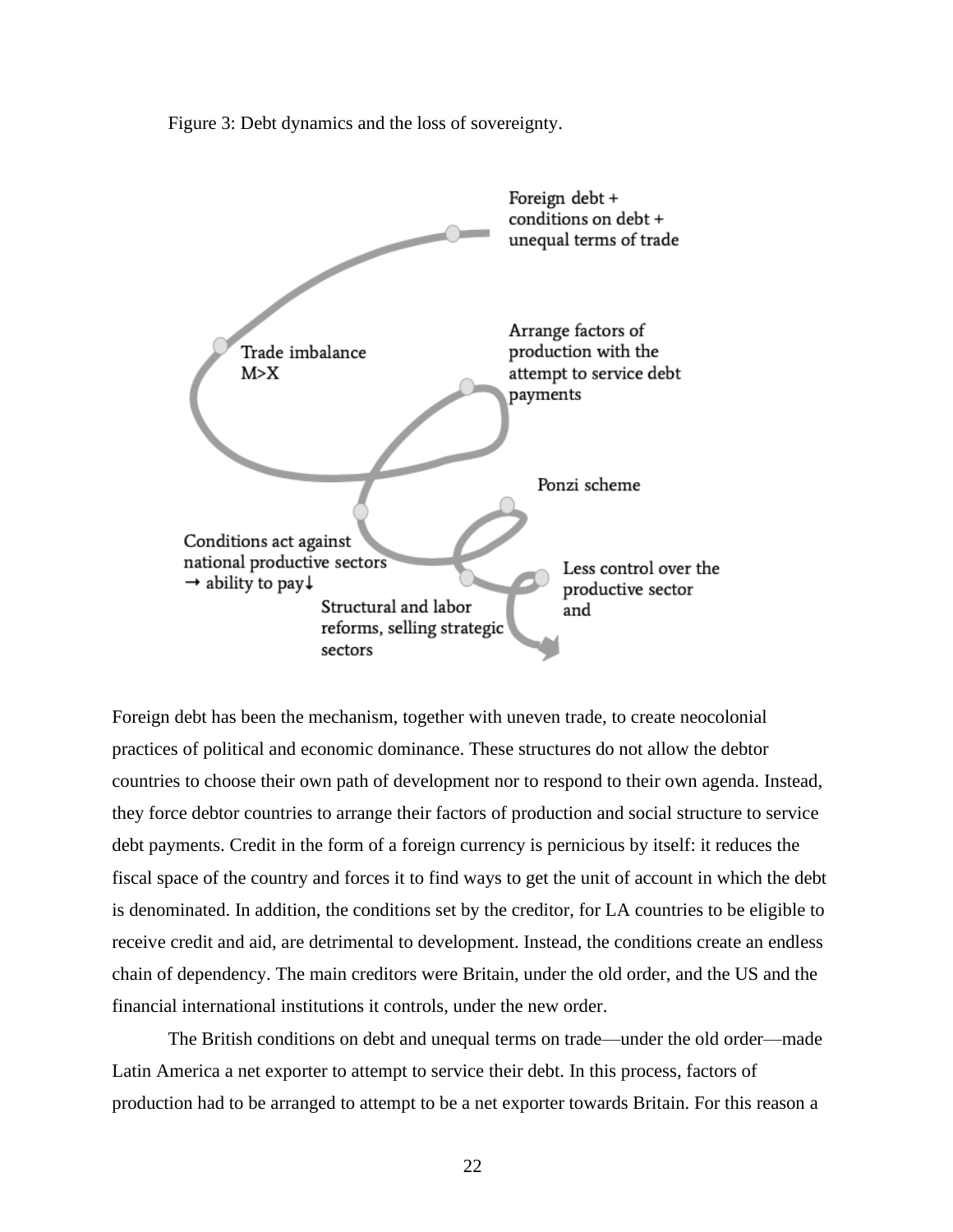Figure 3: Debt dynamics and the loss of sovereignty.



Foreign debt has been the mechanism, together with uneven trade, to create neocolonial practices of political and economic dominance. These structures do not allow the debtor countries to choose their own path of development nor to respond to their own agenda. Instead, they force debtor countries to arrange their factors of production and social structure to service debt payments. Credit in the form of a foreign currency is pernicious by itself: it reduces the fiscal space of the country and forces it to find ways to get the unit of account in which the debt is denominated. In addition, the conditions set by the creditor, for LA countries to be eligible to receive credit and aid, are detrimental to development. Instead, the conditions create an endless chain of dependency. The main creditors were Britain, under the old order, and the US and the financial international institutions it controls, under the new order.

The British conditions on debt and unequal terms on trade—under the old order—made Latin America a net exporter to attempt to service their debt. In this process, factors of production had to be arranged to attempt to be a net exporter towards Britain. For this reason a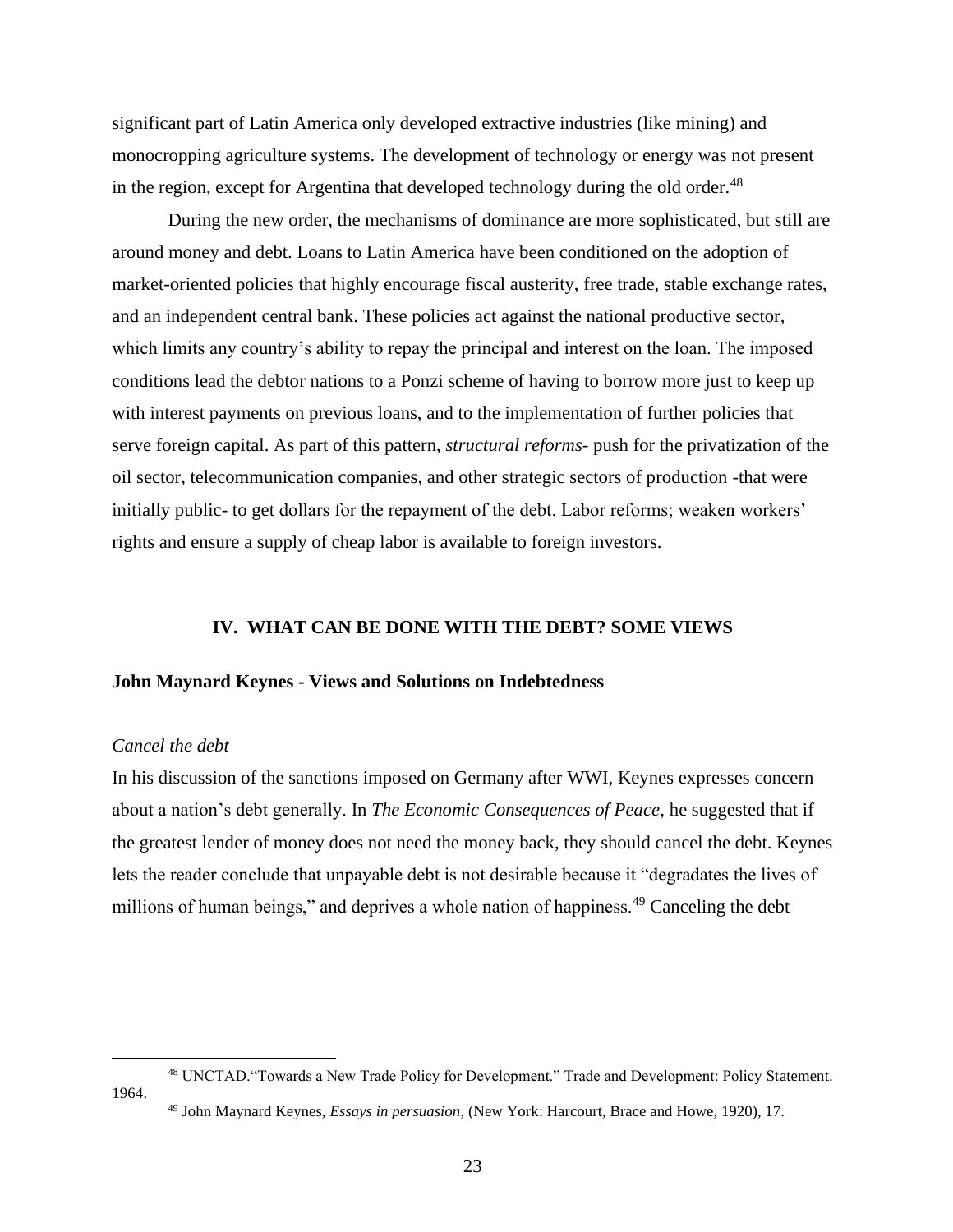significant part of Latin America only developed extractive industries (like mining) and monocropping agriculture systems. The development of technology or energy was not present in the region, except for Argentina that developed technology during the old order.<sup>48</sup>

During the new order, the mechanisms of dominance are more sophisticated, but still are around money and debt. Loans to Latin America have been conditioned on the adoption of market-oriented policies that highly encourage fiscal austerity, free trade, stable exchange rates, and an independent central bank. These policies act against the national productive sector, which limits any country's ability to repay the principal and interest on the loan. The imposed conditions lead the debtor nations to a Ponzi scheme of having to borrow more just to keep up with interest payments on previous loans, and to the implementation of further policies that serve foreign capital. As part of this pattern, *structural reforms-* push for the privatization of the oil sector, telecommunication companies, and other strategic sectors of production -that were initially public- to get dollars for the repayment of the debt. Labor reforms; weaken workers' rights and ensure a supply of cheap labor is available to foreign investors.

### **IV. WHAT CAN BE DONE WITH THE DEBT? SOME VIEWS**

#### <span id="page-24-1"></span><span id="page-24-0"></span>**John Maynard Keynes - Views and Solutions on Indebtedness**

## *Cancel the debt*

In his discussion of the sanctions imposed on Germany after WWI, Keynes expresses concern about a nation's debt generally. In *The Economic Consequences of Peace*, he suggested that if the greatest lender of money does not need the money back, they should cancel the debt. Keynes lets the reader conclude that unpayable debt is not desirable because it "degradates the lives of millions of human beings," and deprives a whole nation of happiness.<sup>49</sup> Canceling the debt

<sup>48</sup> UNCTAD."Towards a New Trade Policy for Development." Trade and Development: Policy Statement. 1964. <sup>49</sup> John Maynard Keynes, *Essays in persuasion*, (New York: Harcourt, Brace and Howe, 1920), 17.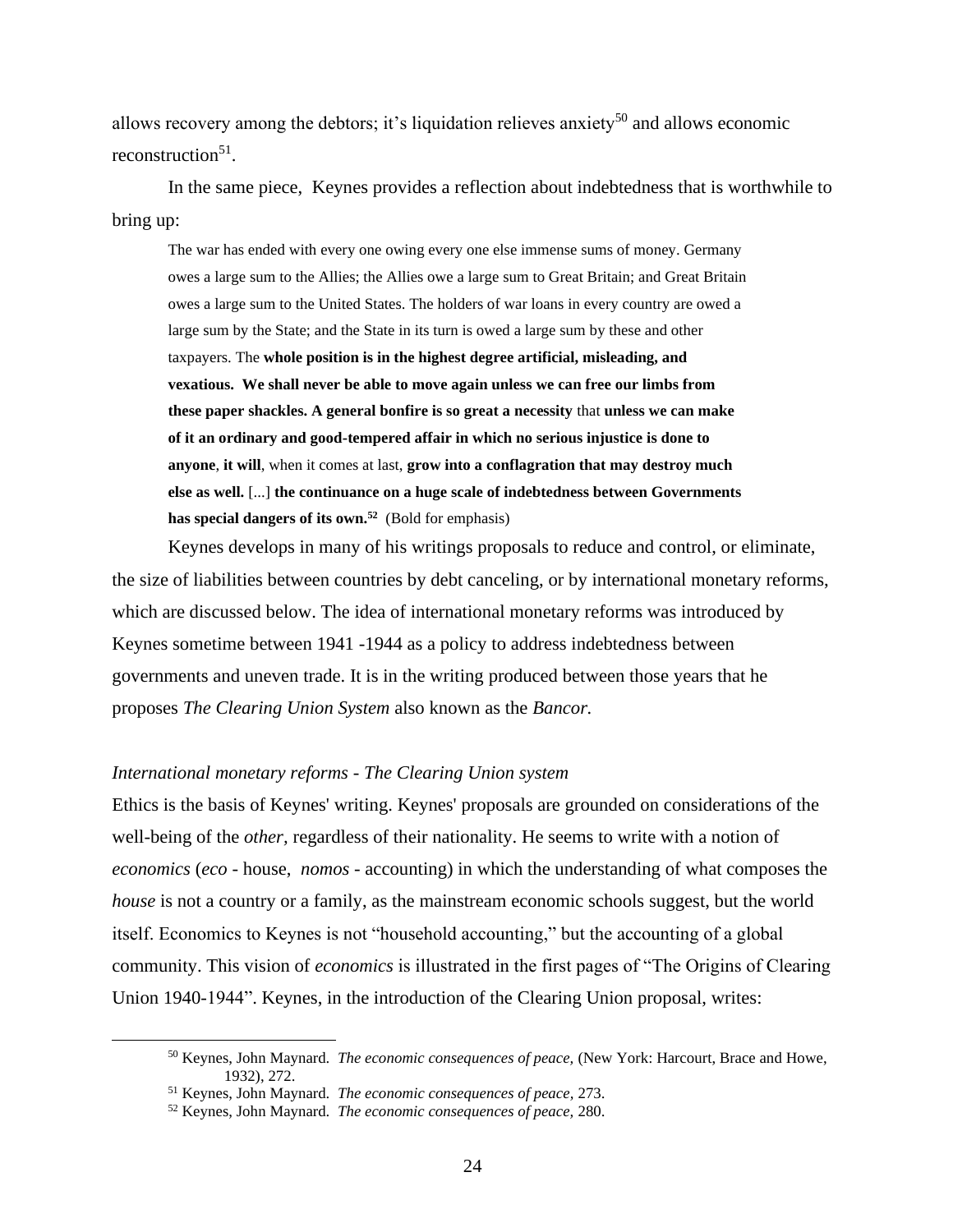allows recovery among the debtors; it's liquidation relieves anxiety<sup>50</sup> and allows economic reconstruction<sup>51</sup>.

In the same piece, Keynes provides a reflection about indebtedness that is worthwhile to bring up:

The war has ended with every one owing every one else immense sums of money. Germany owes a large sum to the Allies; the Allies owe a large sum to Great Britain; and Great Britain owes a large sum to the United States. The holders of war loans in every country are owed a large sum by the State; and the State in its turn is owed a large sum by these and other taxpayers. The **whole position is in the highest degree artificial, misleading, and vexatious. We shall never be able to move again unless we can free our limbs from these paper shackles. A general bonfire is so great a necessity** that **unless we can make of it an ordinary and good-tempered affair in which no serious injustice is done to anyone**, **it will**, when it comes at last, **grow into a conflagration that may destroy much else as well.** [...] **the continuance on a huge scale of indebtedness between Governments has special dangers of its own.<sup>52</sup>** (Bold for emphasis)

Keynes develops in many of his writings proposals to reduce and control, or eliminate, the size of liabilities between countries by debt canceling, or by international monetary reforms, which are discussed below. The idea of international monetary reforms was introduced by Keynes sometime between 1941 -1944 as a policy to address indebtedness between governments and uneven trade. It is in the writing produced between those years that he proposes *The Clearing Union System* also known as the *Bancor.* 

#### *International monetary reforms - The Clearing Union system*

Ethics is the basis of Keynes' writing. Keynes' proposals are grounded on considerations of the well-being of the *other,* regardless of their nationality. He seems to write with a notion of *economics* (*eco* - house, *nomos -* accounting) in which the understanding of what composes the *house* is not a country or a family, as the mainstream economic schools suggest, but the world itself. Economics to Keynes is not "household accounting," but the accounting of a global community. This vision of *economics* is illustrated in the first pages of "The Origins of Clearing Union 1940-1944". Keynes, in the introduction of the Clearing Union proposal, writes:

<sup>50</sup> Keynes, John Maynard. *The economic consequences of peace,* (New York: Harcourt, Brace and Howe, 1932), 272.

<sup>51</sup> Keynes, John Maynard. *The economic consequences of peace,* 273.

<sup>52</sup> Keynes, John Maynard. *The economic consequences of peace,* 280.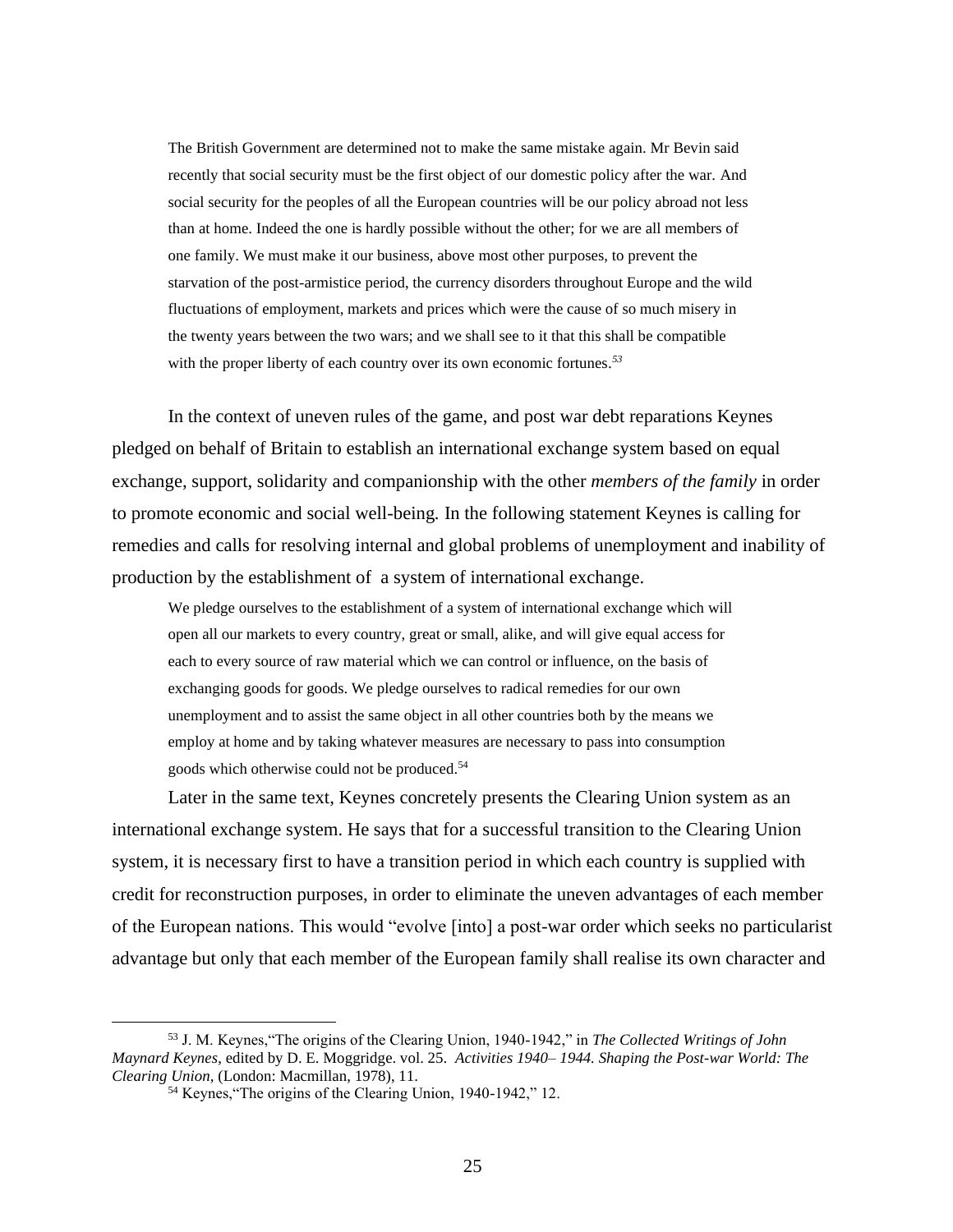The British Government are determined not to make the same mistake again. Mr Bevin said recently that social security must be the first object of our domestic policy after the war. And social security for the peoples of all the European countries will be our policy abroad not less than at home. Indeed the one is hardly possible without the other; for we are all members of one family. We must make it our business, above most other purposes, to prevent the starvation of the post-armistice period, the currency disorders throughout Europe and the wild fluctuations of employment, markets and prices which were the cause of so much misery in the twenty years between the two wars; and we shall see to it that this shall be compatible with the proper liberty of each country over its own economic fortunes*. 53*

In the context of uneven rules of the game, and post war debt reparations Keynes pledged on behalf of Britain to establish an international exchange system based on equal exchange, support, solidarity and companionship with the other *members of the family* in order to promote economic and social well-being*.* In the following statement Keynes is calling for remedies and calls for resolving internal and global problems of unemployment and inability of production by the establishment of a system of international exchange.

We pledge ourselves to the establishment of a system of international exchange which will open all our markets to every country, great or small, alike, and will give equal access for each to every source of raw material which we can control or influence, on the basis of exchanging goods for goods. We pledge ourselves to radical remedies for our own unemployment and to assist the same object in all other countries both by the means we employ at home and by taking whatever measures are necessary to pass into consumption goods which otherwise could not be produced.<sup>54</sup>

Later in the same text, Keynes concretely presents the Clearing Union system as an international exchange system. He says that for a successful transition to the Clearing Union system, it is necessary first to have a transition period in which each country is supplied with credit for reconstruction purposes, in order to eliminate the uneven advantages of each member of the European nations. This would "evolve [into] a post-war order which seeks no particularist advantage but only that each member of the European family shall realise its own character and

<sup>53</sup> J. M. Keynes,"The origins of the Clearing Union, 1940-1942," in *The Collected Writings of John Maynard Keynes*, edited by D. E. Moggridge. vol. 25. *Activities 1940– 1944. Shaping the Post-war World: The Clearing Union*, (London: Macmillan, 1978), 11.

<sup>54</sup> Keynes,"The origins of the Clearing Union, 1940-1942," 12.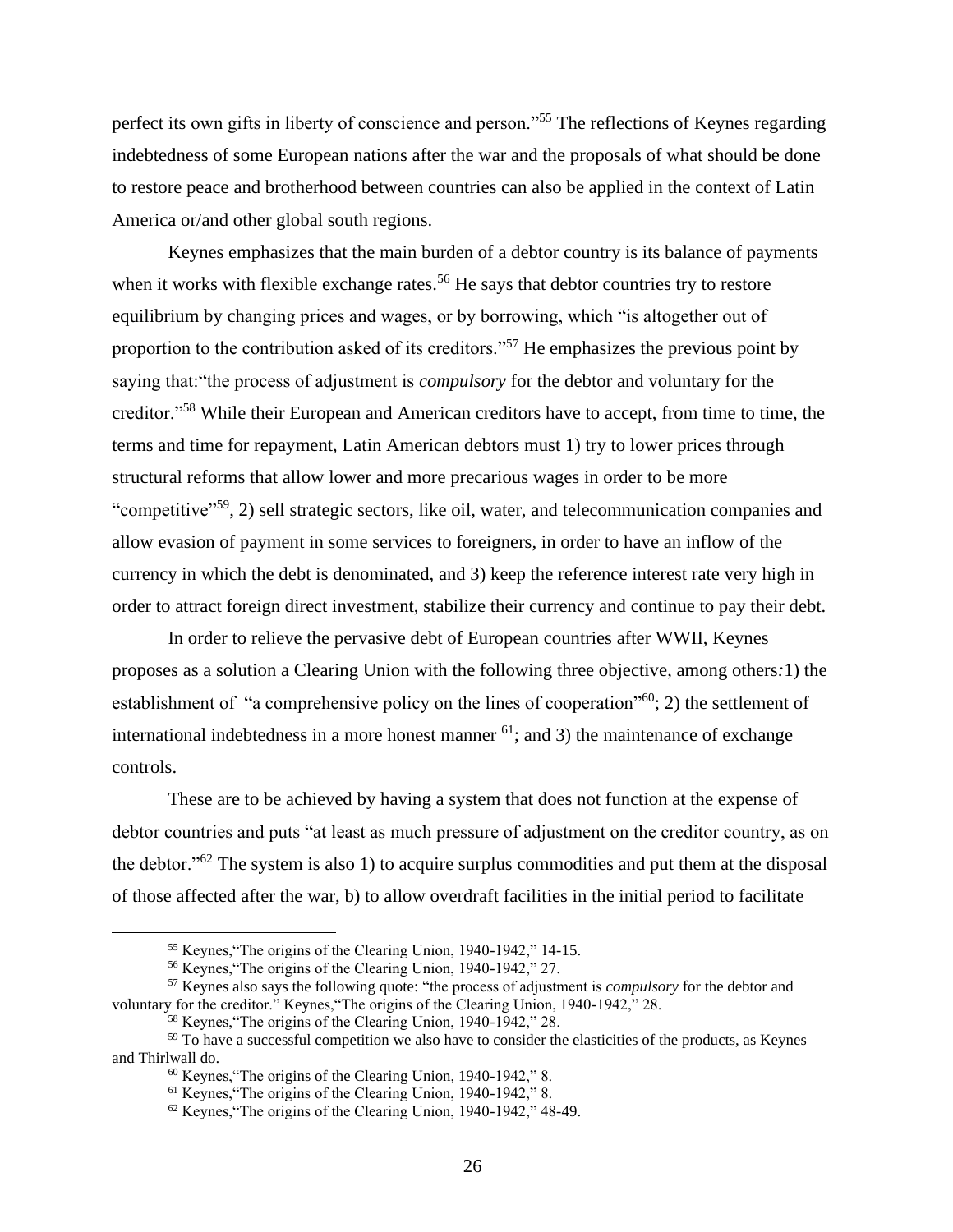perfect its own gifts in liberty of conscience and person."<sup>55</sup> The reflections of Keynes regarding indebtedness of some European nations after the war and the proposals of what should be done to restore peace and brotherhood between countries can also be applied in the context of Latin America or/and other global south regions.

Keynes emphasizes that the main burden of a debtor country is its balance of payments when it works with flexible exchange rates.<sup>56</sup> He says that debtor countries try to restore equilibrium by changing prices and wages, or by borrowing, which "is altogether out of proportion to the contribution asked of its creditors."<sup>57</sup> He emphasizes the previous point by saying that:"the process of adjustment is *compulsory* for the debtor and voluntary for the creditor."<sup>58</sup> While their European and American creditors have to accept, from time to time, the terms and time for repayment, Latin American debtors must 1) try to lower prices through structural reforms that allow lower and more precarious wages in order to be more "competitive"<sup>59</sup>, 2) sell strategic sectors, like oil, water, and telecommunication companies and allow evasion of payment in some services to foreigners, in order to have an inflow of the currency in which the debt is denominated, and 3) keep the reference interest rate very high in order to attract foreign direct investment, stabilize their currency and continue to pay their debt.

In order to relieve the pervasive debt of European countries after WWII, Keynes proposes as a solution a Clearing Union with the following three objective, among others*:*1) the establishment of "a comprehensive policy on the lines of cooperation"<sup>60</sup>; 2) the settlement of international indebtedness in a more honest manner  $^{61}$ ; and 3) the maintenance of exchange controls.

These are to be achieved by having a system that does not function at the expense of debtor countries and puts "at least as much pressure of adjustment on the creditor country, as on the debtor."<sup>62</sup> The system is also 1) to acquire surplus commodities and put them at the disposal of those affected after the war, b) to allow overdraft facilities in the initial period to facilitate

<sup>55</sup> Keynes,"The origins of the Clearing Union, 1940-1942," 14-15.

<sup>56</sup> Keynes,"The origins of the Clearing Union, 1940-1942," 27.

<sup>57</sup> Keynes also says the following quote: "the process of adjustment is *compulsory* for the debtor and voluntary for the creditor." Keynes,"The origins of the Clearing Union, 1940-1942," 28.

<sup>58</sup> Keynes,"The origins of the Clearing Union, 1940-1942," 28.

<sup>&</sup>lt;sup>59</sup> To have a successful competition we also have to consider the elasticities of the products, as Keynes and Thirlwall do.

<sup>60</sup> Keynes,"The origins of the Clearing Union, 1940-1942," 8.

<sup>61</sup> Keynes,"The origins of the Clearing Union, 1940-1942," 8.

<sup>62</sup> Keynes,"The origins of the Clearing Union, 1940-1942," 48-49.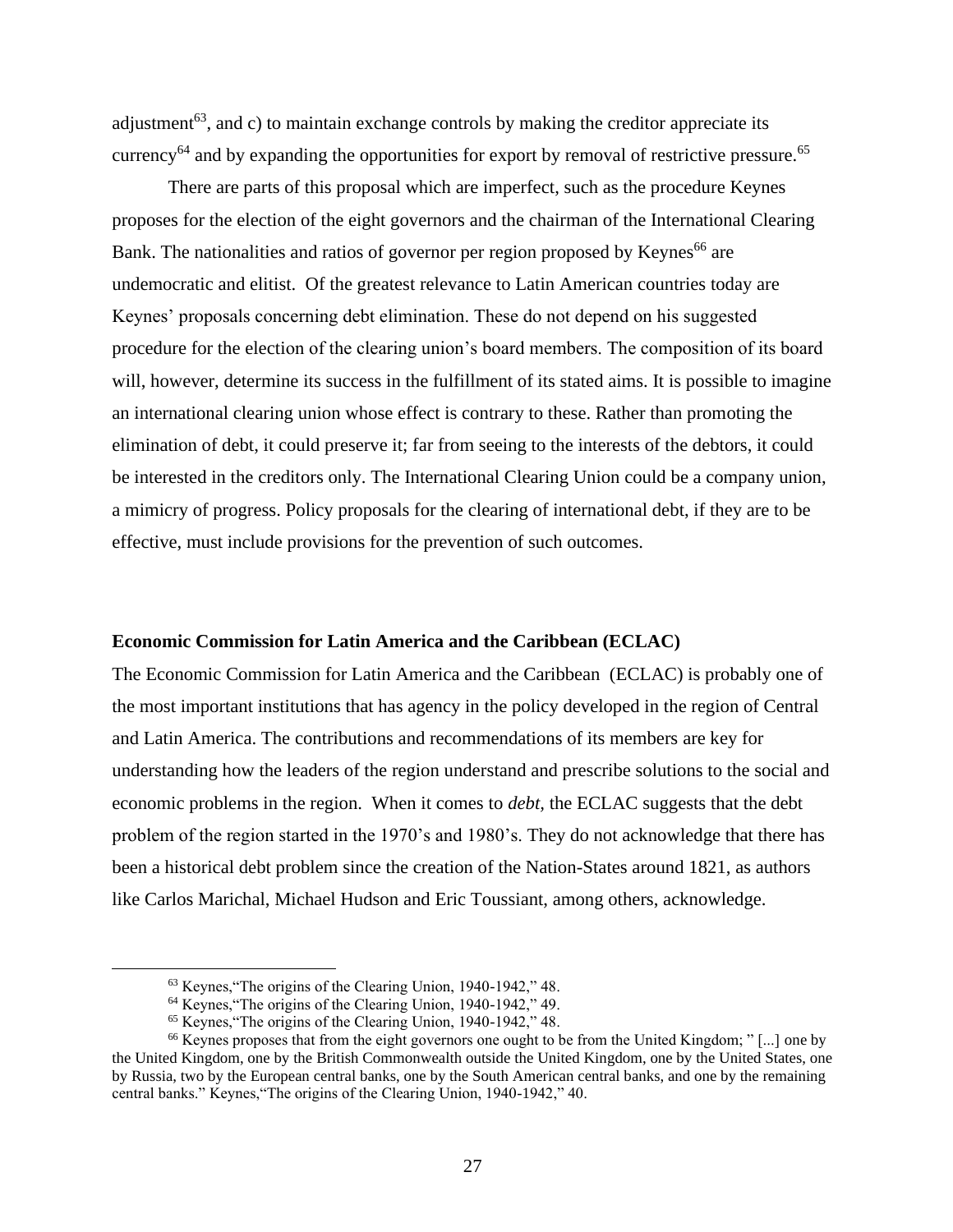adjustment<sup>63</sup>, and c) to maintain exchange controls by making the creditor appreciate its currency<sup>64</sup> and by expanding the opportunities for export by removal of restrictive pressure.<sup>65</sup>

There are parts of this proposal which are imperfect, such as the procedure Keynes proposes for the election of the eight governors and the chairman of the International Clearing Bank. The nationalities and ratios of governor per region proposed by Keynes<sup>66</sup> are undemocratic and elitist. Of the greatest relevance to Latin American countries today are Keynes' proposals concerning debt elimination. These do not depend on his suggested procedure for the election of the clearing union's board members. The composition of its board will, however, determine its success in the fulfillment of its stated aims. It is possible to imagine an international clearing union whose effect is contrary to these. Rather than promoting the elimination of debt, it could preserve it; far from seeing to the interests of the debtors, it could be interested in the creditors only. The International Clearing Union could be a company union, a mimicry of progress. Policy proposals for the clearing of international debt, if they are to be effective, must include provisions for the prevention of such outcomes.

#### <span id="page-28-0"></span>**Economic Commission for Latin America and the Caribbean (ECLAC)**

The Economic Commission for Latin America and the Caribbean (ECLAC) is probably one of the most important institutions that has agency in the policy developed in the region of Central and Latin America. The contributions and recommendations of its members are key for understanding how the leaders of the region understand and prescribe solutions to the social and economic problems in the region. When it comes to *debt,* the ECLAC suggests that the debt problem of the region started in the 1970's and 1980's. They do not acknowledge that there has been a historical debt problem since the creation of the Nation-States around 1821, as authors like Carlos Marichal, Michael Hudson and Eric Toussiant, among others, acknowledge.

<sup>63</sup> Keynes,"The origins of the Clearing Union, 1940-1942," 48.

<sup>64</sup> Keynes,"The origins of the Clearing Union, 1940-1942," 49.

<sup>65</sup> Keynes,"The origins of the Clearing Union, 1940-1942," 48.

<sup>66</sup> Keynes proposes that from the eight governors one ought to be from the United Kingdom; " [...] one by the United Kingdom, one by the British Commonwealth outside the United Kingdom, one by the United States, one by Russia, two by the European central banks, one by the South American central banks, and one by the remaining central banks." Keynes,"The origins of the Clearing Union, 1940-1942," 40.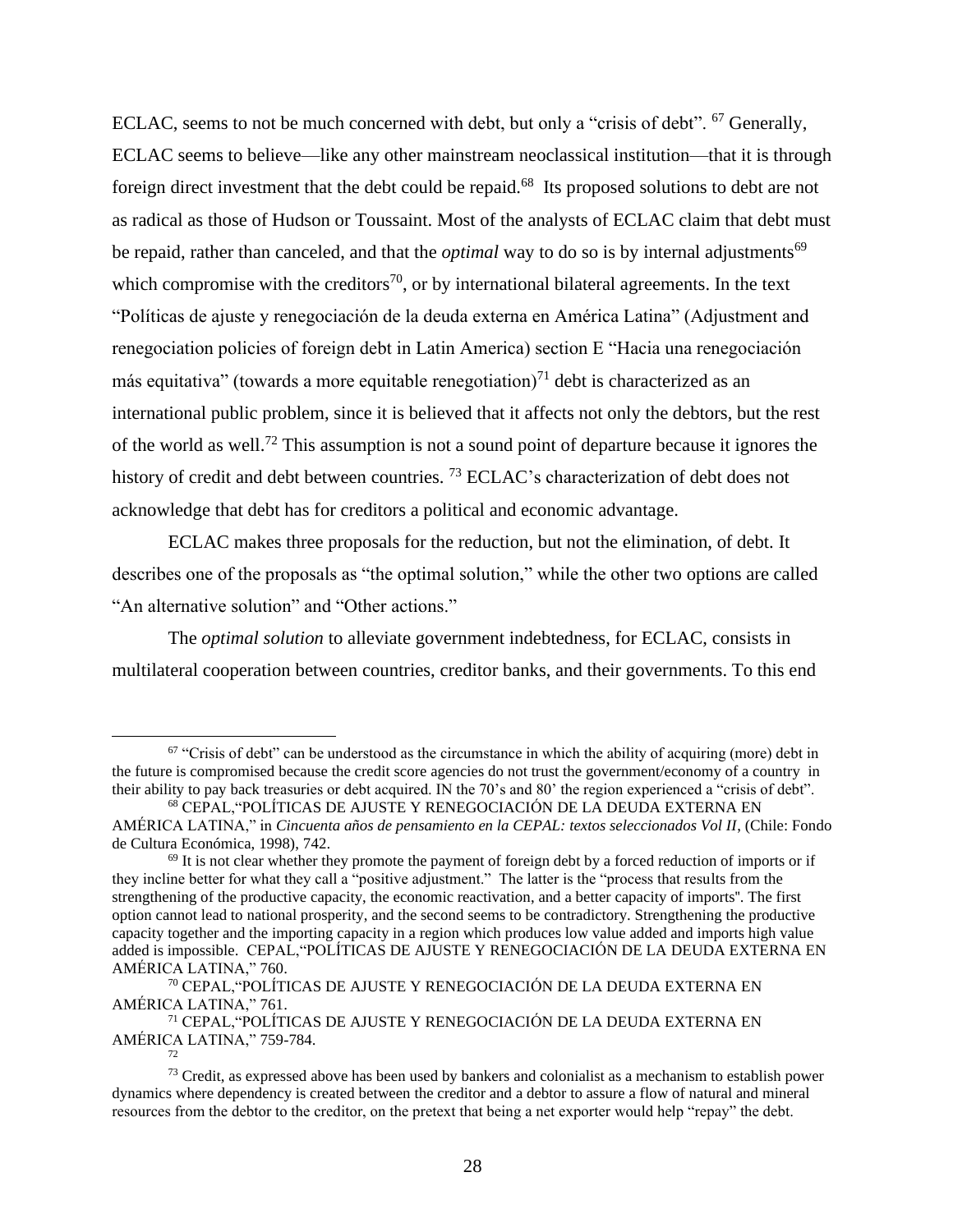ECLAC, seems to not be much concerned with debt, but only a "crisis of debt". <sup>67</sup> Generally, ECLAC seems to believe—like any other mainstream neoclassical institution—that it is through foreign direct investment that the debt could be repaid.<sup>68</sup> Its proposed solutions to debt are not as radical as those of Hudson or Toussaint. Most of the analysts of ECLAC claim that debt must be repaid, rather than canceled, and that the *optimal* way to do so is by internal adjustments<sup>69</sup> which compromise with the creditors<sup>70</sup>, or by international bilateral agreements. In the text "Políticas de ajuste y renegociación de la deuda externa en América Latina" (Adjustment and renegociation policies of foreign debt in Latin America) section E "Hacia una renegociación más equitativa" (towards a more equitable renegotiation)<sup>71</sup> debt is characterized as an international public problem, since it is believed that it affects not only the debtors, but the rest of the world as well.<sup>72</sup> This assumption is not a sound point of departure because it ignores the history of credit and debt between countries.<sup>73</sup> ECLAC's characterization of debt does not acknowledge that debt has for creditors a political and economic advantage.

ECLAC makes three proposals for the reduction, but not the elimination, of debt. It describes one of the proposals as "the optimal solution," while the other two options are called "An alternative solution" and "Other actions."

The *optimal solution* to alleviate government indebtedness, for ECLAC, consists in multilateral cooperation between countries, creditor banks, and their governments. To this end

<sup>71</sup> CEPAL,"POLÍTICAS DE AJUSTE Y RENEGOCIACIÓN DE LA DEUDA EXTERNA EN AMÉRICA LATINA," 759-784. 72

 $67$  "Crisis of debt" can be understood as the circumstance in which the ability of acquiring (more) debt in the future is compromised because the credit score agencies do not trust the government/economy of a country in their ability to pay back treasuries or debt acquired. IN the 70's and 80' the region experienced a "crisis of debt".

<sup>68</sup> CEPAL,"POLÍTICAS DE AJUSTE Y RENEGOCIACIÓN DE LA DEUDA EXTERNA EN AMÉRICA LATINA," in *Cincuenta años de pensamiento en la CEPAL: textos seleccionados Vol II*, (Chile: Fondo de Cultura Económica, 1998), 742.

 $69$  It is not clear whether they promote the payment of foreign debt by a forced reduction of imports or if they incline better for what they call a "positive adjustment." The latter is the "process that results from the strengthening of the productive capacity, the economic reactivation, and a better capacity of imports''. The first option cannot lead to national prosperity, and the second seems to be contradictory. Strengthening the productive capacity together and the importing capacity in a region which produces low value added and imports high value added is impossible. CEPAL,"POLÍTICAS DE AJUSTE Y RENEGOCIACIÓN DE LA DEUDA EXTERNA EN AMÉRICA LATINA," 760.

<sup>70</sup> CEPAL,"POLÍTICAS DE AJUSTE Y RENEGOCIACIÓN DE LA DEUDA EXTERNA EN AMÉRICA LATINA," 761.

 $73$  Credit, as expressed above has been used by bankers and colonialist as a mechanism to establish power dynamics where dependency is created between the creditor and a debtor to assure a flow of natural and mineral resources from the debtor to the creditor, on the pretext that being a net exporter would help "repay" the debt.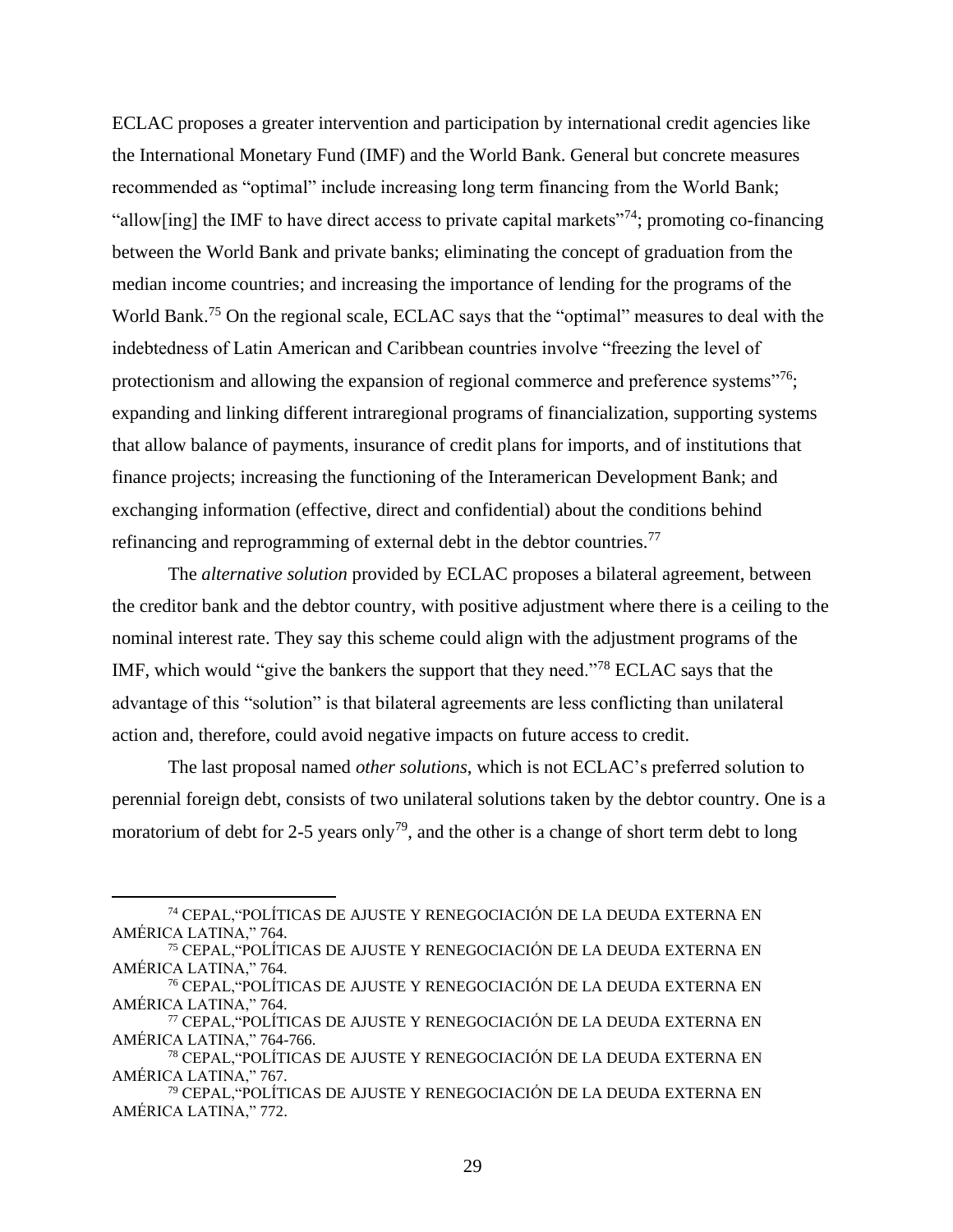ECLAC proposes a greater intervention and participation by international credit agencies like the International Monetary Fund (IMF) and the World Bank. General but concrete measures recommended as "optimal" include increasing long term financing from the World Bank; "allow[ing] the IMF to have direct access to private capital markets"<sup>74</sup>; promoting co-financing between the World Bank and private banks; eliminating the concept of graduation from the median income countries; and increasing the importance of lending for the programs of the World Bank.<sup>75</sup> On the regional scale, ECLAC says that the "optimal" measures to deal with the indebtedness of Latin American and Caribbean countries involve "freezing the level of protectionism and allowing the expansion of regional commerce and preference systems"<sup>76</sup>; expanding and linking different intraregional programs of financialization, supporting systems that allow balance of payments, insurance of credit plans for imports, and of institutions that finance projects; increasing the functioning of the Interamerican Development Bank; and exchanging information (effective, direct and confidential) about the conditions behind refinancing and reprogramming of external debt in the debtor countries.<sup>77</sup>

The *alternative solution* provided by ECLAC proposes a bilateral agreement, between the creditor bank and the debtor country, with positive adjustment where there is a ceiling to the nominal interest rate. They say this scheme could align with the adjustment programs of the IMF, which would "give the bankers the support that they need."<sup>78</sup> ECLAC says that the advantage of this "solution" is that bilateral agreements are less conflicting than unilateral action and, therefore, could avoid negative impacts on future access to credit.

The last proposal named *other solutions*, which is not ECLAC's preferred solution to perennial foreign debt, consists of two unilateral solutions taken by the debtor country. One is a moratorium of debt for 2-5 years only<sup>79</sup>, and the other is a change of short term debt to long

<sup>74</sup> CEPAL,"POLÍTICAS DE AJUSTE Y RENEGOCIACIÓN DE LA DEUDA EXTERNA EN AMÉRICA LATINA," 764.

<sup>75</sup> CEPAL,"POLÍTICAS DE AJUSTE Y RENEGOCIACIÓN DE LA DEUDA EXTERNA EN AMÉRICA LATINA," 764.

<sup>76</sup> CEPAL,"POLÍTICAS DE AJUSTE Y RENEGOCIACIÓN DE LA DEUDA EXTERNA EN AMÉRICA LATINA," 764.

<sup>77</sup> CEPAL,"POLÍTICAS DE AJUSTE Y RENEGOCIACIÓN DE LA DEUDA EXTERNA EN AMÉRICA LATINA," 764-766.

<sup>78</sup> CEPAL,"POLÍTICAS DE AJUSTE Y RENEGOCIACIÓN DE LA DEUDA EXTERNA EN AMÉRICA LATINA," 767.

<sup>79</sup> CEPAL,"POLÍTICAS DE AJUSTE Y RENEGOCIACIÓN DE LA DEUDA EXTERNA EN AMÉRICA LATINA," 772.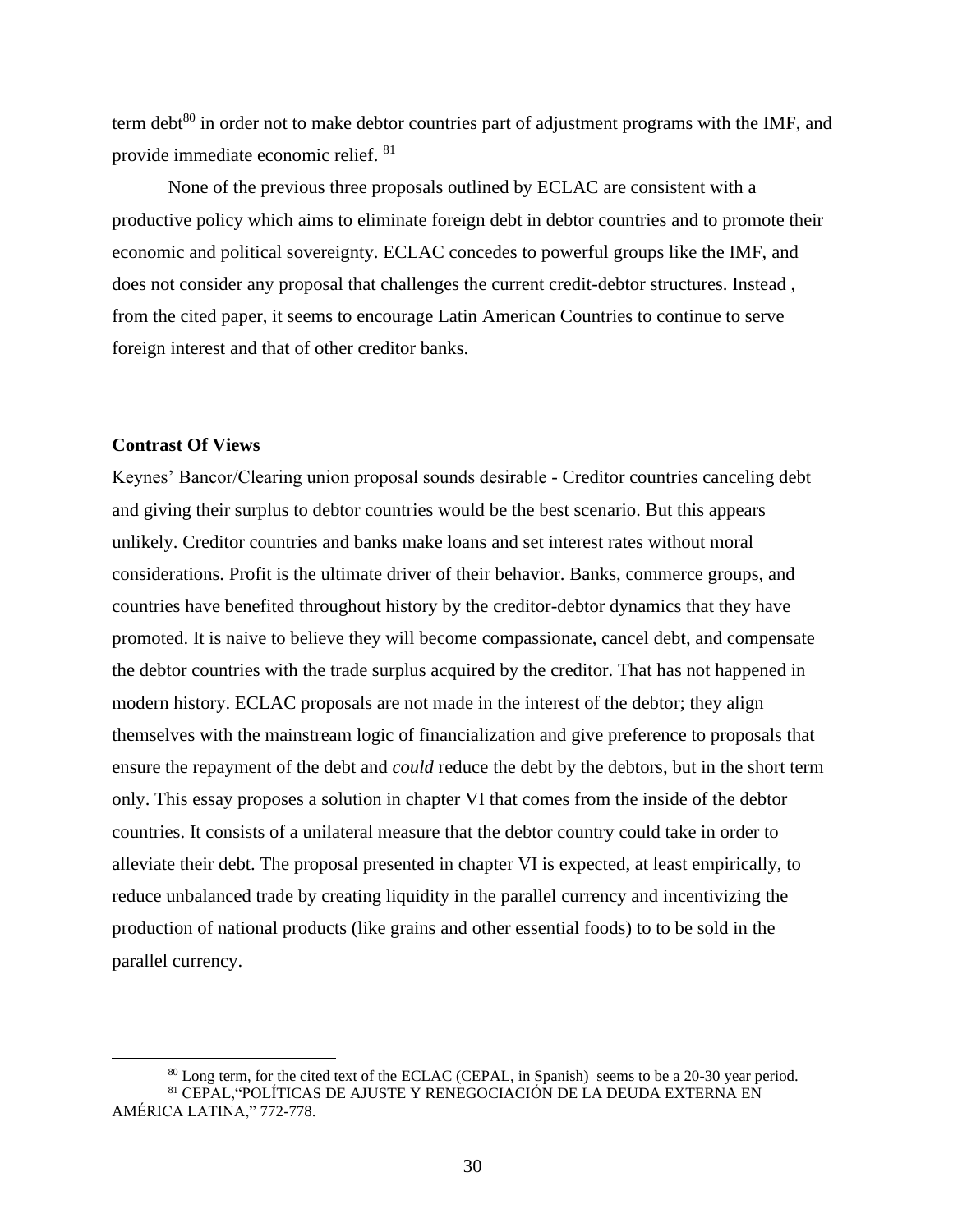term debt $^{80}$  in order not to make debtor countries part of adjustment programs with the IMF, and provide immediate economic relief. <sup>81</sup>

None of the previous three proposals outlined by ECLAC are consistent with a productive policy which aims to eliminate foreign debt in debtor countries and to promote their economic and political sovereignty. ECLAC concedes to powerful groups like the IMF, and does not consider any proposal that challenges the current credit-debtor structures. Instead , from the cited paper, it seems to encourage Latin American Countries to continue to serve foreign interest and that of other creditor banks.

# <span id="page-31-0"></span>**Contrast Of Views**

Keynes' Bancor/Clearing union proposal sounds desirable - Creditor countries canceling debt and giving their surplus to debtor countries would be the best scenario. But this appears unlikely. Creditor countries and banks make loans and set interest rates without moral considerations. Profit is the ultimate driver of their behavior. Banks, commerce groups, and countries have benefited throughout history by the creditor-debtor dynamics that they have promoted. It is naive to believe they will become compassionate, cancel debt, and compensate the debtor countries with the trade surplus acquired by the creditor. That has not happened in modern history. ECLAC proposals are not made in the interest of the debtor; they align themselves with the mainstream logic of financialization and give preference to proposals that ensure the repayment of the debt and *could* reduce the debt by the debtors, but in the short term only. This essay proposes a solution in chapter VI that comes from the inside of the debtor countries. It consists of a unilateral measure that the debtor country could take in order to alleviate their debt. The proposal presented in chapter VI is expected, at least empirically, to reduce unbalanced trade by creating liquidity in the parallel currency and incentivizing the production of national products (like grains and other essential foods) to to be sold in the parallel currency.

<sup>&</sup>lt;sup>80</sup> Long term, for the cited text of the ECLAC (CEPAL, in Spanish) seems to be a 20-30 year period. <sup>81</sup> CEPAL,"POLÍTICAS DE AJUSTE Y RENEGOCIACIÓN DE LA DEUDA EXTERNA EN

AMÉRICA LATINA," 772-778.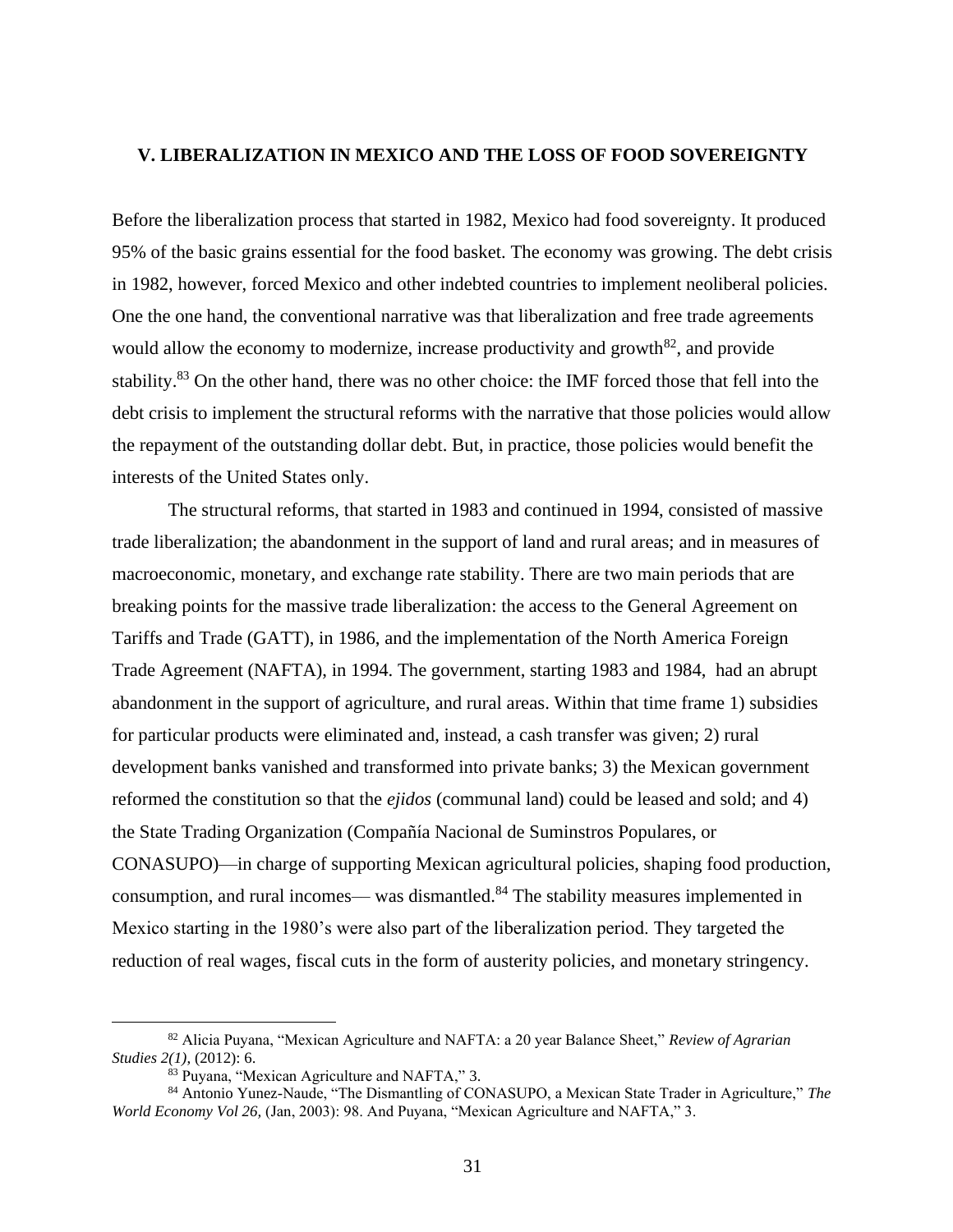### <span id="page-32-0"></span>**V. LIBERALIZATION IN MEXICO AND THE LOSS OF FOOD SOVEREIGNTY**

Before the liberalization process that started in 1982, Mexico had food sovereignty. It produced 95% of the basic grains essential for the food basket. The economy was growing. The debt crisis in 1982, however, forced Mexico and other indebted countries to implement neoliberal policies. One the one hand, the conventional narrative was that liberalization and free trade agreements would allow the economy to modernize, increase productivity and growth<sup>82</sup>, and provide stability.<sup>83</sup> On the other hand, there was no other choice: the IMF forced those that fell into the debt crisis to implement the structural reforms with the narrative that those policies would allow the repayment of the outstanding dollar debt. But, in practice, those policies would benefit the interests of the United States only.

The structural reforms, that started in 1983 and continued in 1994, consisted of massive trade liberalization; the abandonment in the support of land and rural areas; and in measures of macroeconomic, monetary, and exchange rate stability. There are two main periods that are breaking points for the massive trade liberalization: the access to the General Agreement on Tariffs and Trade (GATT), in 1986, and the implementation of the North America Foreign Trade Agreement (NAFTA), in 1994. The government, starting 1983 and 1984, had an abrupt abandonment in the support of agriculture, and rural areas. Within that time frame 1) subsidies for particular products were eliminated and, instead, a cash transfer was given; 2) rural development banks vanished and transformed into private banks; 3) the Mexican government reformed the constitution so that the *ejidos* (communal land) could be leased and sold; and 4) the State Trading Organization (Compañía Nacional de Suminstros Populares, or CONASUPO)––in charge of supporting Mexican agricultural policies, shaping food production, consumption, and rural incomes–– was dismantled.<sup>84</sup> The stability measures implemented in Mexico starting in the 1980's were also part of the liberalization period. They targeted the reduction of real wages, fiscal cuts in the form of austerity policies, and monetary stringency.

<sup>82</sup> Alicia Puyana, "Mexican Agriculture and NAFTA: a 20 year Balance Sheet," *Review of Agrarian Studies 2(1)*, (2012): 6.

<sup>83</sup> Puyana, "Mexican Agriculture and NAFTA," 3.

<sup>84</sup> Antonio Yunez-Naude, "The Dismantling of CONASUPO, a Mexican State Trader in Agriculture," *The World Economy Vol 26,* (Jan, 2003): 98. And Puyana, "Mexican Agriculture and NAFTA," 3.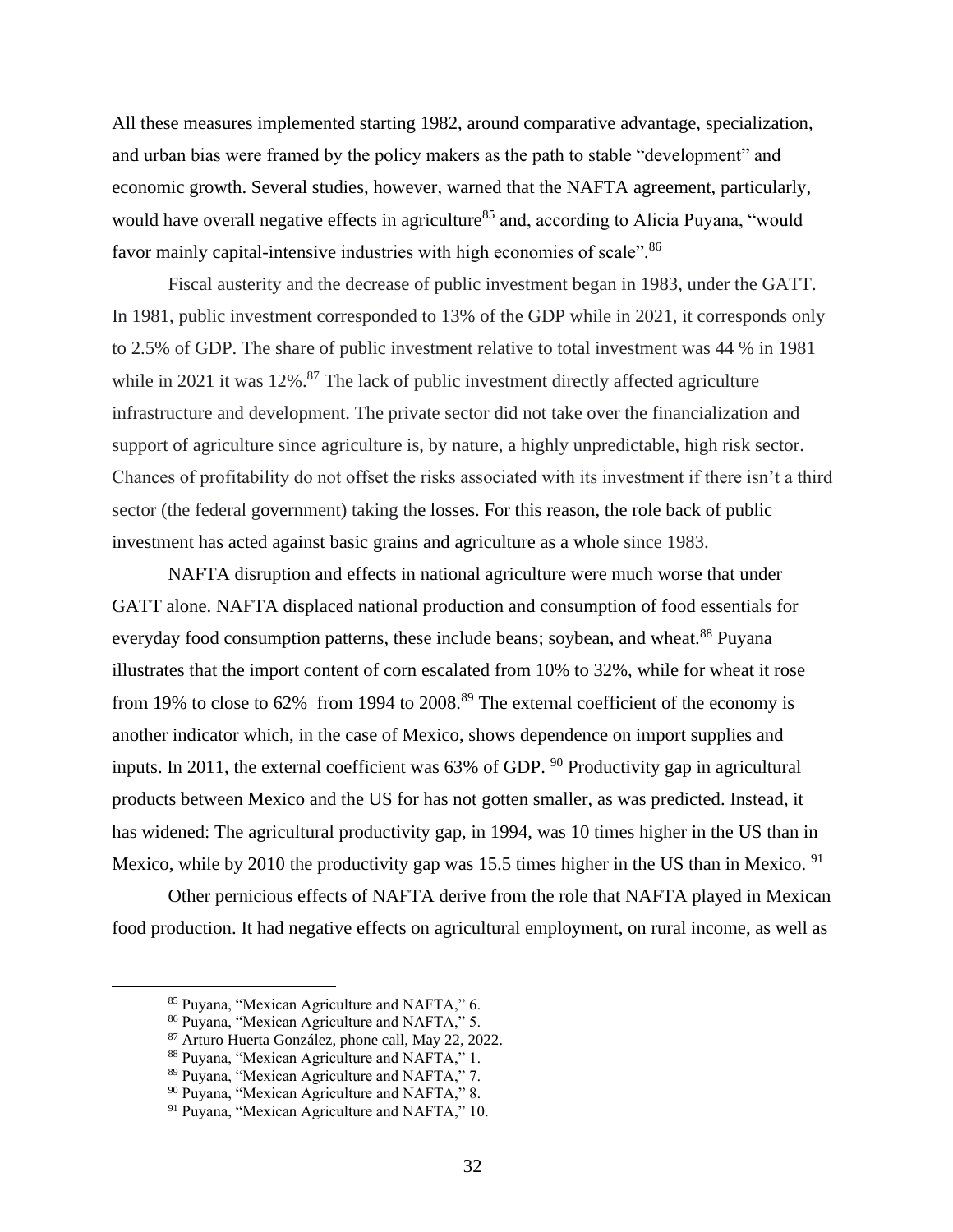All these measures implemented starting 1982, around comparative advantage, specialization, and urban bias were framed by the policy makers as the path to stable "development" and economic growth. Several studies, however, warned that the NAFTA agreement, particularly, would have overall negative effects in agriculture<sup>85</sup> and, according to Alicia Puyana, "would favor mainly capital-intensive industries with high economies of scale".<sup>86</sup>

Fiscal austerity and the decrease of public investment began in 1983, under the GATT. In 1981, public investment corresponded to 13% of the GDP while in 2021, it corresponds only to 2.5% of GDP. The share of public investment relative to total investment was 44 % in 1981 while in 2021 it was  $12\%$ .<sup>87</sup> The lack of public investment directly affected agriculture infrastructure and development. The private sector did not take over the financialization and support of agriculture since agriculture is, by nature, a highly unpredictable, high risk sector. Chances of profitability do not offset the risks associated with its investment if there isn't a third sector (the federal government) taking the losses. For this reason, the role back of public investment has acted against basic grains and agriculture as a whole since 1983.

NAFTA disruption and effects in national agriculture were much worse that under GATT alone. NAFTA displaced national production and consumption of food essentials for everyday food consumption patterns, these include beans; soybean, and wheat.<sup>88</sup> Puyana illustrates that the import content of corn escalated from 10% to 32%, while for wheat it rose from 19% to close to  $62\%$  from 1994 to  $2008$ .<sup>89</sup> The external coefficient of the economy is another indicator which, in the case of Mexico, shows dependence on import supplies and inputs. In 2011, the external coefficient was  $63\%$  of GDP. <sup>90</sup> Productivity gap in agricultural products between Mexico and the US for has not gotten smaller, as was predicted. Instead, it has widened: The agricultural productivity gap, in 1994, was 10 times higher in the US than in Mexico, while by 2010 the productivity gap was 15.5 times higher in the US than in Mexico. <sup>91</sup>

Other pernicious effects of NAFTA derive from the role that NAFTA played in Mexican food production. It had negative effects on agricultural employment, on rural income, as well as

<sup>85</sup> Puyana, "Mexican Agriculture and NAFTA," 6.

<sup>86</sup> Puyana, "Mexican Agriculture and NAFTA," 5.

<sup>87</sup> Arturo Huerta González, phone call, May 22, 2022.

<sup>88</sup> Puyana, "Mexican Agriculture and NAFTA," 1.

<sup>89</sup> Puyana, "Mexican Agriculture and NAFTA," 7.

<sup>90</sup> Puyana, "Mexican Agriculture and NAFTA," 8.

<sup>91</sup> Puyana, "Mexican Agriculture and NAFTA," 10.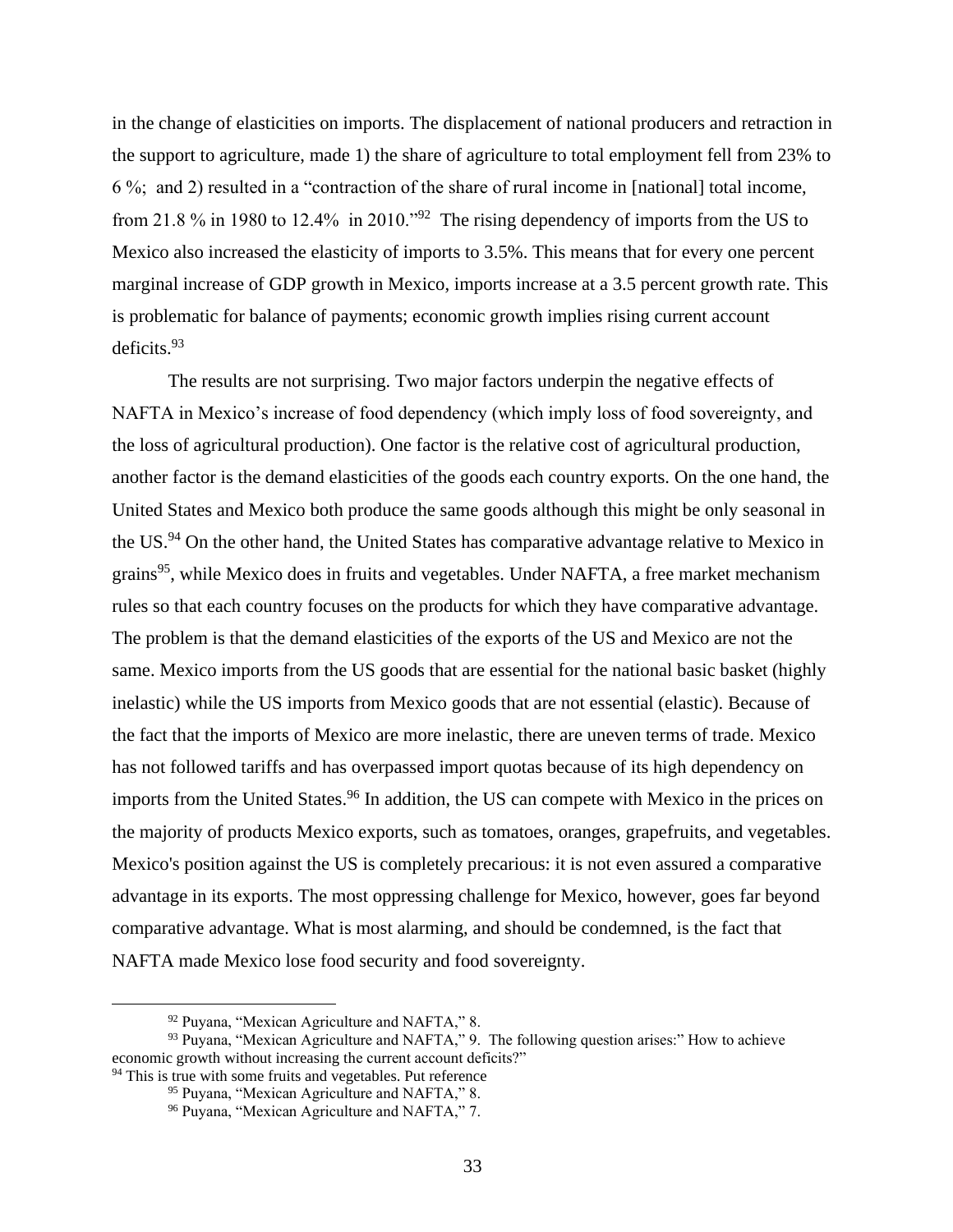in the change of elasticities on imports. The displacement of national producers and retraction in the support to agriculture, made 1) the share of agriculture to total employment fell from 23% to 6 %; and 2) resulted in a "contraction of the share of rural income in [national] total income, from 21.8 % in 1980 to 12.4% in 2010."<sup>92</sup> The rising dependency of imports from the US to Mexico also increased the elasticity of imports to 3.5%. This means that for every one percent marginal increase of GDP growth in Mexico, imports increase at a 3.5 percent growth rate. This is problematic for balance of payments; economic growth implies rising current account deficits.<sup>93</sup>

The results are not surprising. Two major factors underpin the negative effects of NAFTA in Mexico's increase of food dependency (which imply loss of food sovereignty, and the loss of agricultural production). One factor is the relative cost of agricultural production, another factor is the demand elasticities of the goods each country exports. On the one hand, the United States and Mexico both produce the same goods although this might be only seasonal in the US.<sup>94</sup> On the other hand, the United States has comparative advantage relative to Mexico in grains<sup>95</sup>, while Mexico does in fruits and vegetables. Under NAFTA, a free market mechanism rules so that each country focuses on the products for which they have comparative advantage. The problem is that the demand elasticities of the exports of the US and Mexico are not the same. Mexico imports from the US goods that are essential for the national basic basket (highly inelastic) while the US imports from Mexico goods that are not essential (elastic). Because of the fact that the imports of Mexico are more inelastic, there are uneven terms of trade. Mexico has not followed tariffs and has overpassed import quotas because of its high dependency on imports from the United States.<sup>96</sup> In addition, the US can compete with Mexico in the prices on the majority of products Mexico exports, such as tomatoes, oranges, grapefruits, and vegetables. Mexico's position against the US is completely precarious: it is not even assured a comparative advantage in its exports. The most oppressing challenge for Mexico, however, goes far beyond comparative advantage. What is most alarming, and should be condemned, is the fact that NAFTA made Mexico lose food security and food sovereignty.

<sup>92</sup> Puyana, "Mexican Agriculture and NAFTA," 8.

<sup>93</sup> Puyana, "Mexican Agriculture and NAFTA," 9. The following question arises:" How to achieve economic growth without increasing the current account deficits?" <sup>94</sup> This is true with some fruits and vegetables. Put reference

<sup>&</sup>lt;sup>95</sup> Puyana, "Mexican Agriculture and NAFTA," 8.

<sup>96</sup> Puyana, "Mexican Agriculture and NAFTA," 7.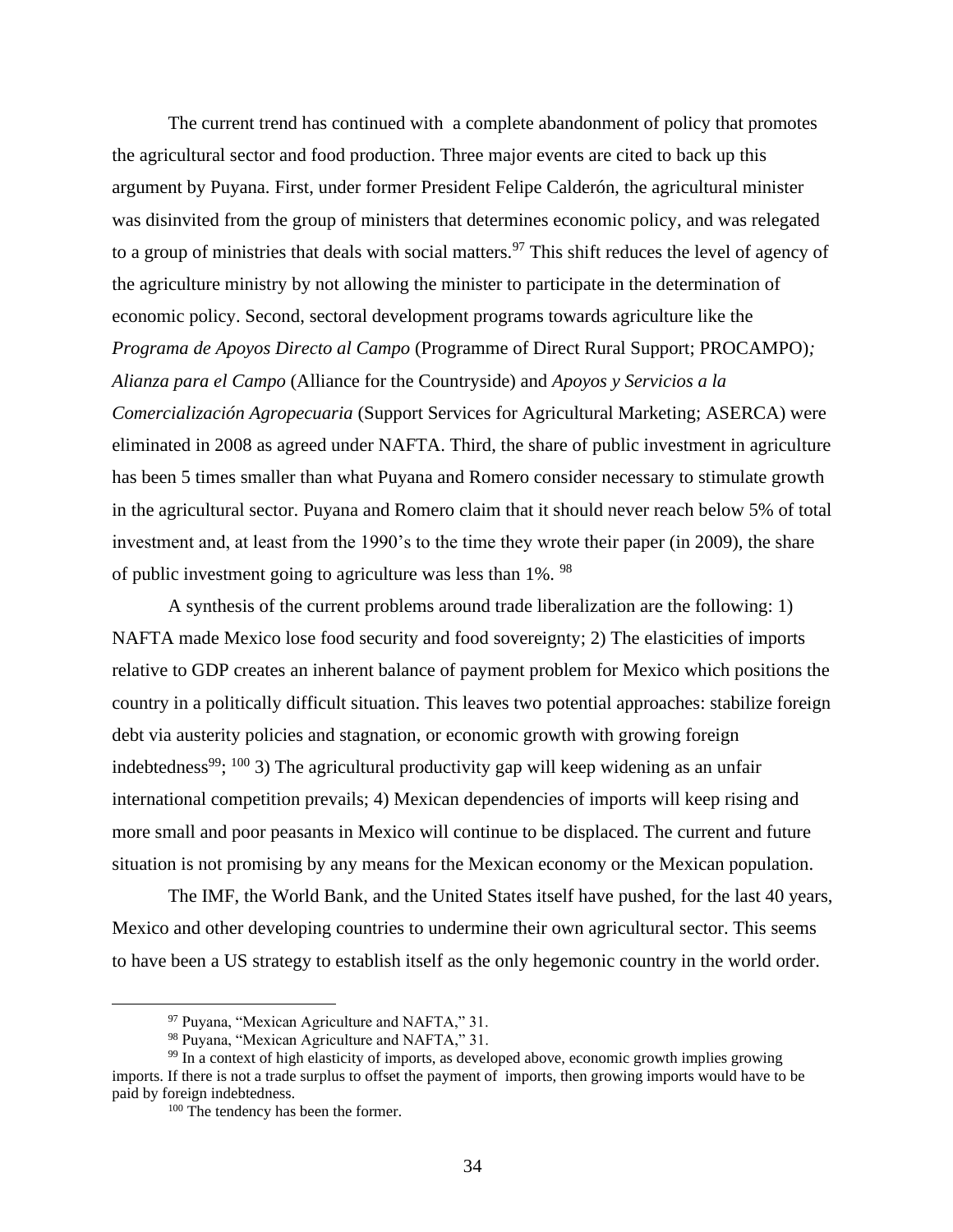The current trend has continued with a complete abandonment of policy that promotes the agricultural sector and food production. Three major events are cited to back up this argument by Puyana. First, under former President Felipe Calderón, the agricultural minister was disinvited from the group of ministers that determines economic policy, and was relegated to a group of ministries that deals with social matters.<sup>97</sup> This shift reduces the level of agency of the agriculture ministry by not allowing the minister to participate in the determination of economic policy. Second, sectoral development programs towards agriculture like the *Programa de Apoyos Directo al Campo* (Programme of Direct Rural Support; PROCAMPO)*; Alianza para el Campo* (Alliance for the Countryside) and *Apoyos y Servicios a la Comercialización Agropecuaria* (Support Services for Agricultural Marketing; ASERCA) were eliminated in 2008 as agreed under NAFTA. Third, the share of public investment in agriculture has been 5 times smaller than what Puyana and Romero consider necessary to stimulate growth in the agricultural sector. Puyana and Romero claim that it should never reach below 5% of total investment and, at least from the 1990's to the time they wrote their paper (in 2009), the share of public investment going to agriculture was less than 1%. <sup>98</sup>

A synthesis of the current problems around trade liberalization are the following: 1) NAFTA made Mexico lose food security and food sovereignty; 2) The elasticities of imports relative to GDP creates an inherent balance of payment problem for Mexico which positions the country in a politically difficult situation. This leaves two potential approaches: stabilize foreign debt via austerity policies and stagnation, or economic growth with growing foreign indebtedness<sup>99</sup>; <sup>100</sup> 3) The agricultural productivity gap will keep widening as an unfair international competition prevails; 4) Mexican dependencies of imports will keep rising and more small and poor peasants in Mexico will continue to be displaced. The current and future situation is not promising by any means for the Mexican economy or the Mexican population.

The IMF, the World Bank, and the United States itself have pushed, for the last 40 years, Mexico and other developing countries to undermine their own agricultural sector. This seems to have been a US strategy to establish itself as the only hegemonic country in the world order.

<sup>97</sup> Puyana, "Mexican Agriculture and NAFTA," 31.

<sup>98</sup> Puyana, "Mexican Agriculture and NAFTA," 31.

<sup>&</sup>lt;sup>99</sup> In a context of high elasticity of imports, as developed above, economic growth implies growing imports. If there is not a trade surplus to offset the payment of imports, then growing imports would have to be paid by foreign indebtedness.

<sup>100</sup> The tendency has been the former.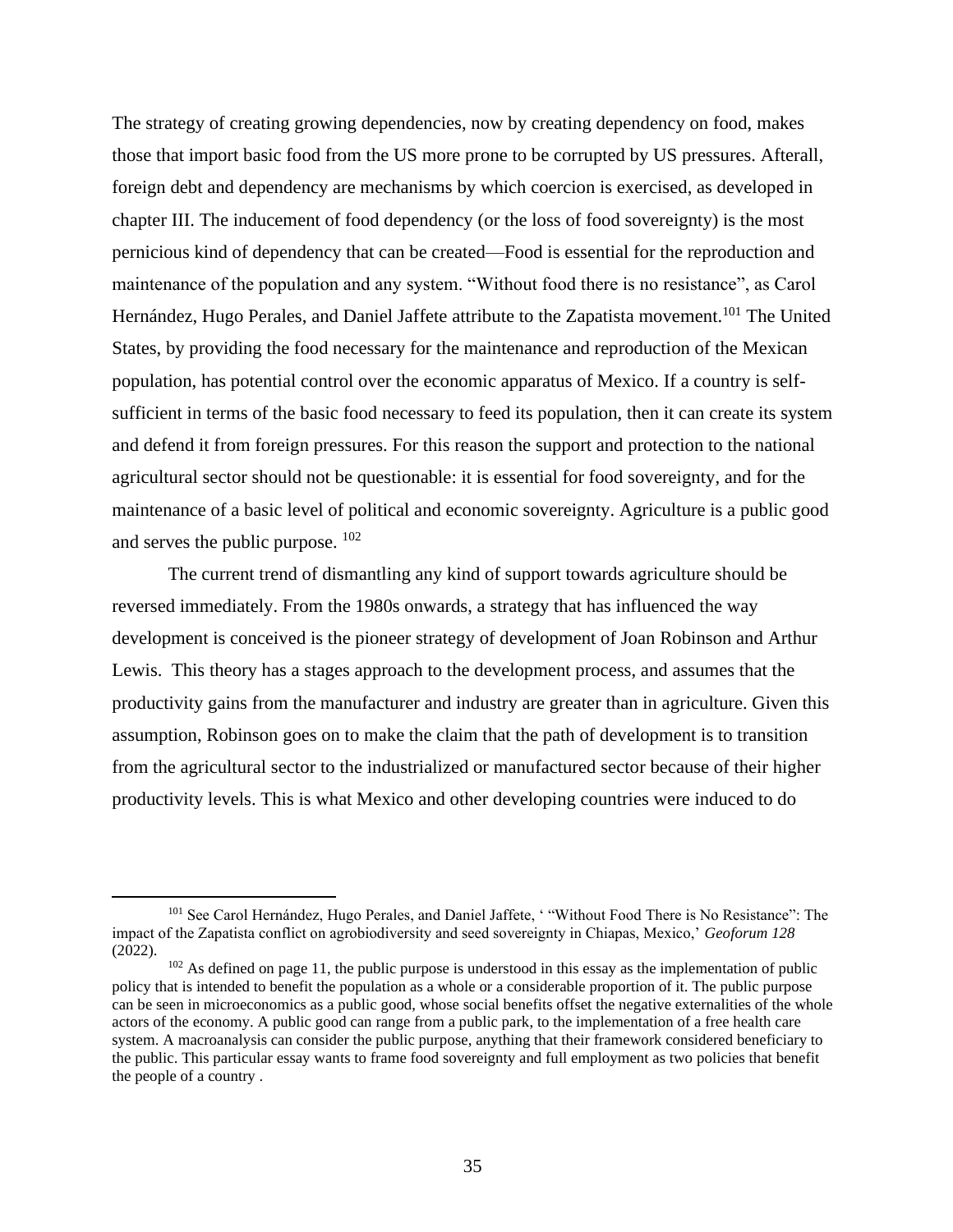The strategy of creating growing dependencies, now by creating dependency on food, makes those that import basic food from the US more prone to be corrupted by US pressures. Afterall, foreign debt and dependency are mechanisms by which coercion is exercised, as developed in chapter III. The inducement of food dependency (or the loss of food sovereignty) is the most pernicious kind of dependency that can be created—Food is essential for the reproduction and maintenance of the population and any system. "Without food there is no resistance", as Carol Hernández, Hugo Perales, and Daniel Jaffete attribute to the Zapatista movement.<sup>101</sup> The United States, by providing the food necessary for the maintenance and reproduction of the Mexican population, has potential control over the economic apparatus of Mexico. If a country is selfsufficient in terms of the basic food necessary to feed its population, then it can create its system and defend it from foreign pressures. For this reason the support and protection to the national agricultural sector should not be questionable: it is essential for food sovereignty, and for the maintenance of a basic level of political and economic sovereignty. Agriculture is a public good and serves the public purpose. <sup>102</sup>

The current trend of dismantling any kind of support towards agriculture should be reversed immediately. From the 1980s onwards, a strategy that has influenced the way development is conceived is the pioneer strategy of development of Joan Robinson and Arthur Lewis. This theory has a stages approach to the development process, and assumes that the productivity gains from the manufacturer and industry are greater than in agriculture. Given this assumption, Robinson goes on to make the claim that the path of development is to transition from the agricultural sector to the industrialized or manufactured sector because of their higher productivity levels. This is what Mexico and other developing countries were induced to do

<sup>101</sup> See Carol Hernández, Hugo Perales, and Daniel Jaffete, ' "Without Food There is No Resistance": The impact of the Zapatista conflict on agrobiodiversity and seed sovereignty in Chiapas, Mexico,' *Geoforum 128* (2022).

<sup>&</sup>lt;sup>102</sup> As defined on page 11, the public purpose is understood in this essay as the implementation of public policy that is intended to benefit the population as a whole or a considerable proportion of it. The public purpose can be seen in microeconomics as a public good, whose social benefits offset the negative externalities of the whole actors of the economy. A public good can range from a public park, to the implementation of a free health care system. A macroanalysis can consider the public purpose, anything that their framework considered beneficiary to the public. This particular essay wants to frame food sovereignty and full employment as two policies that benefit the people of a country .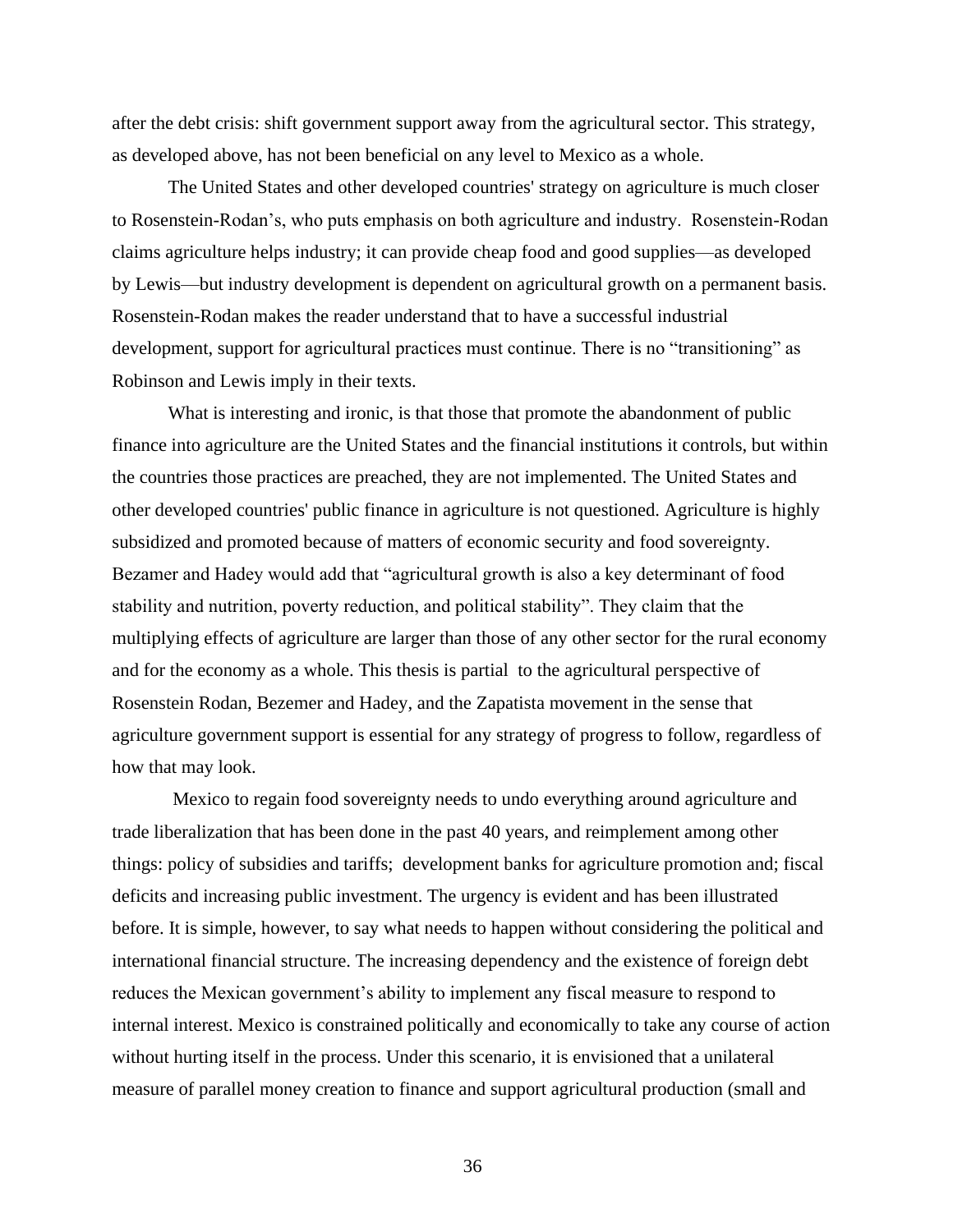after the debt crisis: shift government support away from the agricultural sector. This strategy, as developed above, has not been beneficial on any level to Mexico as a whole.

The United States and other developed countries' strategy on agriculture is much closer to Rosenstein-Rodan's, who puts emphasis on both agriculture and industry. Rosenstein-Rodan claims agriculture helps industry; it can provide cheap food and good supplies—as developed by Lewis—but industry development is dependent on agricultural growth on a permanent basis. Rosenstein-Rodan makes the reader understand that to have a successful industrial development, support for agricultural practices must continue. There is no "transitioning" as Robinson and Lewis imply in their texts.

What is interesting and ironic, is that those that promote the abandonment of public finance into agriculture are the United States and the financial institutions it controls, but within the countries those practices are preached, they are not implemented. The United States and other developed countries' public finance in agriculture is not questioned. Agriculture is highly subsidized and promoted because of matters of economic security and food sovereignty. Bezamer and Hadey would add that "agricultural growth is also a key determinant of food stability and nutrition, poverty reduction, and political stability". They claim that the multiplying effects of agriculture are larger than those of any other sector for the rural economy and for the economy as a whole. This thesis is partial to the agricultural perspective of Rosenstein Rodan, Bezemer and Hadey, and the Zapatista movement in the sense that agriculture government support is essential for any strategy of progress to follow, regardless of how that may look.

Mexico to regain food sovereignty needs to undo everything around agriculture and trade liberalization that has been done in the past 40 years, and reimplement among other things: policy of subsidies and tariffs; development banks for agriculture promotion and; fiscal deficits and increasing public investment. The urgency is evident and has been illustrated before. It is simple, however, to say what needs to happen without considering the political and international financial structure. The increasing dependency and the existence of foreign debt reduces the Mexican government's ability to implement any fiscal measure to respond to internal interest. Mexico is constrained politically and economically to take any course of action without hurting itself in the process. Under this scenario, it is envisioned that a unilateral measure of parallel money creation to finance and support agricultural production (small and

36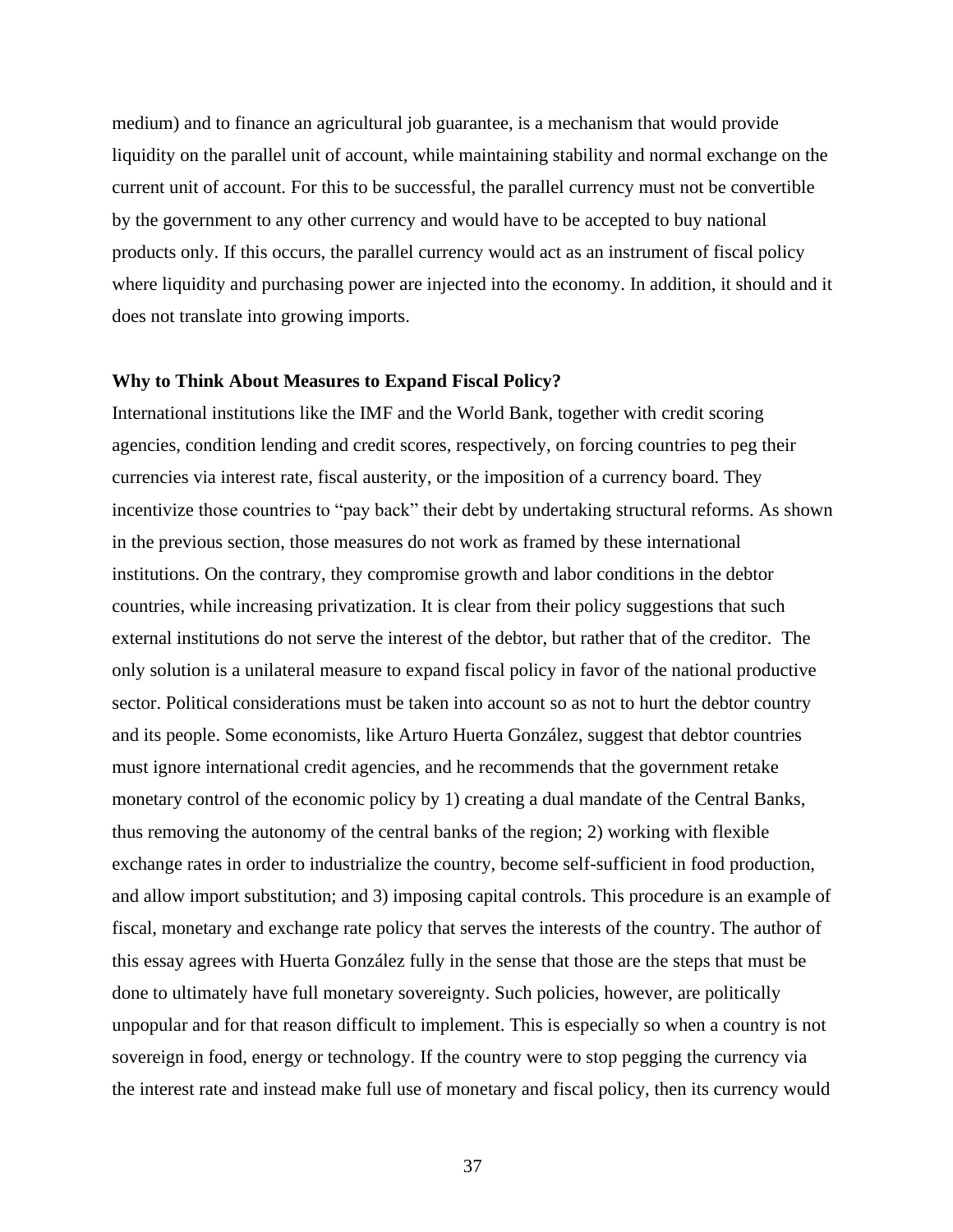medium) and to finance an agricultural job guarantee, is a mechanism that would provide liquidity on the parallel unit of account, while maintaining stability and normal exchange on the current unit of account. For this to be successful, the parallel currency must not be convertible by the government to any other currency and would have to be accepted to buy national products only. If this occurs, the parallel currency would act as an instrument of fiscal policy where liquidity and purchasing power are injected into the economy. In addition, it should and it does not translate into growing imports.

#### **Why to Think About Measures to Expand Fiscal Policy?**

International institutions like the IMF and the World Bank, together with credit scoring agencies, condition lending and credit scores, respectively, on forcing countries to peg their currencies via interest rate, fiscal austerity, or the imposition of a currency board. They incentivize those countries to "pay back" their debt by undertaking structural reforms. As shown in the previous section, those measures do not work as framed by these international institutions. On the contrary, they compromise growth and labor conditions in the debtor countries, while increasing privatization. It is clear from their policy suggestions that such external institutions do not serve the interest of the debtor, but rather that of the creditor. The only solution is a unilateral measure to expand fiscal policy in favor of the national productive sector. Political considerations must be taken into account so as not to hurt the debtor country and its people. Some economists, like Arturo Huerta González, suggest that debtor countries must ignore international credit agencies, and he recommends that the government retake monetary control of the economic policy by 1) creating a dual mandate of the Central Banks, thus removing the autonomy of the central banks of the region; 2) working with flexible exchange rates in order to industrialize the country, become self-sufficient in food production, and allow import substitution; and 3) imposing capital controls. This procedure is an example of fiscal, monetary and exchange rate policy that serves the interests of the country. The author of this essay agrees with Huerta González fully in the sense that those are the steps that must be done to ultimately have full monetary sovereignty. Such policies, however, are politically unpopular and for that reason difficult to implement. This is especially so when a country is not sovereign in food, energy or technology. If the country were to stop pegging the currency via the interest rate and instead make full use of monetary and fiscal policy, then its currency would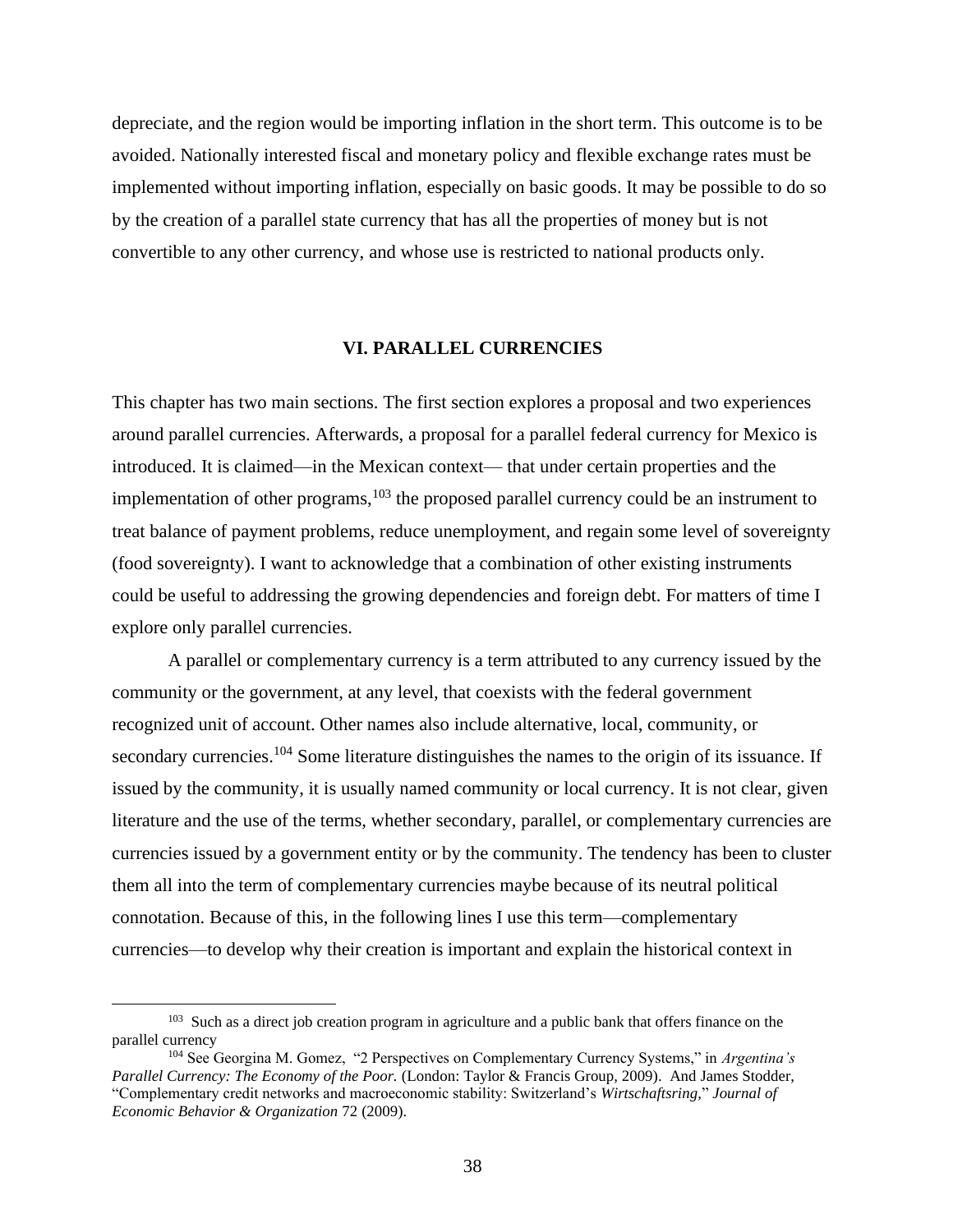depreciate, and the region would be importing inflation in the short term. This outcome is to be avoided. Nationally interested fiscal and monetary policy and flexible exchange rates must be implemented without importing inflation, especially on basic goods. It may be possible to do so by the creation of a parallel state currency that has all the properties of money but is not convertible to any other currency, and whose use is restricted to national products only.

#### **VI. PARALLEL CURRENCIES**

This chapter has two main sections. The first section explores a proposal and two experiences around parallel currencies. Afterwards, a proposal for a parallel federal currency for Mexico is introduced. It is claimed—in the Mexican context— that under certain properties and the implementation of other programs, $103$  the proposed parallel currency could be an instrument to treat balance of payment problems, reduce unemployment, and regain some level of sovereignty (food sovereignty). I want to acknowledge that a combination of other existing instruments could be useful to addressing the growing dependencies and foreign debt. For matters of time I explore only parallel currencies.

A parallel or complementary currency is a term attributed to any currency issued by the community or the government, at any level, that coexists with the federal government recognized unit of account. Other names also include alternative, local, community, or secondary currencies.<sup>104</sup> Some literature distinguishes the names to the origin of its issuance. If issued by the community, it is usually named community or local currency. It is not clear, given literature and the use of the terms, whether secondary, parallel, or complementary currencies are currencies issued by a government entity or by the community. The tendency has been to cluster them all into the term of complementary currencies maybe because of its neutral political connotation. Because of this, in the following lines I use this term—complementary currencies—to develop why their creation is important and explain the historical context in

<sup>&</sup>lt;sup>103</sup> Such as a direct job creation program in agriculture and a public bank that offers finance on the parallel currency

<sup>104</sup> See Georgina M. Gomez, "2 Perspectives on Complementary Currency Systems," in *Argentina's Parallel Currency: The Economy of the Poor.* (London: Taylor & Francis Group, 2009). And James Stodder, "Complementary credit networks and macroeconomic stability: Switzerland's *Wirtschaftsring,*" *Journal of Economic Behavior & Organization* 72 (2009).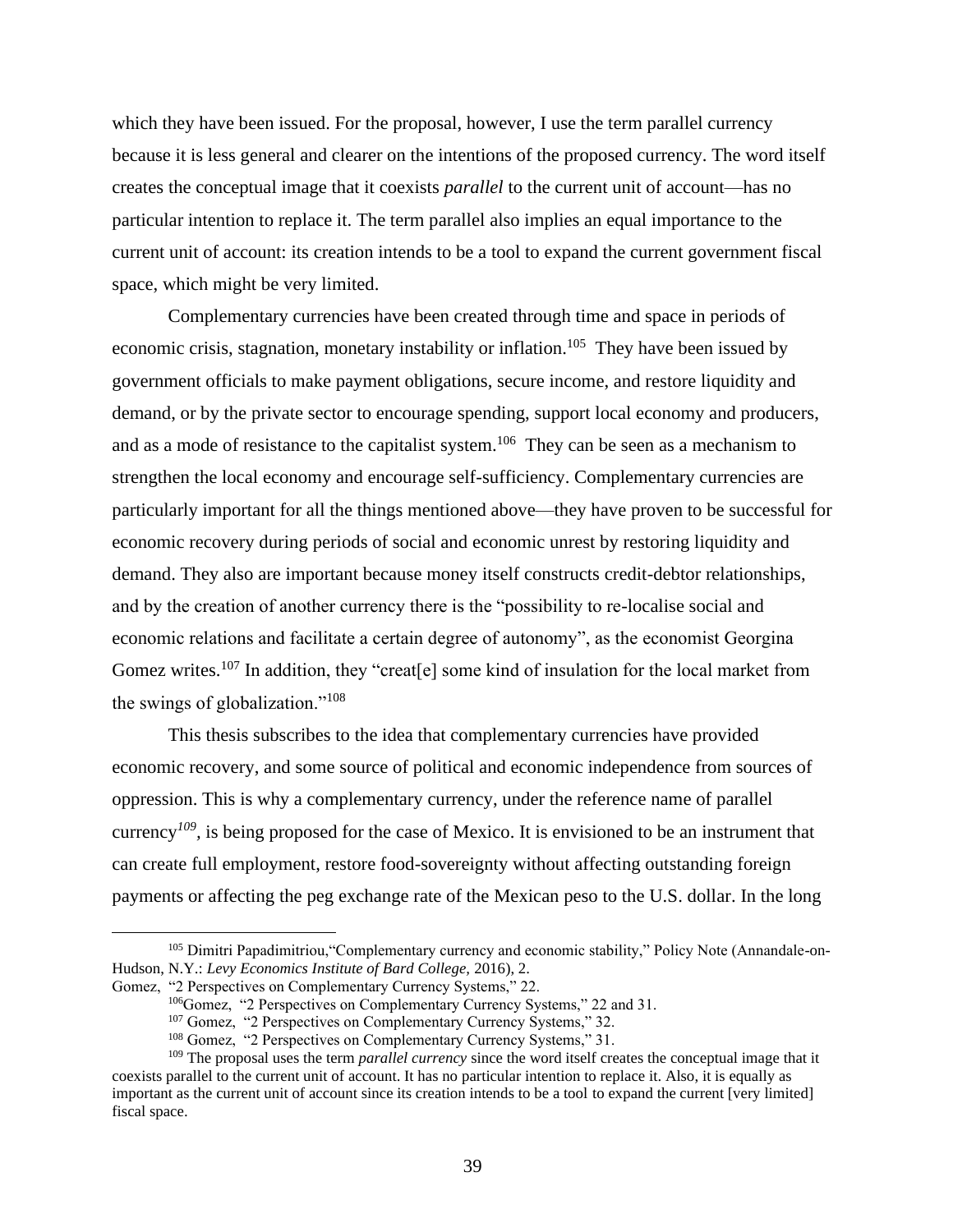which they have been issued. For the proposal, however, I use the term parallel currency because it is less general and clearer on the intentions of the proposed currency. The word itself creates the conceptual image that it coexists *parallel* to the current unit of account—has no particular intention to replace it. The term parallel also implies an equal importance to the current unit of account: its creation intends to be a tool to expand the current government fiscal space, which might be very limited.

Complementary currencies have been created through time and space in periods of economic crisis, stagnation, monetary instability or inflation.<sup>105</sup> They have been issued by government officials to make payment obligations, secure income, and restore liquidity and demand, or by the private sector to encourage spending, support local economy and producers, and as a mode of resistance to the capitalist system.<sup>106</sup> They can be seen as a mechanism to strengthen the local economy and encourage self-sufficiency. Complementary currencies are particularly important for all the things mentioned above—they have proven to be successful for economic recovery during periods of social and economic unrest by restoring liquidity and demand. They also are important because money itself constructs credit-debtor relationships, and by the creation of another currency there is the "possibility to re-localise social and economic relations and facilitate a certain degree of autonomy", as the economist Georgina Gomez writes.<sup>107</sup> In addition, they "creat[e] some kind of insulation for the local market from the swings of globalization."<sup>108</sup>

This thesis subscribes to the idea that complementary currencies have provided economic recovery, and some source of political and economic independence from sources of oppression. This is why a complementary currency, under the reference name of parallel currency<sup>109</sup>, is being proposed for the case of Mexico. It is envisioned to be an instrument that can create full employment, restore food-sovereignty without affecting outstanding foreign payments or affecting the peg exchange rate of the Mexican peso to the U.S. dollar. In the long

<sup>&</sup>lt;sup>105</sup> Dimitri Papadimitriou, "Complementary currency and economic stability," Policy Note (Annandale-on-Hudson, N.Y.: *Levy Economics Institute of Bard College,* 2016), 2.

Gomez, "2 Perspectives on Complementary Currency Systems," 22.

<sup>&</sup>lt;sup>106</sup>Gomez, "2 Perspectives on Complementary Currency Systems," 22 and 31.

<sup>107</sup> Gomez, "2 Perspectives on Complementary Currency Systems," 32.

<sup>108</sup> Gomez, "2 Perspectives on Complementary Currency Systems," 31.

<sup>109</sup> The proposal uses the term *parallel currency* since the word itself creates the conceptual image that it coexists parallel to the current unit of account. It has no particular intention to replace it. Also, it is equally as important as the current unit of account since its creation intends to be a tool to expand the current [very limited] fiscal space.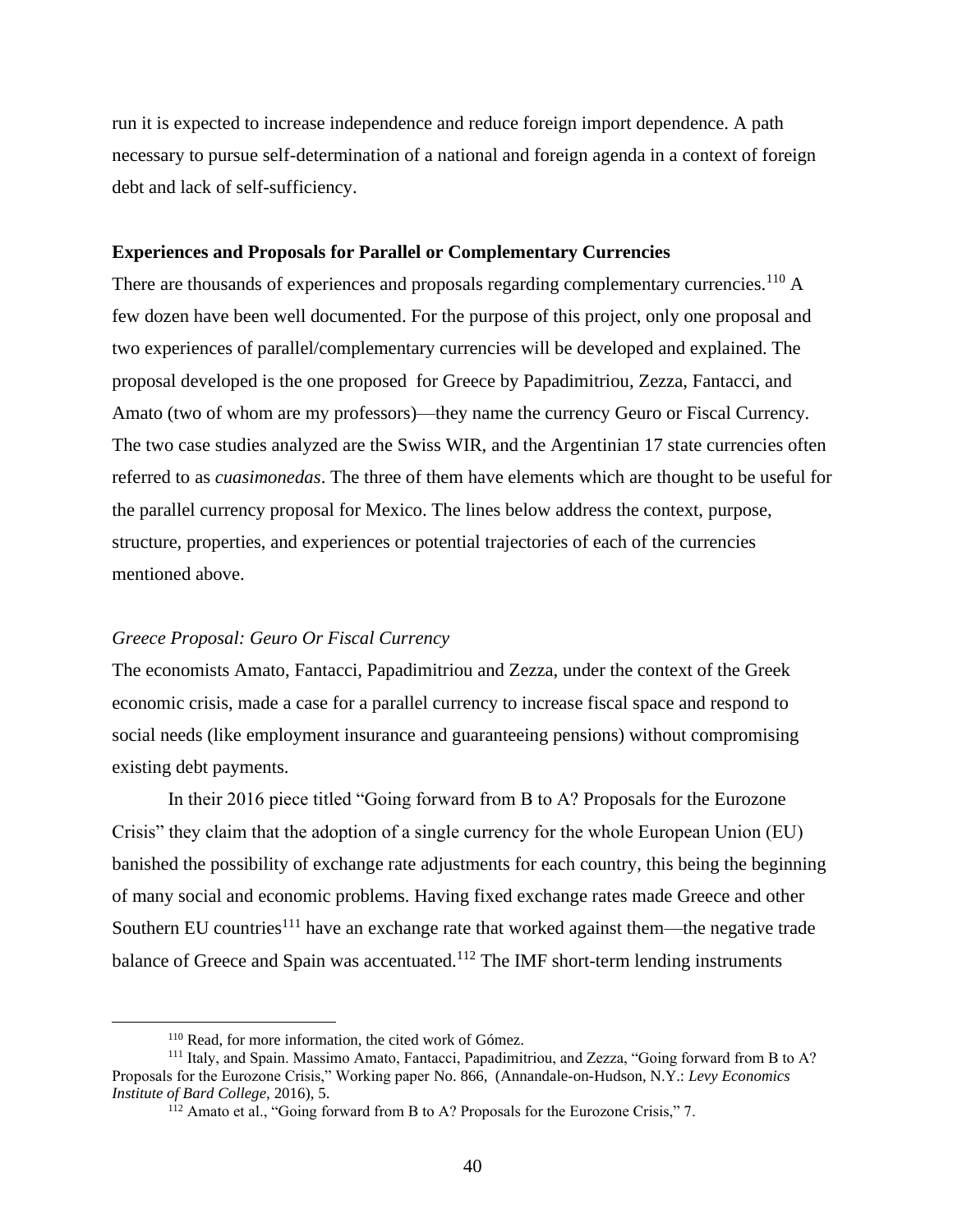run it is expected to increase independence and reduce foreign import dependence. A path necessary to pursue self-determination of a national and foreign agenda in a context of foreign debt and lack of self-sufficiency.

#### **Experiences and Proposals for Parallel or Complementary Currencies**

There are thousands of experiences and proposals regarding complementary currencies.<sup>110</sup> A few dozen have been well documented. For the purpose of this project, only one proposal and two experiences of parallel/complementary currencies will be developed and explained. The proposal developed is the one proposed for Greece by Papadimitriou, Zezza, Fantacci, and Amato (two of whom are my professors)—they name the currency Geuro or Fiscal Currency*.*  The two case studies analyzed are the Swiss WIR, and the Argentinian 17 state currencies often referred to as *cuasimonedas*. The three of them have elements which are thought to be useful for the parallel currency proposal for Mexico. The lines below address the context, purpose, structure, properties, and experiences or potential trajectories of each of the currencies mentioned above.

#### *Greece Proposal: Geuro Or Fiscal Currency*

The economists Amato, Fantacci, Papadimitriou and Zezza, under the context of the Greek economic crisis, made a case for a parallel currency to increase fiscal space and respond to social needs (like employment insurance and guaranteeing pensions) without compromising existing debt payments.

In their 2016 piece titled "Going forward from B to A? Proposals for the Eurozone Crisis" they claim that the adoption of a single currency for the whole European Union (EU) banished the possibility of exchange rate adjustments for each country, this being the beginning of many social and economic problems. Having fixed exchange rates made Greece and other Southern EU countries<sup>111</sup> have an exchange rate that worked against them—the negative trade balance of Greece and Spain was accentuated.<sup>112</sup> The IMF short-term lending instruments

<sup>110</sup> Read, for more information, the cited work of Gómez.

<sup>111</sup> Italy, and Spain. Massimo Amato, Fantacci, Papadimitriou, and Zezza, "Going forward from B to A? Proposals for the Eurozone Crisis," Working paper No. 866, (Annandale-on-Hudson, N.Y.: *Levy Economics Institute of Bard College,* 2016), 5.

<sup>&</sup>lt;sup>112</sup> Amato et al., "Going forward from B to A? Proposals for the Eurozone Crisis," 7.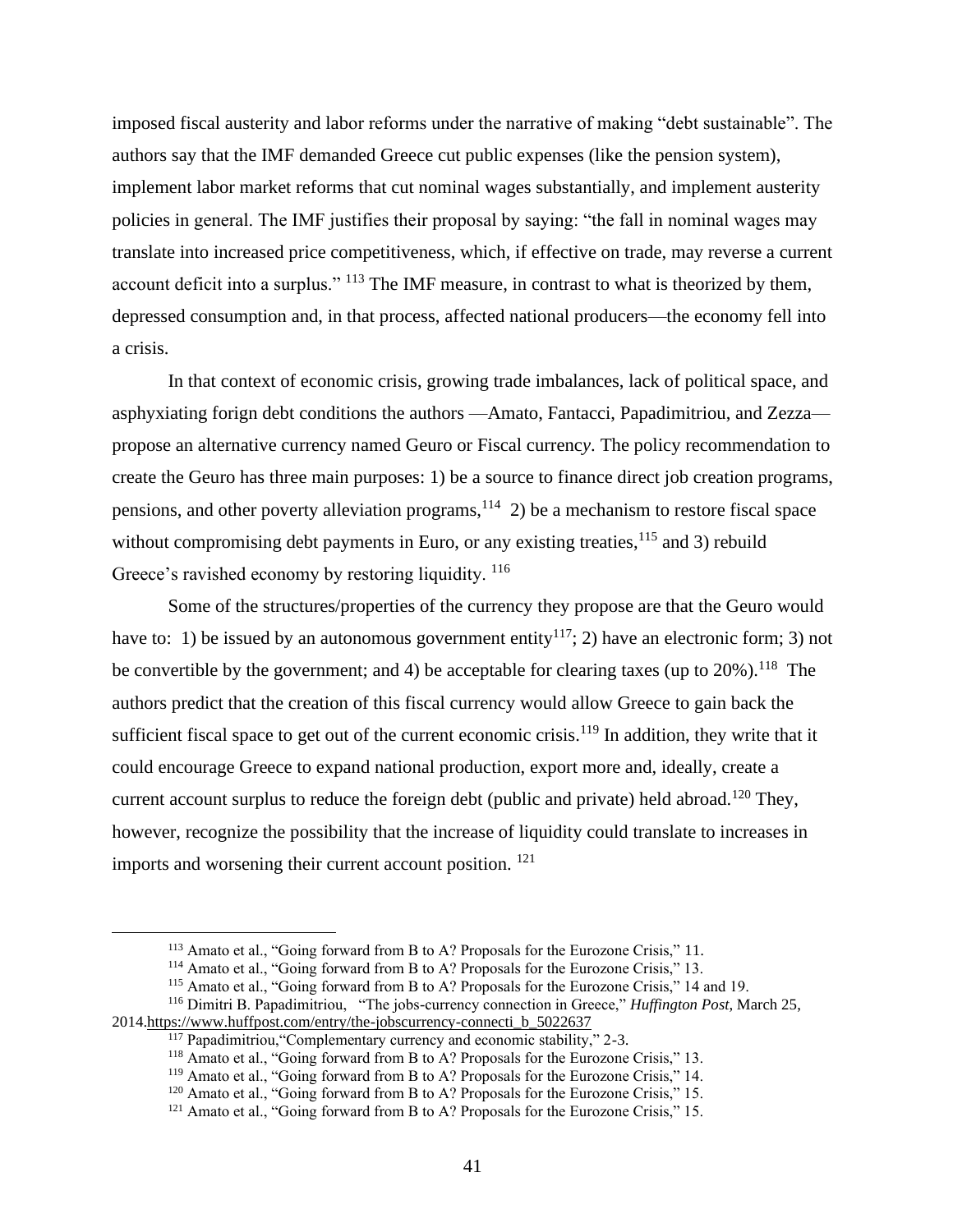imposed fiscal austerity and labor reforms under the narrative of making "debt sustainable". The authors say that the IMF demanded Greece cut public expenses (like the pension system), implement labor market reforms that cut nominal wages substantially, and implement austerity policies in general. The IMF justifies their proposal by saying: "the fall in nominal wages may translate into increased price competitiveness, which, if effective on trade, may reverse a current account deficit into a surplus." <sup>113</sup> The IMF measure, in contrast to what is theorized by them, depressed consumption and, in that process, affected national producers—the economy fell into a crisis.

In that context of economic crisis, growing trade imbalances, lack of political space, and asphyxiating forign debt conditions the authors —Amato, Fantacci, Papadimitriou, and Zezza propose an alternative currency named Geuro or Fiscal currenc*y*. The policy recommendation to create the Geuro has three main purposes: 1) be a source to finance direct job creation programs, pensions, and other poverty alleviation programs,  $114$  2) be a mechanism to restore fiscal space without compromising debt payments in Euro, or any existing treaties,  $115$  and 3) rebuild Greece's ravished economy by restoring liquidity. <sup>116</sup>

Some of the structures/properties of the currency they propose are that the Geuro would have to: 1) be issued by an autonomous government entity<sup>117</sup>; 2) have an electronic form; 3) not be convertible by the government; and 4) be acceptable for clearing taxes (up to  $20\%$ ).<sup>118</sup> The authors predict that the creation of this fiscal currency would allow Greece to gain back the sufficient fiscal space to get out of the current economic crisis.<sup>119</sup> In addition, they write that it could encourage Greece to expand national production, export more and, ideally, create a current account surplus to reduce the foreign debt (public and private) held abroad.<sup>120</sup> They, however, recognize the possibility that the increase of liquidity could translate to increases in imports and worsening their current account position. <sup>121</sup>

<sup>&</sup>lt;sup>113</sup> Amato et al., "Going forward from B to A? Proposals for the Eurozone Crisis," 11.

<sup>&</sup>lt;sup>114</sup> Amato et al., "Going forward from B to A? Proposals for the Eurozone Crisis," 13.

<sup>&</sup>lt;sup>115</sup> Amato et al., "Going forward from B to A? Proposals for the Eurozone Crisis," 14 and 19.

<sup>116</sup> Dimitri B. Papadimitriou, "The jobs-currency connection in Greece," *Huffington Post*, March 25, 201[4.https://www.huffpost.com/entry/the-jobscurrency-connecti\\_b\\_5022637](https://www.huffpost.com/entry/the-jobscurrency-connecti_b_5022637)

<sup>&</sup>lt;sup>117</sup> Papadimitriou, "Complementary currency and economic stability," 2-3.

<sup>&</sup>lt;sup>118</sup> Amato et al., "Going forward from B to A? Proposals for the Eurozone Crisis," 13.

<sup>&</sup>lt;sup>119</sup> Amato et al., "Going forward from B to A? Proposals for the Eurozone Crisis," 14.

<sup>&</sup>lt;sup>120</sup> Amato et al., "Going forward from B to A? Proposals for the Eurozone Crisis," 15.

<sup>&</sup>lt;sup>121</sup> Amato et al., "Going forward from B to A? Proposals for the Eurozone Crisis," 15.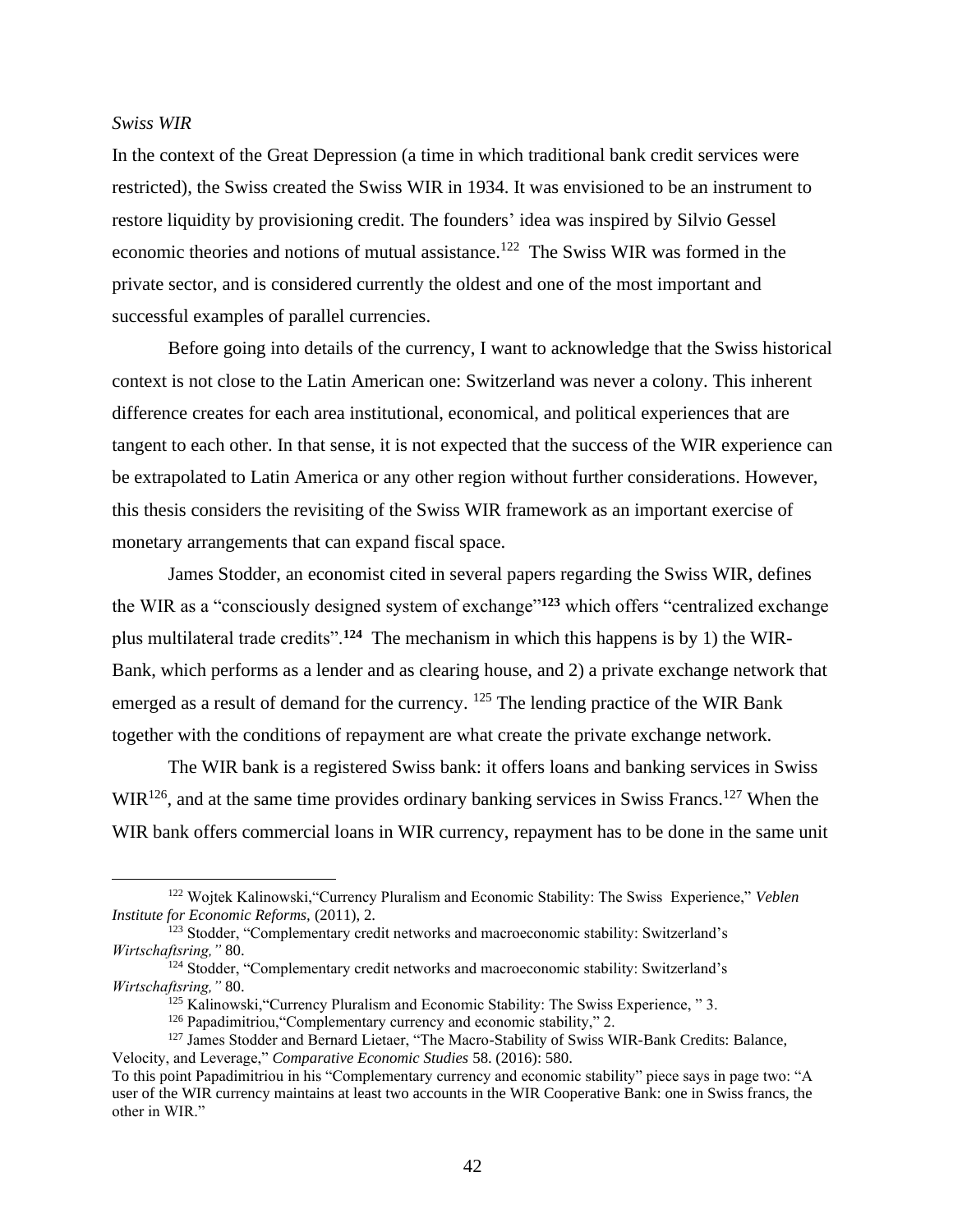#### *Swiss WIR*

In the context of the Great Depression (a time in which traditional bank credit services were restricted), the Swiss created the Swiss WIR in 1934. It was envisioned to be an instrument to restore liquidity by provisioning credit. The founders' idea was inspired by Silvio Gessel economic theories and notions of mutual assistance.<sup>122</sup> The Swiss WIR was formed in the private sector, and is considered currently the oldest and one of the most important and successful examples of parallel currencies.

Before going into details of the currency, I want to acknowledge that the Swiss historical context is not close to the Latin American one: Switzerland was never a colony. This inherent difference creates for each area institutional, economical, and political experiences that are tangent to each other. In that sense, it is not expected that the success of the WIR experience can be extrapolated to Latin America or any other region without further considerations. However, this thesis considers the revisiting of the Swiss WIR framework as an important exercise of monetary arrangements that can expand fiscal space.

James Stodder, an economist cited in several papers regarding the Swiss WIR, defines the WIR as a "consciously designed system of exchange"**<sup>123</sup>** which offers "centralized exchange plus multilateral trade credits".**<sup>124</sup>** The mechanism in which this happens is by 1) the WIR-Bank, which performs as a lender and as clearing house, and 2) a private exchange network that emerged as a result of demand for the currency.  $^{125}$  The lending practice of the WIR Bank together with the conditions of repayment are what create the private exchange network.

The WIR bank is a registered Swiss bank: it offers loans and banking services in Swiss  $WIR<sup>126</sup>$ , and at the same time provides ordinary banking services in Swiss Francs.<sup>127</sup> When the WIR bank offers commercial loans in WIR currency, repayment has to be done in the same unit

<sup>122</sup> Wojtek Kalinowski,"Currency Pluralism and Economic Stability: The Swiss Experience," *Veblen Institute for Economic Reforms,* (2011), 2.

<sup>&</sup>lt;sup>123</sup> Stodder, "Complementary credit networks and macroeconomic stability: Switzerland's *Wirtschaftsring,"* 80.

<sup>&</sup>lt;sup>124</sup> Stodder, "Complementary credit networks and macroeconomic stability: Switzerland's *Wirtschaftsring,"* 80.

<sup>&</sup>lt;sup>125</sup> Kalinowski, "Currency Pluralism and Economic Stability: The Swiss Experience, "3.

<sup>&</sup>lt;sup>126</sup> Papadimitriou, "Complementary currency and economic stability," 2.

<sup>&</sup>lt;sup>127</sup> James Stodder and Bernard Lietaer, "The Macro-Stability of Swiss WIR-Bank Credits: Balance, Velocity, and Leverage," *Comparative Economic Studies* 58. (2016): 580.

To this point Papadimitriou in his "Complementary currency and economic stability" piece says in page two: "A user of the WIR currency maintains at least two accounts in the WIR Cooperative Bank: one in Swiss francs, the other in WIR."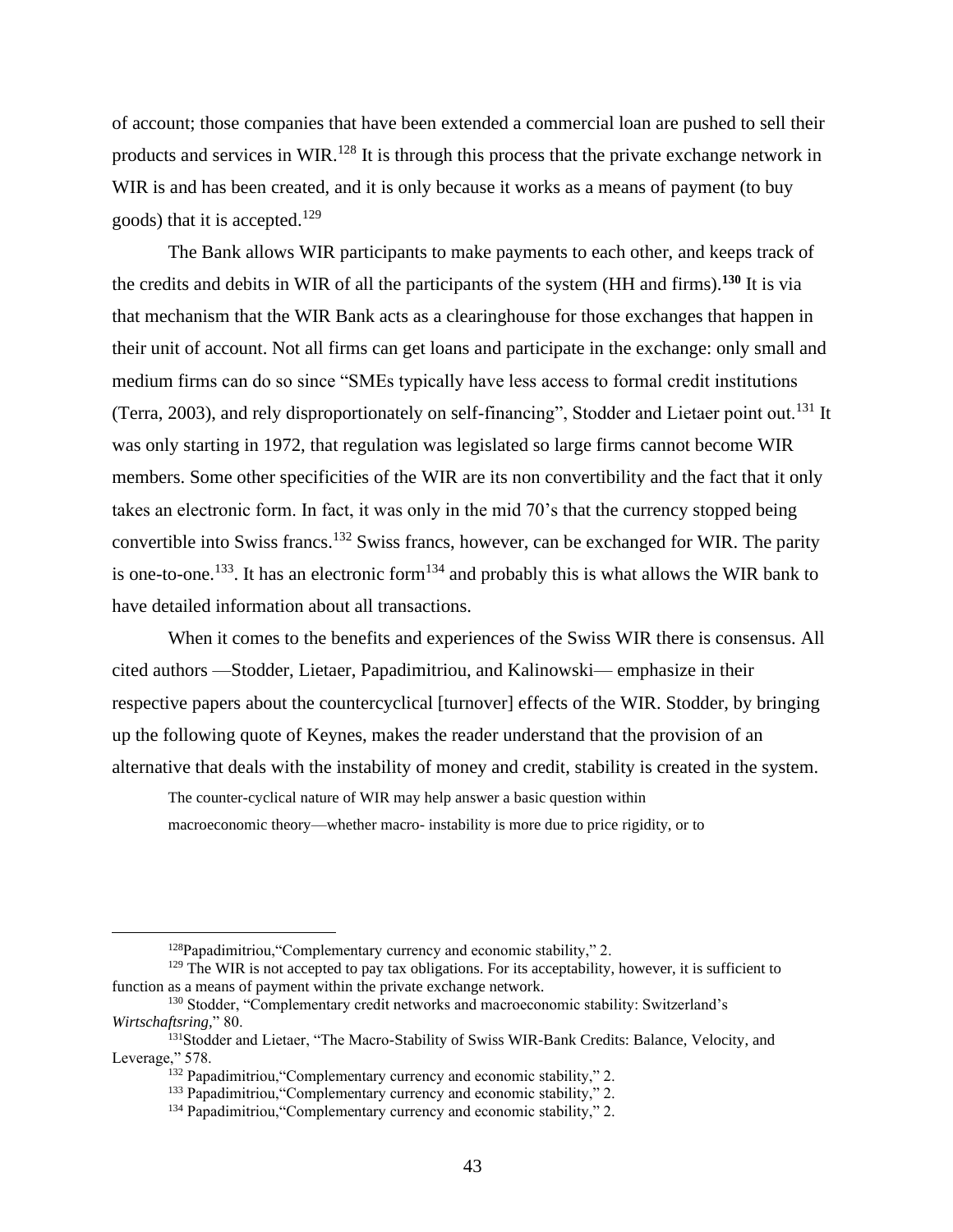of account; those companies that have been extended a commercial loan are pushed to sell their products and services in WIR.<sup>128</sup> It is through this process that the private exchange network in WIR is and has been created, and it is only because it works as a means of payment (to buy goods) that it is accepted.<sup>129</sup>

The Bank allows WIR participants to make payments to each other, and keeps track of the credits and debits in WIR of all the participants of the system (HH and firms).**<sup>130</sup>** It is via that mechanism that the WIR Bank acts as a clearinghouse for those exchanges that happen in their unit of account. Not all firms can get loans and participate in the exchange: only small and medium firms can do so since "SMEs typically have less access to formal credit institutions (Terra, 2003), and rely disproportionately on self-financing", Stodder and Lietaer point out.<sup>131</sup> It was only starting in 1972, that regulation was legislated so large firms cannot become WIR members. Some other specificities of the WIR are its non convertibility and the fact that it only takes an electronic form. In fact, it was only in the mid 70's that the currency stopped being convertible into Swiss francs.<sup>132</sup> Swiss francs, however, can be exchanged for WIR. The parity is one-to-one.<sup>133</sup>. It has an electronic form<sup>134</sup> and probably this is what allows the WIR bank to have detailed information about all transactions.

When it comes to the benefits and experiences of the Swiss WIR there is consensus. All cited authors —Stodder, Lietaer, Papadimitriou, and Kalinowski— emphasize in their respective papers about the countercyclical [turnover] effects of the WIR. Stodder, by bringing up the following quote of Keynes, makes the reader understand that the provision of an alternative that deals with the instability of money and credit, stability is created in the system.

The counter-cyclical nature of WIR may help answer a basic question within macroeconomic theory—whether macro- instability is more due to price rigidity, or to

 $128$ Papadimitriou, "Complementary currency and economic stability," 2.

<sup>&</sup>lt;sup>129</sup> The WIR is not accepted to pay tax obligations. For its acceptability, however, it is sufficient to function as a means of payment within the private exchange network.

<sup>130</sup> Stodder, "Complementary credit networks and macroeconomic stability: Switzerland's *Wirtschaftsring,*" 80.

<sup>&</sup>lt;sup>131</sup>Stodder and Lietaer, "The Macro-Stability of Swiss WIR-Bank Credits: Balance, Velocity, and Leverage," 578.

<sup>&</sup>lt;sup>132</sup> Papadimitriou, "Complementary currency and economic stability," 2.

<sup>&</sup>lt;sup>133</sup> Papadimitriou, "Complementary currency and economic stability," 2.

<sup>&</sup>lt;sup>134</sup> Papadimitriou, "Complementary currency and economic stability," 2.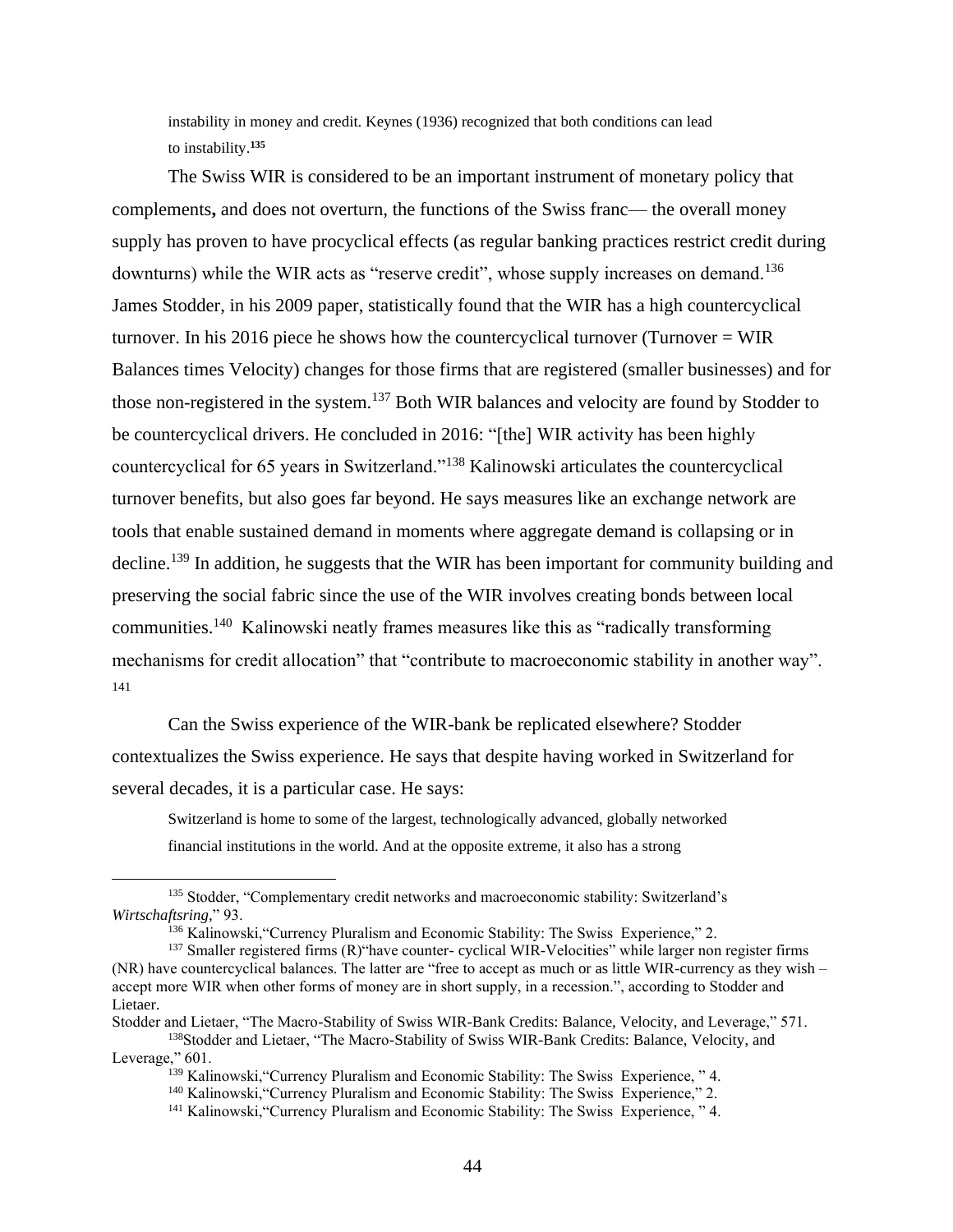instability in money and credit. Keynes (1936) recognized that both conditions can lead to instability.**<sup>135</sup>**

The Swiss WIR is considered to be an important instrument of monetary policy that complements**,** and does not overturn, the functions of the Swiss franc— the overall money supply has proven to have procyclical effects (as regular banking practices restrict credit during downturns) while the WIR acts as "reserve credit", whose supply increases on demand.<sup>136</sup> James Stodder, in his 2009 paper, statistically found that the WIR has a high countercyclical turnover. In his 2016 piece he shows how the countercyclical turnover (Turnover  $= WIR$ ) Balances times Velocity) changes for those firms that are registered (smaller businesses) and for those non-registered in the system.<sup>137</sup> Both WIR balances and velocity are found by Stodder to be countercyclical drivers. He concluded in 2016: "[the] WIR activity has been highly countercyclical for 65 years in Switzerland."<sup>138</sup> Kalinowski articulates the countercyclical turnover benefits, but also goes far beyond. He says measures like an exchange network are tools that enable sustained demand in moments where aggregate demand is collapsing or in decline.<sup>139</sup> In addition, he suggests that the WIR has been important for community building and preserving the social fabric since the use of the WIR involves creating bonds between local communities.<sup>140</sup> Kalinowski neatly frames measures like this as "radically transforming mechanisms for credit allocation" that "contribute to macroeconomic stability in another way". 141

Can the Swiss experience of the WIR-bank be replicated elsewhere? Stodder contextualizes the Swiss experience. He says that despite having worked in Switzerland for several decades, it is a particular case. He says:

Switzerland is home to some of the largest, technologically advanced, globally networked financial institutions in the world. And at the opposite extreme, it also has a strong

<sup>&</sup>lt;sup>135</sup> Stodder, "Complementary credit networks and macroeconomic stability: Switzerland's *Wirtschaftsring,*" 93.

<sup>&</sup>lt;sup>136</sup> Kalinowski, "Currency Pluralism and Economic Stability: The Swiss Experience," 2.

<sup>&</sup>lt;sup>137</sup> Smaller registered firms (R) thave counter- cyclical WIR-Velocities" while larger non register firms (NR) have countercyclical balances. The latter are "free to accept as much or as little WIR-currency as they wish – accept more WIR when other forms of money are in short supply, in a recession.", according to Stodder and Lietaer.

Stodder and Lietaer, "The Macro-Stability of Swiss WIR-Bank Credits: Balance, Velocity, and Leverage," 571. <sup>138</sup>Stodder and Lietaer, "The Macro-Stability of Swiss WIR-Bank Credits: Balance, Velocity, and Leverage," 601.

<sup>&</sup>lt;sup>139</sup> Kalinowski, "Currency Pluralism and Economic Stability: The Swiss Experience, "4.

<sup>140</sup> Kalinowski,"Currency Pluralism and Economic Stability: The Swiss Experience," 2.

<sup>141</sup> Kalinowski,"Currency Pluralism and Economic Stability: The Swiss Experience, " 4.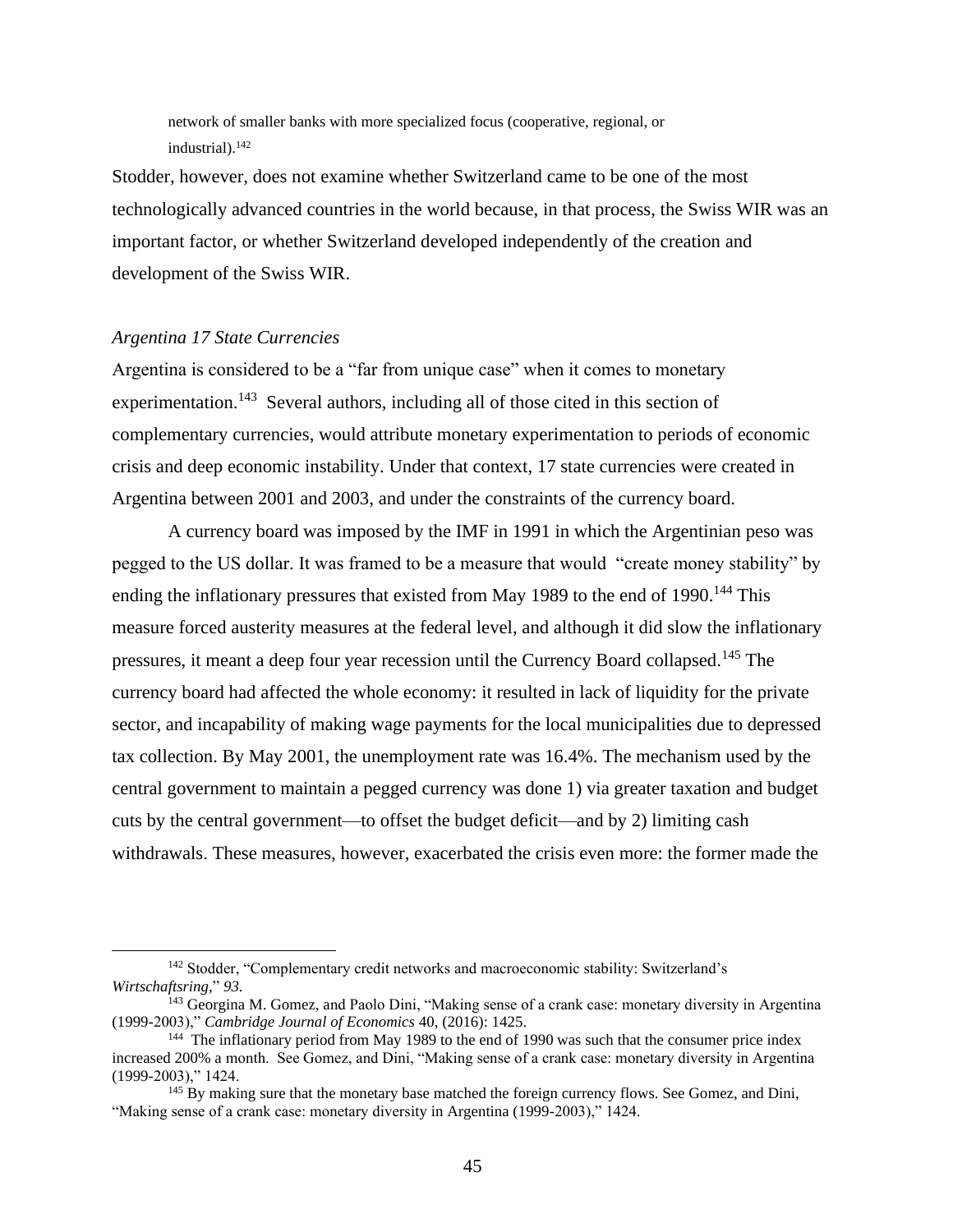network of smaller banks with more specialized focus (cooperative, regional, or industrial).<sup>142</sup>

Stodder, however, does not examine whether Switzerland came to be one of the most technologically advanced countries in the world because, in that process, the Swiss WIR was an important factor, or whether Switzerland developed independently of the creation and development of the Swiss WIR.

## *Argentina 17 State Currencies*

Argentina is considered to be a "far from unique case" when it comes to monetary experimentation.<sup>143</sup> Several authors, including all of those cited in this section of complementary currencies, would attribute monetary experimentation to periods of economic crisis and deep economic instability. Under that context, 17 state currencies were created in Argentina between 2001 and 2003, and under the constraints of the currency board.

A currency board was imposed by the IMF in 1991 in which the Argentinian peso was pegged to the US dollar. It was framed to be a measure that would "create money stability" by ending the inflationary pressures that existed from May 1989 to the end of  $1990$ .<sup>144</sup> This measure forced austerity measures at the federal level, and although it did slow the inflationary pressures, it meant a deep four year recession until the Currency Board collapsed.<sup>145</sup> The currency board had affected the whole economy: it resulted in lack of liquidity for the private sector, and incapability of making wage payments for the local municipalities due to depressed tax collection. By May 2001, the unemployment rate was 16.4%. The mechanism used by the central government to maintain a pegged currency was done 1) via greater taxation and budget cuts by the central government—to offset the budget deficit—and by 2) limiting cash withdrawals. These measures, however, exacerbated the crisis even more: the former made the

<sup>&</sup>lt;sup>142</sup> Stodder, "Complementary credit networks and macroeconomic stability: Switzerland's *Wirtschaftsring,*" *93.*

<sup>&</sup>lt;sup>143</sup> Georgina M. Gomez, and Paolo Dini, "Making sense of a crank case: monetary diversity in Argentina (1999-2003)," *Cambridge Journal of Economics* 40, (2016): 1425.

<sup>&</sup>lt;sup>144</sup> The inflationary period from May 1989 to the end of 1990 was such that the consumer price index increased 200% a month. See Gomez, and Dini, "Making sense of a crank case: monetary diversity in Argentina (1999-2003)," 1424.

<sup>&</sup>lt;sup>145</sup> By making sure that the monetary base matched the foreign currency flows. See Gomez, and Dini, "Making sense of a crank case: monetary diversity in Argentina (1999-2003)," 1424.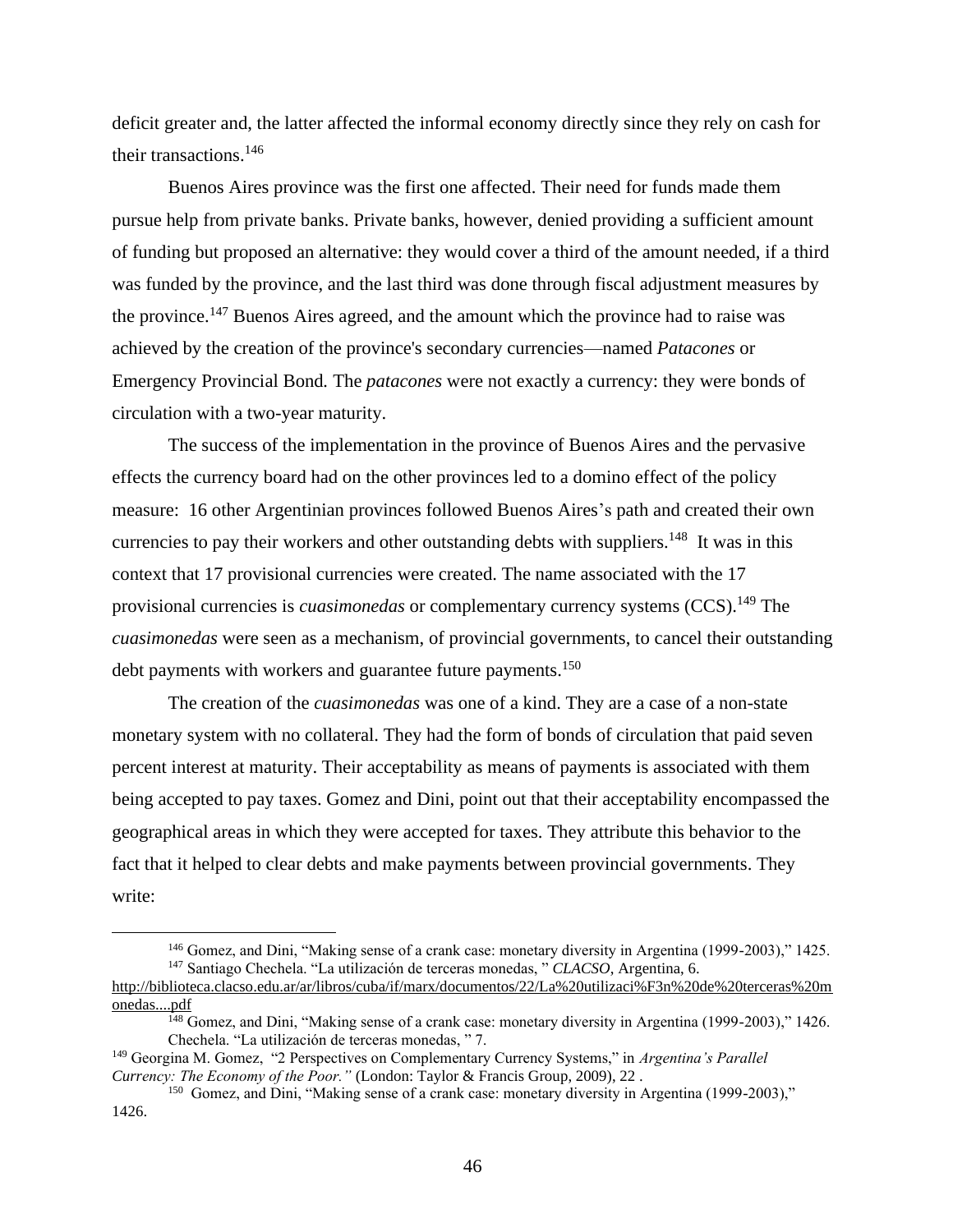deficit greater and, the latter affected the informal economy directly since they rely on cash for their transactions.<sup>146</sup>

Buenos Aires province was the first one affected. Their need for funds made them pursue help from private banks. Private banks, however, denied providing a sufficient amount of funding but proposed an alternative: they would cover a third of the amount needed, if a third was funded by the province, and the last third was done through fiscal adjustment measures by the province.<sup>147</sup> Buenos Aires agreed, and the amount which the province had to raise was achieved by the creation of the province's secondary currencies—named *Patacones* or Emergency Provincial Bond*.* The *patacones* were not exactly a currency: they were bonds of circulation with a two-year maturity.

The success of the implementation in the province of Buenos Aires and the pervasive effects the currency board had on the other provinces led to a domino effect of the policy measure: 16 other Argentinian provinces followed Buenos Aires's path and created their own currencies to pay their workers and other outstanding debts with suppliers.<sup>148</sup> It was in this context that 17 provisional currencies were created. The name associated with the 17 provisional currencies is *cuasimonedas* or complementary currency systems (CCS).<sup>149</sup> The *cuasimonedas* were seen as a mechanism, of provincial governments, to cancel their outstanding debt payments with workers and guarantee future payments.<sup>150</sup>

The creation of the *cuasimonedas* was one of a kind. They are a case of a non-state monetary system with no collateral. They had the form of bonds of circulation that paid seven percent interest at maturity. Their acceptability as means of payments is associated with them being accepted to pay taxes. Gomez and Dini, point out that their acceptability encompassed the geographical areas in which they were accepted for taxes. They attribute this behavior to the fact that it helped to clear debts and make payments between provincial governments. They write:

<sup>&</sup>lt;sup>146</sup> Gomez, and Dini, "Making sense of a crank case: monetary diversity in Argentina (1999-2003)," 1425. <sup>147</sup> Santiago Chechela. "La utilización de terceras monedas, " *CLACSO*, Argentina, 6.

[http://biblioteca.clacso.edu.ar/ar/libros/cuba/if/marx/documentos/22/La%20utilizaci%F3n%20de%20terceras%20m](http://biblioteca.clacso.edu.ar/ar/libros/cuba/if/marx/documentos/22/La%20utilizaci%F3n%20de%20terceras%20monedas....pdf) [onedas....pdf](http://biblioteca.clacso.edu.ar/ar/libros/cuba/if/marx/documentos/22/La%20utilizaci%F3n%20de%20terceras%20monedas....pdf)

<sup>&</sup>lt;sup>148</sup> Gomez, and Dini, "Making sense of a crank case: monetary diversity in Argentina (1999-2003)," 1426. Chechela. "La utilización de terceras monedas, " 7.

<sup>149</sup> Georgina M. Gomez, "2 Perspectives on Complementary Currency Systems," in *Argentina's Parallel Currency: The Economy of the Poor."* (London: Taylor & Francis Group, 2009), 22 .

<sup>&</sup>lt;sup>150</sup> Gomez, and Dini, "Making sense of a crank case: monetary diversity in Argentina (1999-2003)," 1426.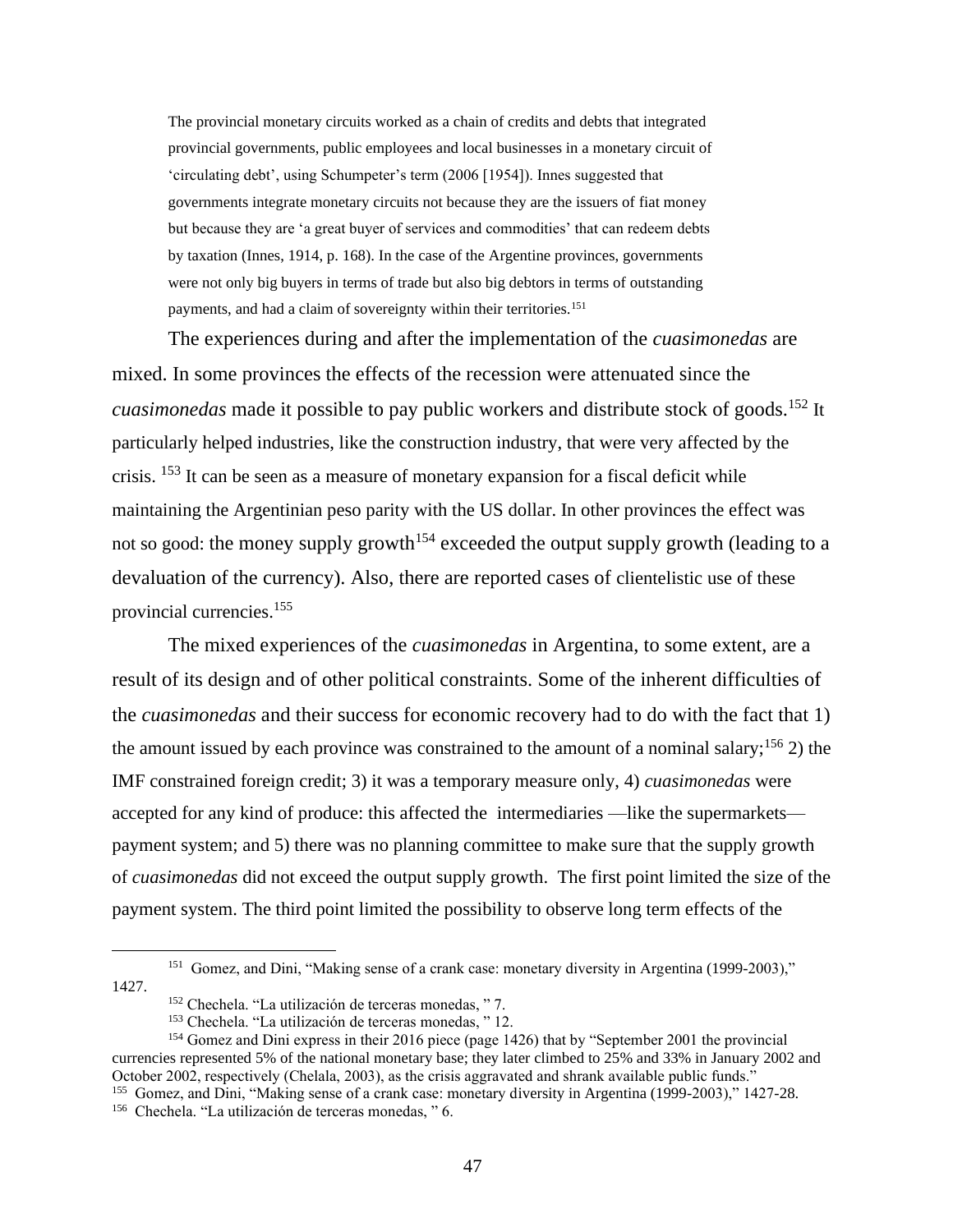The provincial monetary circuits worked as a chain of credits and debts that integrated provincial governments, public employees and local businesses in a monetary circuit of 'circulating debt', using Schumpeter's term (2006 [1954]). Innes suggested that governments integrate monetary circuits not because they are the issuers of fiat money but because they are 'a great buyer of services and commodities' that can redeem debts by taxation (Innes, 1914, p. 168). In the case of the Argentine provinces, governments were not only big buyers in terms of trade but also big debtors in terms of outstanding payments, and had a claim of sovereignty within their territories.<sup>151</sup>

The experiences during and after the implementation of the *cuasimonedas* are mixed. In some provinces the effects of the recession were attenuated since the *cuasimonedas* made it possible to pay public workers and distribute stock of goods.<sup>152</sup> It particularly helped industries, like the construction industry, that were very affected by the crisis. <sup>153</sup> It can be seen as a measure of monetary expansion for a fiscal deficit while maintaining the Argentinian peso parity with the US dollar. In other provinces the effect was not so good: the money supply growth<sup>154</sup> exceeded the output supply growth (leading to a devaluation of the currency). Also, there are reported cases of clientelistic use of these provincial currencies.<sup>155</sup>

The mixed experiences of the *cuasimonedas* in Argentina, to some extent, are a result of its design and of other political constraints. Some of the inherent difficulties of the *cuasimonedas* and their success for economic recovery had to do with the fact that 1) the amount issued by each province was constrained to the amount of a nominal salary;<sup>156</sup> 2) the IMF constrained foreign credit; 3) it was a temporary measure only, 4) *cuasimonedas* were accepted for any kind of produce: this affected the intermediaries —like the supermarkets payment system; and 5) there was no planning committee to make sure that the supply growth of *cuasimonedas* did not exceed the output supply growth. The first point limited the size of the payment system. The third point limited the possibility to observe long term effects of the

<sup>&</sup>lt;sup>151</sup> Gomez, and Dini, "Making sense of a crank case: monetary diversity in Argentina (1999-2003)," 1427.

<sup>152</sup> Chechela. "La utilización de terceras monedas, " 7.

<sup>153</sup> Chechela. "La utilización de terceras monedas, " 12.

<sup>154</sup> Gomez and Dini express in their 2016 piece (page 1426) that by "September 2001 the provincial currencies represented 5% of the national monetary base; they later climbed to 25% and 33% in January 2002 and October 2002, respectively (Chelala, 2003), as the crisis aggravated and shrank available public funds." <sup>155</sup> Gomez, and Dini, "Making sense of a crank case: monetary diversity in Argentina (1999-2003)," 1427-28.

<sup>156</sup> Chechela. "La utilización de terceras monedas, " 6.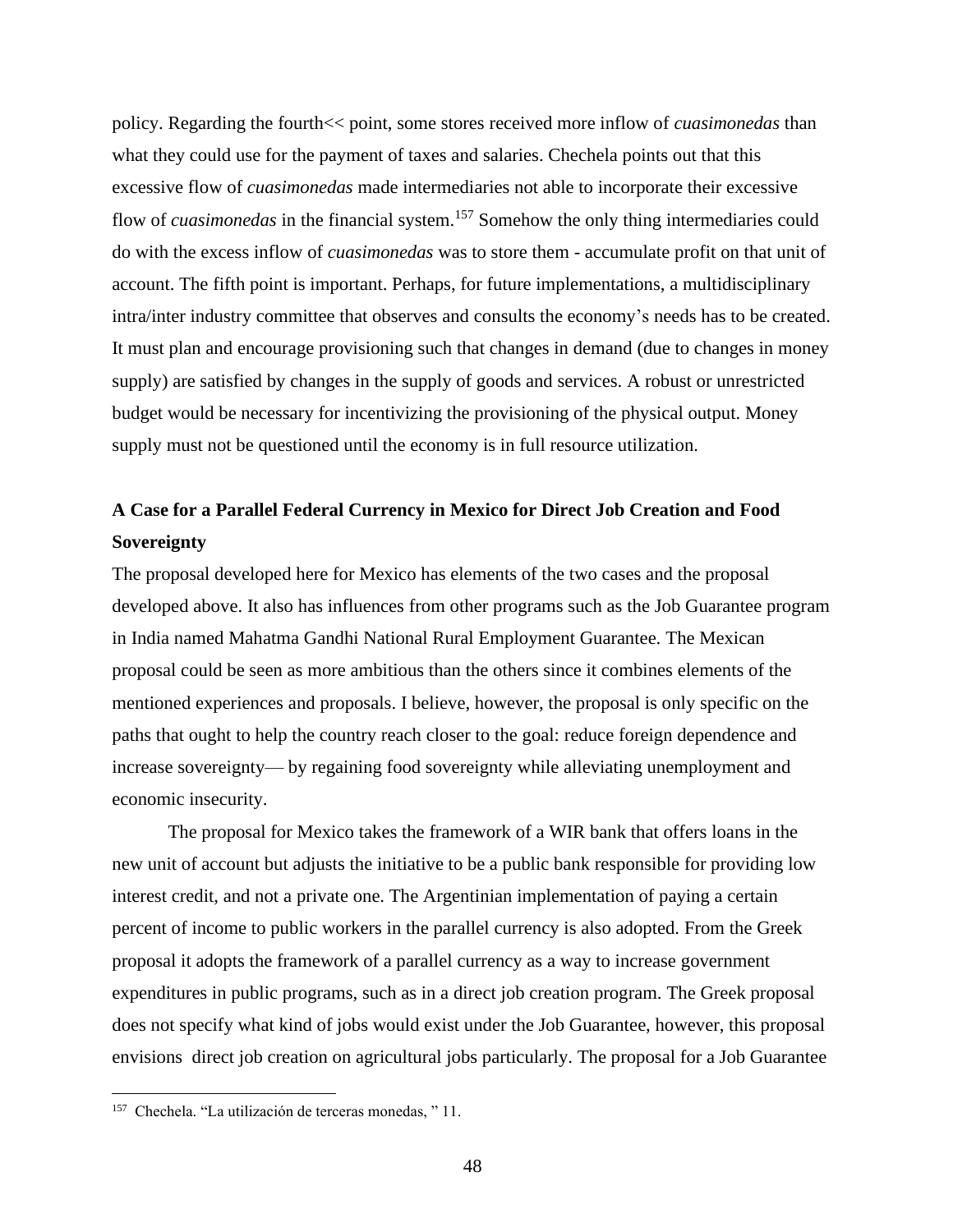policy. Regarding the fourth<< point, some stores received more inflow of *cuasimonedas* than what they could use for the payment of taxes and salaries. Chechela points out that this excessive flow of *cuasimonedas* made intermediaries not able to incorporate their excessive flow of *cuasimonedas* in the financial system.<sup>157</sup> Somehow the only thing intermediaries could do with the excess inflow of *cuasimonedas* was to store them - accumulate profit on that unit of account. The fifth point is important. Perhaps, for future implementations, a multidisciplinary intra/inter industry committee that observes and consults the economy's needs has to be created. It must plan and encourage provisioning such that changes in demand (due to changes in money supply) are satisfied by changes in the supply of goods and services. A robust or unrestricted budget would be necessary for incentivizing the provisioning of the physical output. Money supply must not be questioned until the economy is in full resource utilization.

# **A Case for a Parallel Federal Currency in Mexico for Direct Job Creation and Food Sovereignty**

The proposal developed here for Mexico has elements of the two cases and the proposal developed above. It also has influences from other programs such as the Job Guarantee program in India named Mahatma Gandhi National Rural Employment Guarantee. The Mexican proposal could be seen as more ambitious than the others since it combines elements of the mentioned experiences and proposals. I believe, however, the proposal is only specific on the paths that ought to help the country reach closer to the goal: reduce foreign dependence and increase sovereignty— by regaining food sovereignty while alleviating unemployment and economic insecurity.

The proposal for Mexico takes the framework of a WIR bank that offers loans in the new unit of account but adjusts the initiative to be a public bank responsible for providing low interest credit, and not a private one. The Argentinian implementation of paying a certain percent of income to public workers in the parallel currency is also adopted. From the Greek proposal it adopts the framework of a parallel currency as a way to increase government expenditures in public programs, such as in a direct job creation program. The Greek proposal does not specify what kind of jobs would exist under the Job Guarantee, however, this proposal envisions direct job creation on agricultural jobs particularly. The proposal for a Job Guarantee

<sup>157</sup> Chechela. "La utilización de terceras monedas, " 11.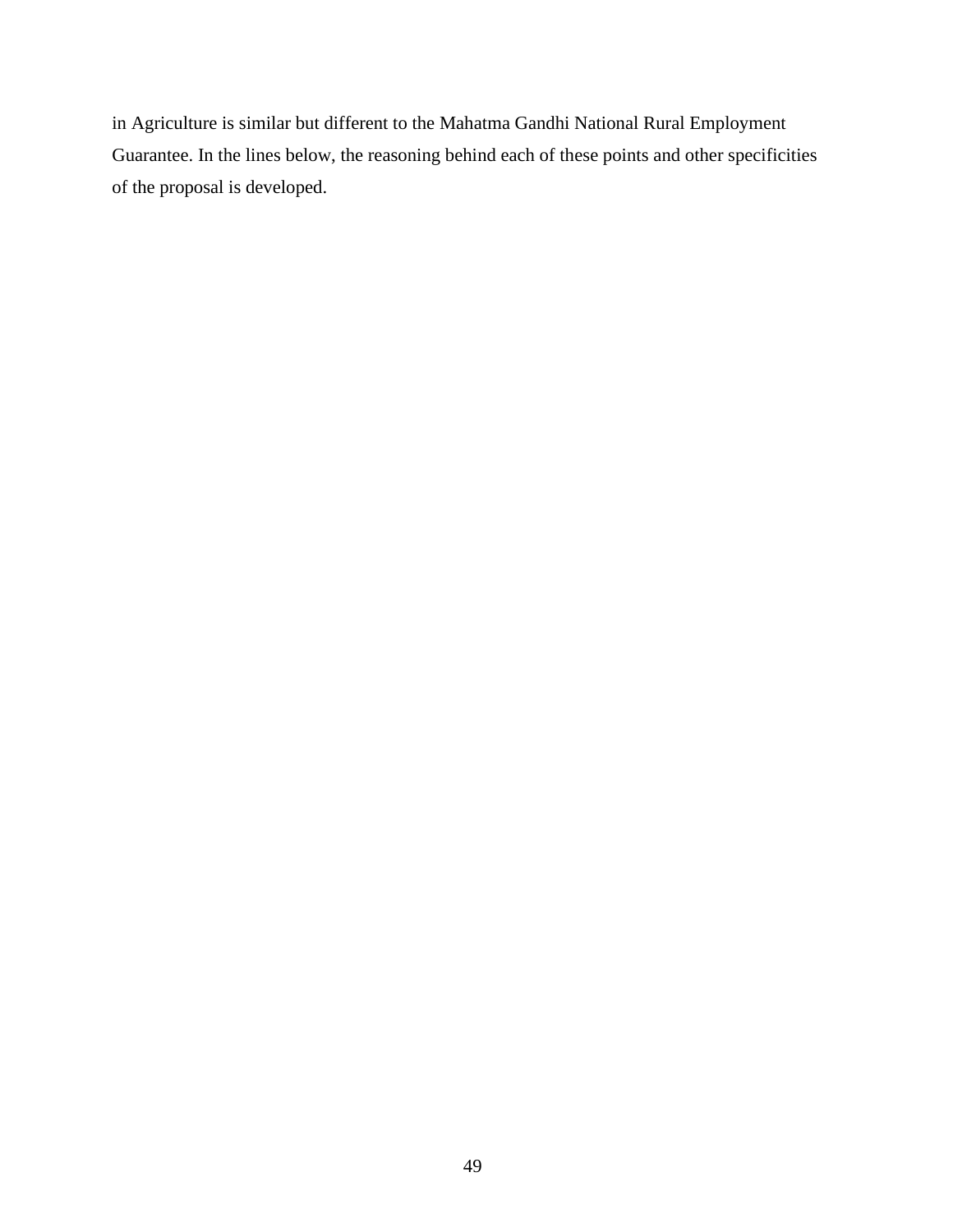in Agriculture is similar but different to the Mahatma Gandhi National Rural Employment Guarantee. In the lines below, the reasoning behind each of these points and other specificities of the proposal is developed.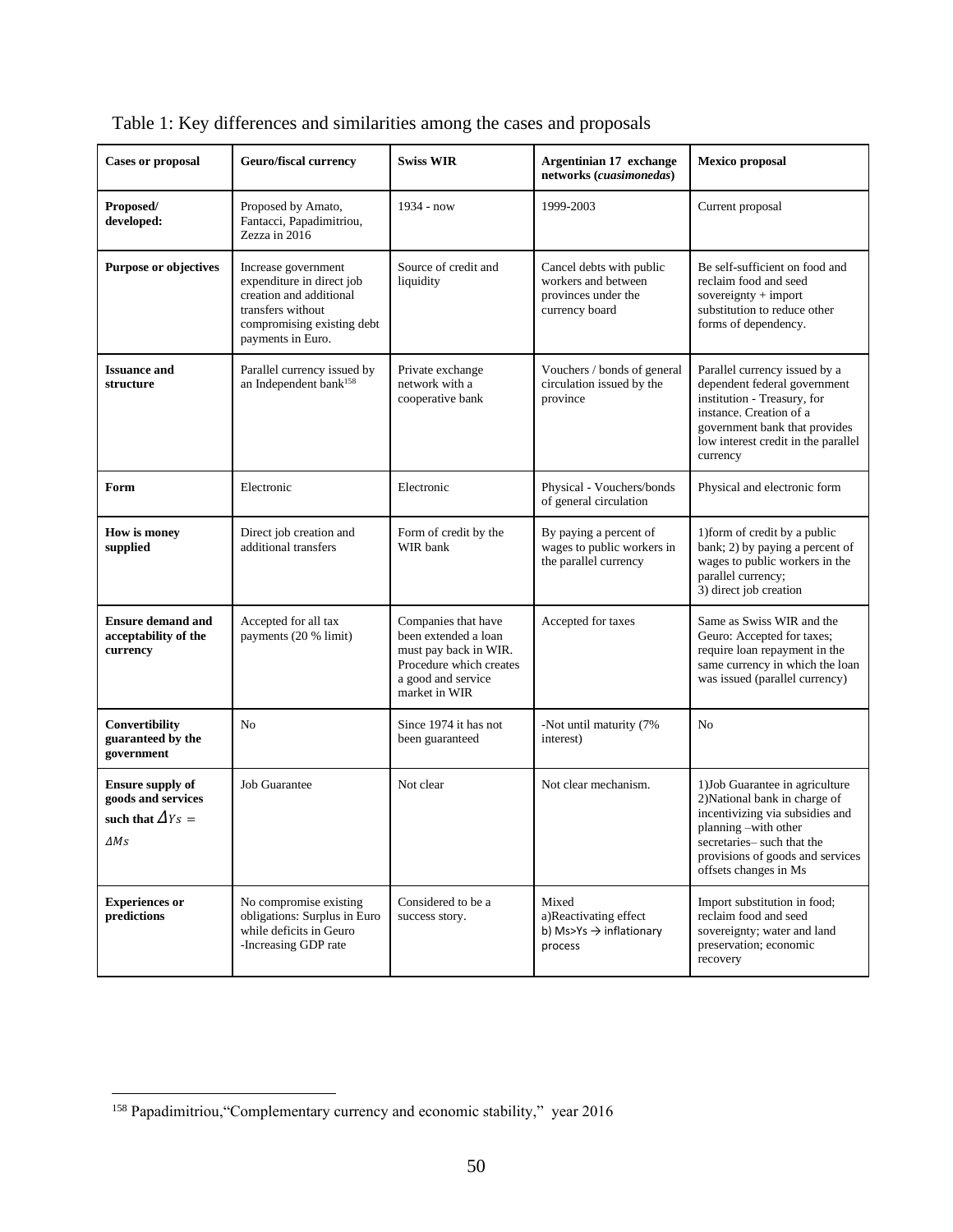| <b>Cases or proposal</b>                                                                    | <b>Geuro/fiscal currency</b>                                                                                                                        | <b>Swiss WIR</b>                                                                                                                       | Argentinian 17 exchange<br>networks (cuasimonedas)                                       | <b>Mexico</b> proposal                                                                                                                                                                                                 |
|---------------------------------------------------------------------------------------------|-----------------------------------------------------------------------------------------------------------------------------------------------------|----------------------------------------------------------------------------------------------------------------------------------------|------------------------------------------------------------------------------------------|------------------------------------------------------------------------------------------------------------------------------------------------------------------------------------------------------------------------|
| Proposed/<br>developed:                                                                     | Proposed by Amato,<br>Fantacci, Papadimitriou,<br>Zezza in 2016                                                                                     | 1934 - now                                                                                                                             | 1999-2003                                                                                | Current proposal                                                                                                                                                                                                       |
| <b>Purpose or objectives</b>                                                                | Increase government<br>expenditure in direct job<br>creation and additional<br>transfers without<br>compromising existing debt<br>payments in Euro. | Source of credit and<br>liquidity                                                                                                      | Cancel debts with public<br>workers and between<br>provinces under the<br>currency board | Be self-sufficient on food and<br>reclaim food and seed<br>sovereignty + import<br>substitution to reduce other<br>forms of dependency.                                                                                |
| <b>Issuance and</b><br>structure                                                            | Parallel currency issued by<br>an Independent bank <sup>158</sup>                                                                                   | Private exchange<br>network with a<br>cooperative bank                                                                                 | Vouchers / bonds of general<br>circulation issued by the<br>province                     | Parallel currency issued by a<br>dependent federal government<br>institution - Treasury, for<br>instance. Creation of a<br>government bank that provides<br>low interest credit in the parallel<br>currency            |
| Form                                                                                        | Electronic                                                                                                                                          | Electronic                                                                                                                             | Physical - Vouchers/bonds<br>of general circulation                                      | Physical and electronic form                                                                                                                                                                                           |
| How is money<br>supplied                                                                    | Direct job creation and<br>additional transfers                                                                                                     | Form of credit by the<br>WIR bank                                                                                                      | By paying a percent of<br>wages to public workers in<br>the parallel currency            | 1) form of credit by a public<br>bank; 2) by paying a percent of<br>wages to public workers in the<br>parallel currency;<br>3) direct job creation                                                                     |
| <b>Ensure demand and</b><br>acceptability of the<br>currency                                | Accepted for all tax<br>payments (20 % limit)                                                                                                       | Companies that have<br>been extended a loan<br>must pay back in WIR.<br>Procedure which creates<br>a good and service<br>market in WIR | Accepted for taxes                                                                       | Same as Swiss WIR and the<br>Geuro: Accepted for taxes;<br>require loan repayment in the<br>same currency in which the loan<br>was issued (parallel currency)                                                          |
| Convertibility<br>guaranteed by the<br>government                                           | No                                                                                                                                                  | Since 1974 it has not<br>been guaranteed                                                                                               | -Not until maturity (7%<br>interest)                                                     | No                                                                                                                                                                                                                     |
| <b>Ensure supply of</b><br>goods and services<br>such that $\Delta Y_s =$<br>$\varDelta Ms$ | Job Guarantee                                                                                                                                       | Not clear                                                                                                                              | Not clear mechanism.                                                                     | 1) Job Guarantee in agriculture<br>2) National bank in charge of<br>incentivizing via subsidies and<br>planning -with other<br>secretaries- such that the<br>provisions of goods and services<br>offsets changes in Ms |
| <b>Experiences or</b><br>predictions                                                        | No compromise existing<br>obligations: Surplus in Euro<br>while deficits in Geuro<br>-Increasing GDP rate                                           | Considered to be a<br>success story.                                                                                                   | Mixed<br>a)Reactivating effect<br>b) Ms>Ys $\rightarrow$ inflationary<br>process         | Import substitution in food;<br>reclaim food and seed<br>sovereignty; water and land<br>preservation; economic<br>recovery                                                                                             |

|  |  | Table 1: Key differences and similarities among the cases and proposals |
|--|--|-------------------------------------------------------------------------|
|  |  |                                                                         |

<sup>158</sup> Papadimitriou,"Complementary currency and economic stability," year 2016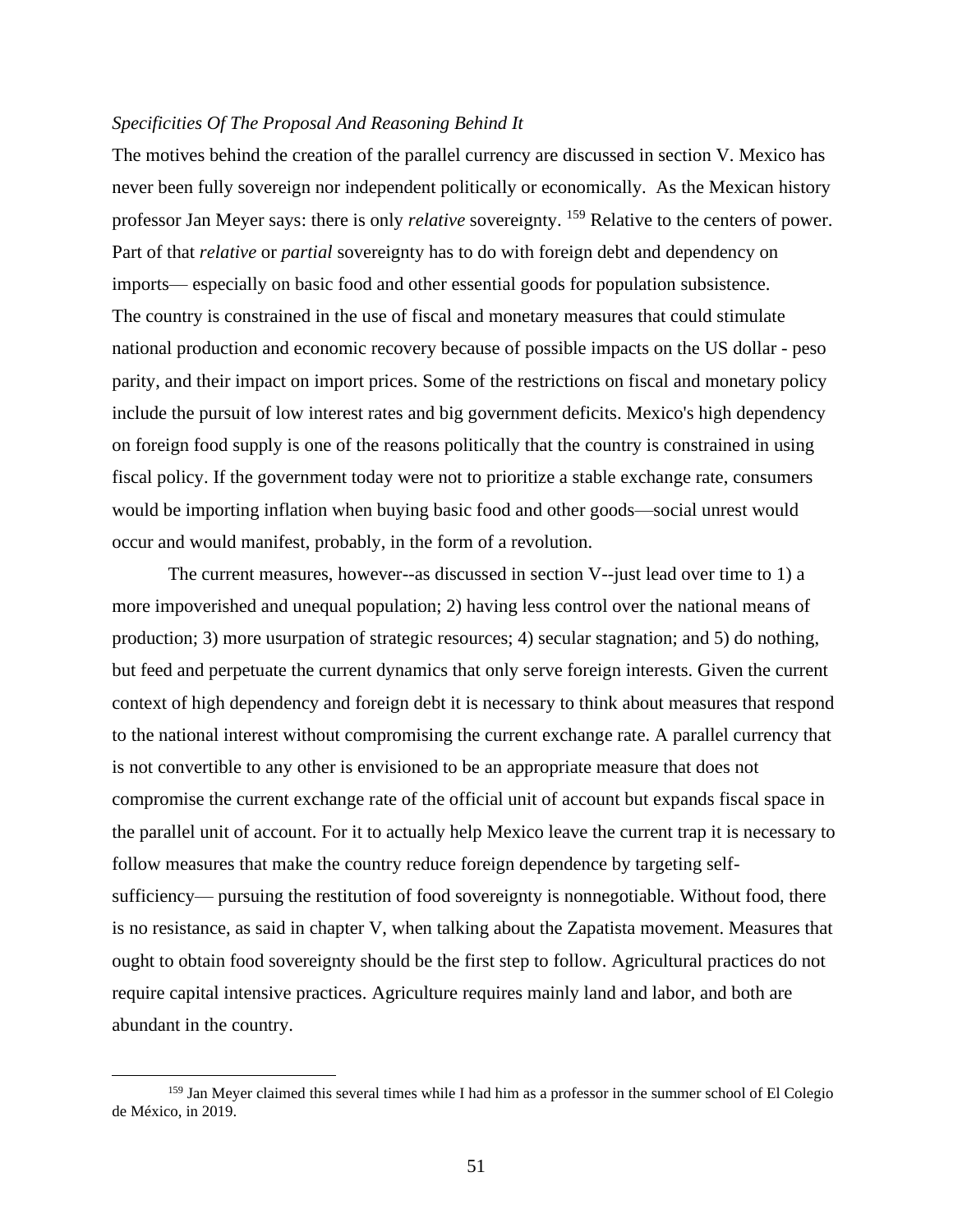## *Specificities Of The Proposal And Reasoning Behind It*

The motives behind the creation of the parallel currency are discussed in section V. Mexico has never been fully sovereign nor independent politically or economically. As the Mexican history professor Jan Meyer says: there is only *relative* sovereignty. <sup>159</sup> Relative to the centers of power. Part of that *relative* or *partial* sovereignty has to do with foreign debt and dependency on imports— especially on basic food and other essential goods for population subsistence. The country is constrained in the use of fiscal and monetary measures that could stimulate national production and economic recovery because of possible impacts on the US dollar - peso parity, and their impact on import prices. Some of the restrictions on fiscal and monetary policy include the pursuit of low interest rates and big government deficits. Mexico's high dependency on foreign food supply is one of the reasons politically that the country is constrained in using fiscal policy. If the government today were not to prioritize a stable exchange rate, consumers would be importing inflation when buying basic food and other goods—social unrest would occur and would manifest, probably, in the form of a revolution.

The current measures, however--as discussed in section V--just lead over time to 1) a more impoverished and unequal population; 2) having less control over the national means of production; 3) more usurpation of strategic resources; 4) secular stagnation; and 5) do nothing, but feed and perpetuate the current dynamics that only serve foreign interests. Given the current context of high dependency and foreign debt it is necessary to think about measures that respond to the national interest without compromising the current exchange rate. A parallel currency that is not convertible to any other is envisioned to be an appropriate measure that does not compromise the current exchange rate of the official unit of account but expands fiscal space in the parallel unit of account. For it to actually help Mexico leave the current trap it is necessary to follow measures that make the country reduce foreign dependence by targeting selfsufficiency— pursuing the restitution of food sovereignty is nonnegotiable. Without food, there is no resistance, as said in chapter V, when talking about the Zapatista movement. Measures that ought to obtain food sovereignty should be the first step to follow. Agricultural practices do not require capital intensive practices. Agriculture requires mainly land and labor, and both are abundant in the country.

<sup>&</sup>lt;sup>159</sup> Jan Meyer claimed this several times while I had him as a professor in the summer school of El Colegio de México, in 2019.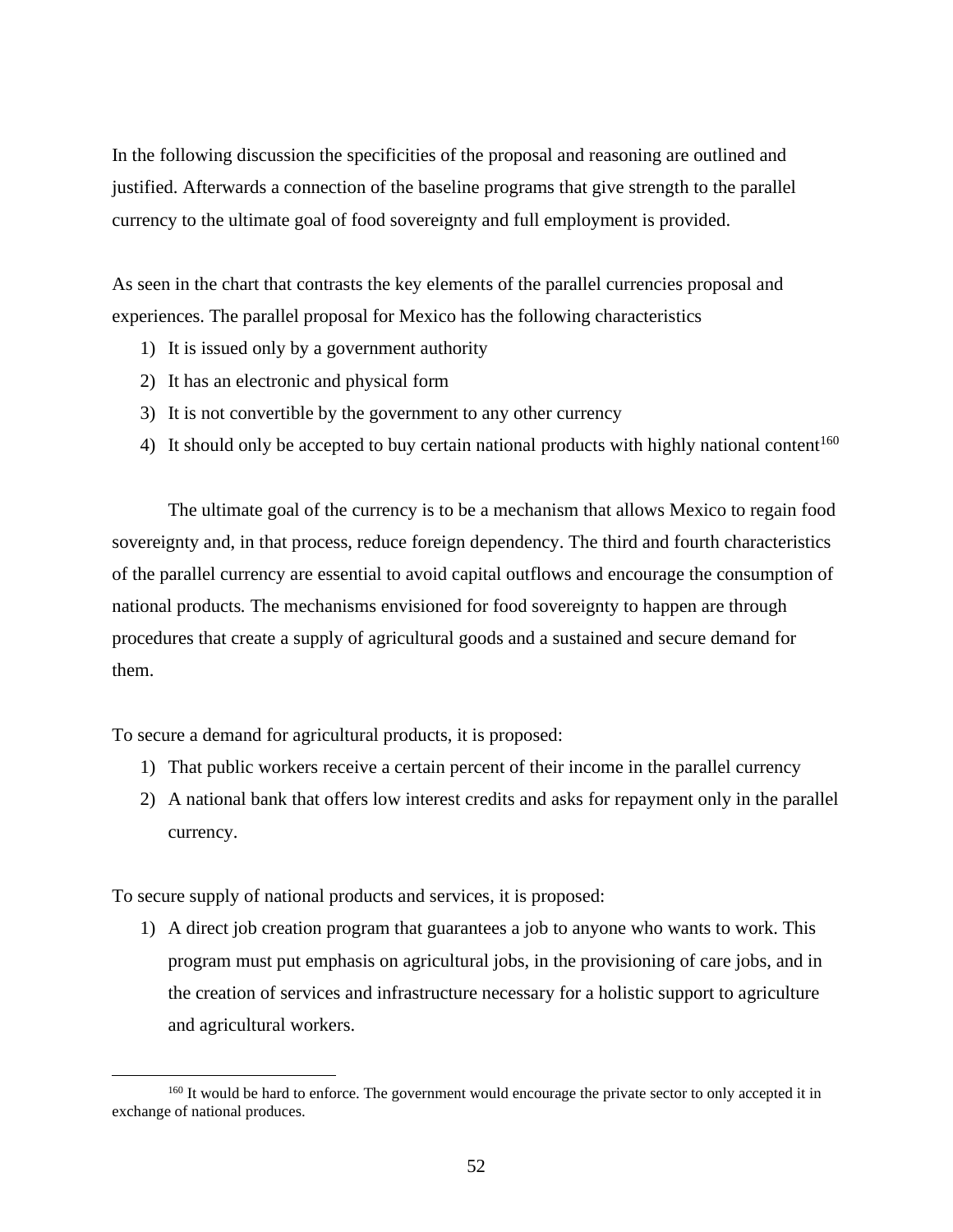In the following discussion the specificities of the proposal and reasoning are outlined and justified. Afterwards a connection of the baseline programs that give strength to the parallel currency to the ultimate goal of food sovereignty and full employment is provided.

As seen in the chart that contrasts the key elements of the parallel currencies proposal and experiences. The parallel proposal for Mexico has the following characteristics

- 1) It is issued only by a government authority
- 2) It has an electronic and physical form
- 3) It is not convertible by the government to any other currency
- 4) It should only be accepted to buy certain national products with highly national content<sup>160</sup>

The ultimate goal of the currency is to be a mechanism that allows Mexico to regain food sovereignty and, in that process, reduce foreign dependency. The third and fourth characteristics of the parallel currency are essential to avoid capital outflows and encourage the consumption of national products*.* The mechanisms envisioned for food sovereignty to happen are through procedures that create a supply of agricultural goods and a sustained and secure demand for them.

To secure a demand for agricultural products, it is proposed:

- 1) That public workers receive a certain percent of their income in the parallel currency
- 2) A national bank that offers low interest credits and asks for repayment only in the parallel currency.

To secure supply of national products and services, it is proposed:

1) A direct job creation program that guarantees a job to anyone who wants to work. This program must put emphasis on agricultural jobs, in the provisioning of care jobs, and in the creation of services and infrastructure necessary for a holistic support to agriculture and agricultural workers.

<sup>&</sup>lt;sup>160</sup> It would be hard to enforce. The government would encourage the private sector to only accepted it in exchange of national produces.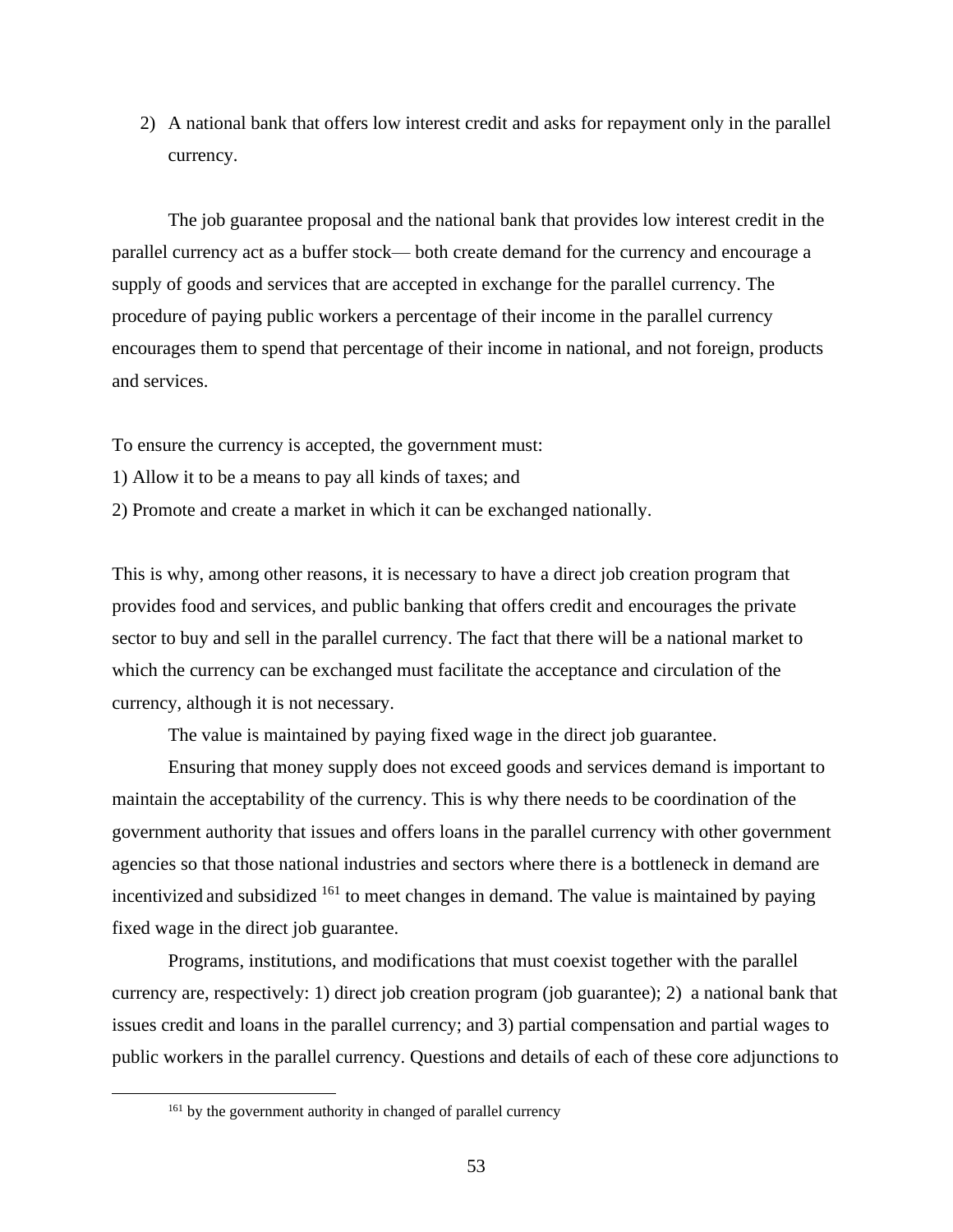2) A national bank that offers low interest credit and asks for repayment only in the parallel currency.

The job guarantee proposal and the national bank that provides low interest credit in the parallel currency act as a buffer stock— both create demand for the currency and encourage a supply of goods and services that are accepted in exchange for the parallel currency. The procedure of paying public workers a percentage of their income in the parallel currency encourages them to spend that percentage of their income in national, and not foreign, products and services.

To ensure the currency is accepted, the government must:

- 1) Allow it to be a means to pay all kinds of taxes; and
- 2) Promote and create a market in which it can be exchanged nationally.

This is why, among other reasons, it is necessary to have a direct job creation program that provides food and services, and public banking that offers credit and encourages the private sector to buy and sell in the parallel currency. The fact that there will be a national market to which the currency can be exchanged must facilitate the acceptance and circulation of the currency, although it is not necessary.

The value is maintained by paying fixed wage in the direct job guarantee.

Ensuring that money supply does not exceed goods and services demand is important to maintain the acceptability of the currency. This is why there needs to be coordination of the government authority that issues and offers loans in the parallel currency with other government agencies so that those national industries and sectors where there is a bottleneck in demand are incentivized and subsidized <sup>161</sup> to meet changes in demand. The value is maintained by paying fixed wage in the direct job guarantee.

Programs, institutions, and modifications that must coexist together with the parallel currency are, respectively: 1) direct job creation program (job guarantee); 2) a national bank that issues credit and loans in the parallel currency; and 3) partial compensation and partial wages to public workers in the parallel currency. Questions and details of each of these core adjunctions to

<sup>&</sup>lt;sup>161</sup> by the government authority in changed of parallel currency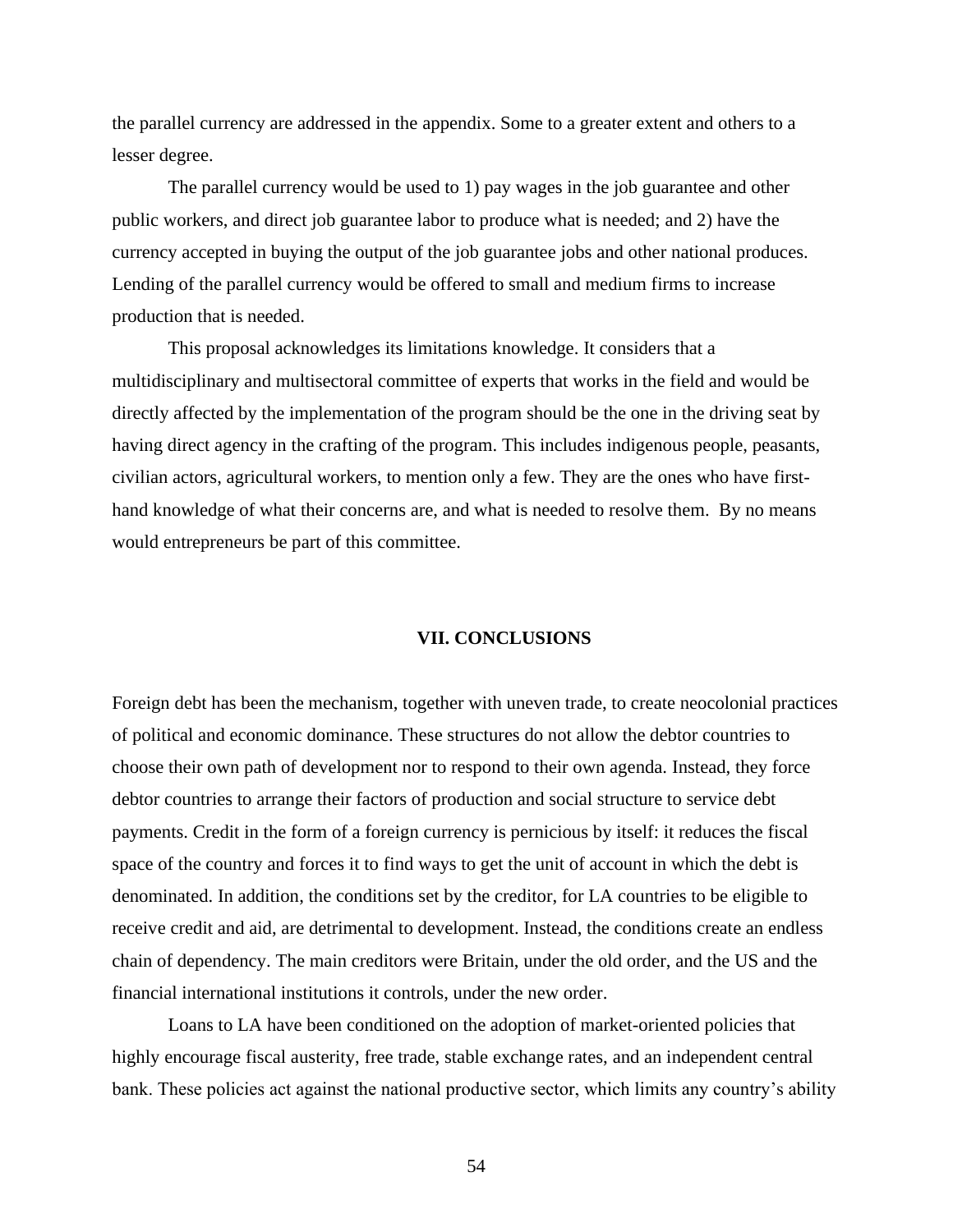the parallel currency are addressed in the appendix. Some to a greater extent and others to a lesser degree.

The parallel currency would be used to 1) pay wages in the job guarantee and other public workers, and direct job guarantee labor to produce what is needed; and 2) have the currency accepted in buying the output of the job guarantee jobs and other national produces. Lending of the parallel currency would be offered to small and medium firms to increase production that is needed.

This proposal acknowledges its limitations knowledge. It considers that a multidisciplinary and multisectoral committee of experts that works in the field and would be directly affected by the implementation of the program should be the one in the driving seat by having direct agency in the crafting of the program. This includes indigenous people, peasants, civilian actors, agricultural workers, to mention only a few. They are the ones who have firsthand knowledge of what their concerns are, and what is needed to resolve them. By no means would entrepreneurs be part of this committee.

#### **VII. CONCLUSIONS**

Foreign debt has been the mechanism, together with uneven trade, to create neocolonial practices of political and economic dominance. These structures do not allow the debtor countries to choose their own path of development nor to respond to their own agenda. Instead, they force debtor countries to arrange their factors of production and social structure to service debt payments. Credit in the form of a foreign currency is pernicious by itself: it reduces the fiscal space of the country and forces it to find ways to get the unit of account in which the debt is denominated. In addition, the conditions set by the creditor, for LA countries to be eligible to receive credit and aid, are detrimental to development. Instead, the conditions create an endless chain of dependency. The main creditors were Britain, under the old order, and the US and the financial international institutions it controls, under the new order.

Loans to LA have been conditioned on the adoption of market-oriented policies that highly encourage fiscal austerity, free trade, stable exchange rates, and an independent central bank. These policies act against the national productive sector, which limits any country's ability

54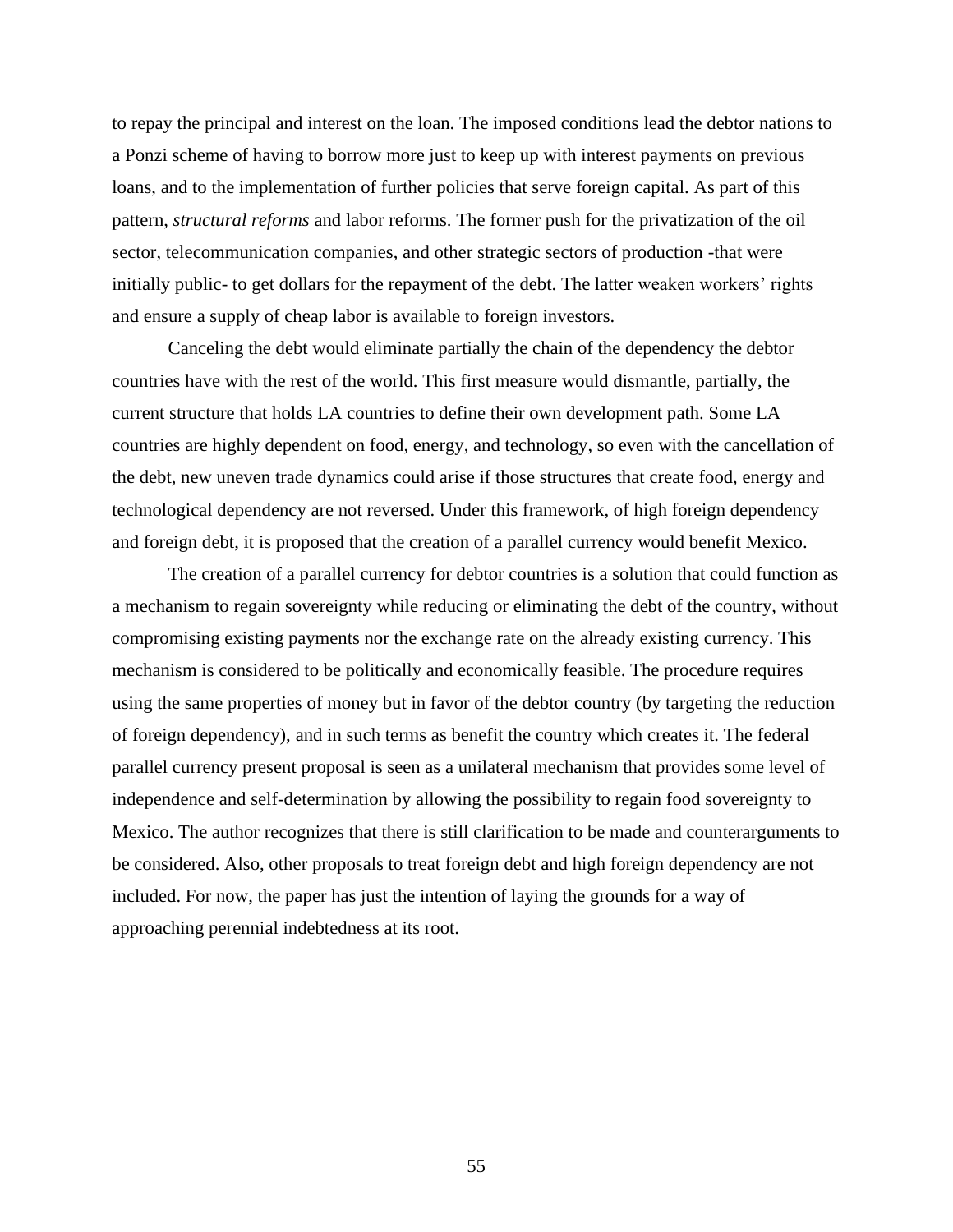to repay the principal and interest on the loan. The imposed conditions lead the debtor nations to a Ponzi scheme of having to borrow more just to keep up with interest payments on previous loans, and to the implementation of further policies that serve foreign capital. As part of this pattern, *structural reforms* and labor reforms. The former push for the privatization of the oil sector, telecommunication companies, and other strategic sectors of production -that were initially public- to get dollars for the repayment of the debt. The latter weaken workers' rights and ensure a supply of cheap labor is available to foreign investors.

Canceling the debt would eliminate partially the chain of the dependency the debtor countries have with the rest of the world. This first measure would dismantle, partially, the current structure that holds LA countries to define their own development path. Some LA countries are highly dependent on food, energy, and technology, so even with the cancellation of the debt, new uneven trade dynamics could arise if those structures that create food, energy and technological dependency are not reversed. Under this framework, of high foreign dependency and foreign debt, it is proposed that the creation of a parallel currency would benefit Mexico.

The creation of a parallel currency for debtor countries is a solution that could function as a mechanism to regain sovereignty while reducing or eliminating the debt of the country, without compromising existing payments nor the exchange rate on the already existing currency. This mechanism is considered to be politically and economically feasible. The procedure requires using the same properties of money but in favor of the debtor country (by targeting the reduction of foreign dependency), and in such terms as benefit the country which creates it. The federal parallel currency present proposal is seen as a unilateral mechanism that provides some level of independence and self-determination by allowing the possibility to regain food sovereignty to Mexico. The author recognizes that there is still clarification to be made and counterarguments to be considered. Also, other proposals to treat foreign debt and high foreign dependency are not included. For now, the paper has just the intention of laying the grounds for a way of approaching perennial indebtedness at its root.

55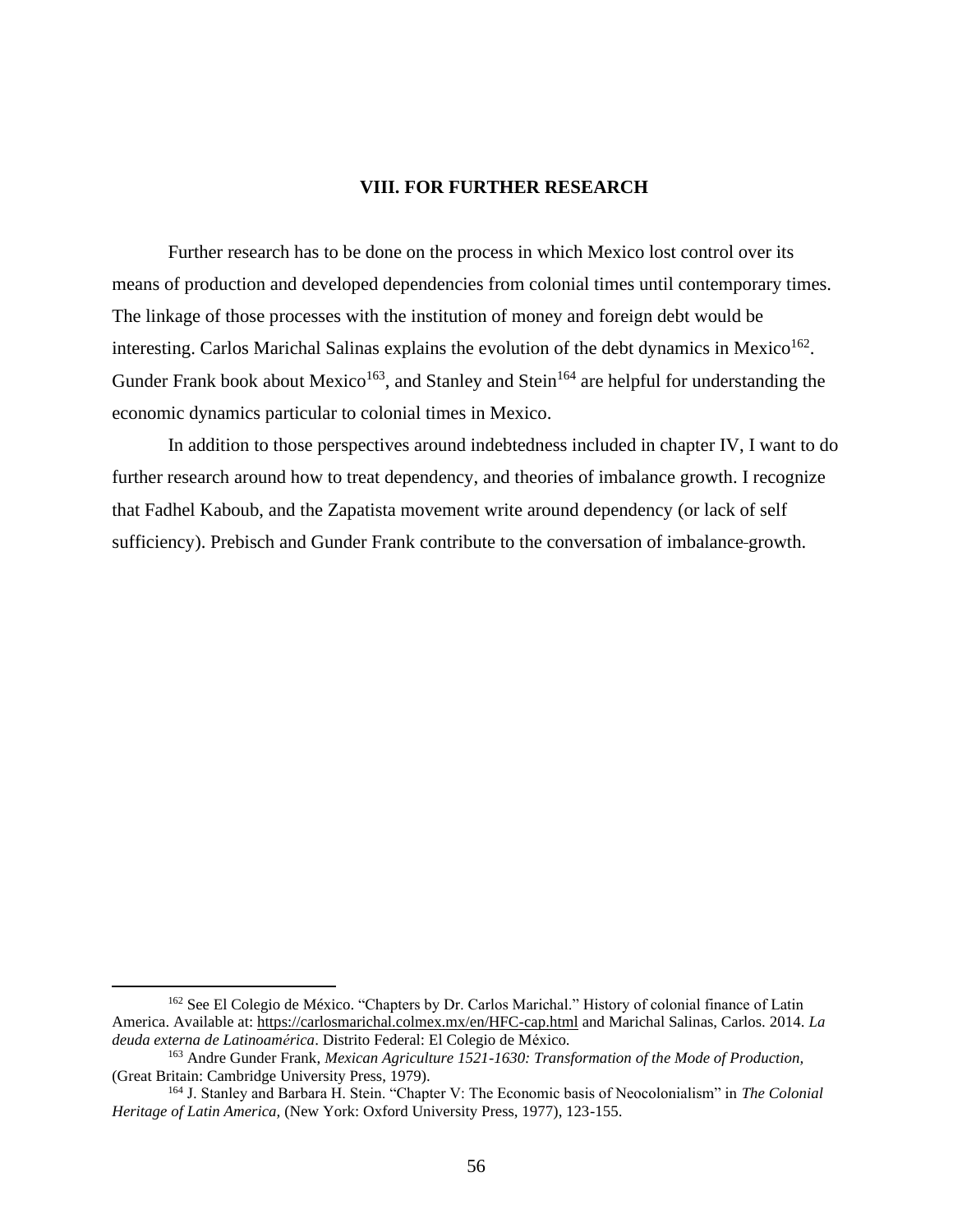## **VIII. FOR FURTHER RESEARCH**

Further research has to be done on the process in which Mexico lost control over its means of production and developed dependencies from colonial times until contemporary times. The linkage of those processes with the institution of money and foreign debt would be interesting. Carlos Marichal Salinas explains the evolution of the debt dynamics in Mexico<sup>162</sup>. Gunder Frank book about Mexico<sup>163</sup>, and Stanley and Stein<sup>164</sup> are helpful for understanding the economic dynamics particular to colonial times in Mexico.

In addition to those perspectives around indebtedness included in chapter IV, I want to do further research around how to treat dependency, and theories of imbalance growth. I recognize that Fadhel Kaboub, and the Zapatista movement write around dependency (or lack of self sufficiency). Prebisch and Gunder Frank contribute to the conversation of imbalance growth.

<sup>162</sup> See El Colegio de México. "Chapters by Dr. Carlos Marichal." History of colonial finance of Latin America. Available at:<https://carlosmarichal.colmex.mx/en/HFC-cap.html> and Marichal Salinas, Carlos. 2014. *La deuda externa de Latinoamérica*. Distrito Federal: El Colegio de México.

<sup>163</sup> Andre Gunder Frank, *Mexican Agriculture 1521-1630: Transformation of the Mode of Production,*  (Great Britain: Cambridge University Press, 1979).

<sup>164</sup> J. Stanley and Barbara H. Stein. "Chapter V: The Economic basis of Neocolonialism" in *The Colonial Heritage of Latin America,* (New York: Oxford University Press, 1977), 123-155.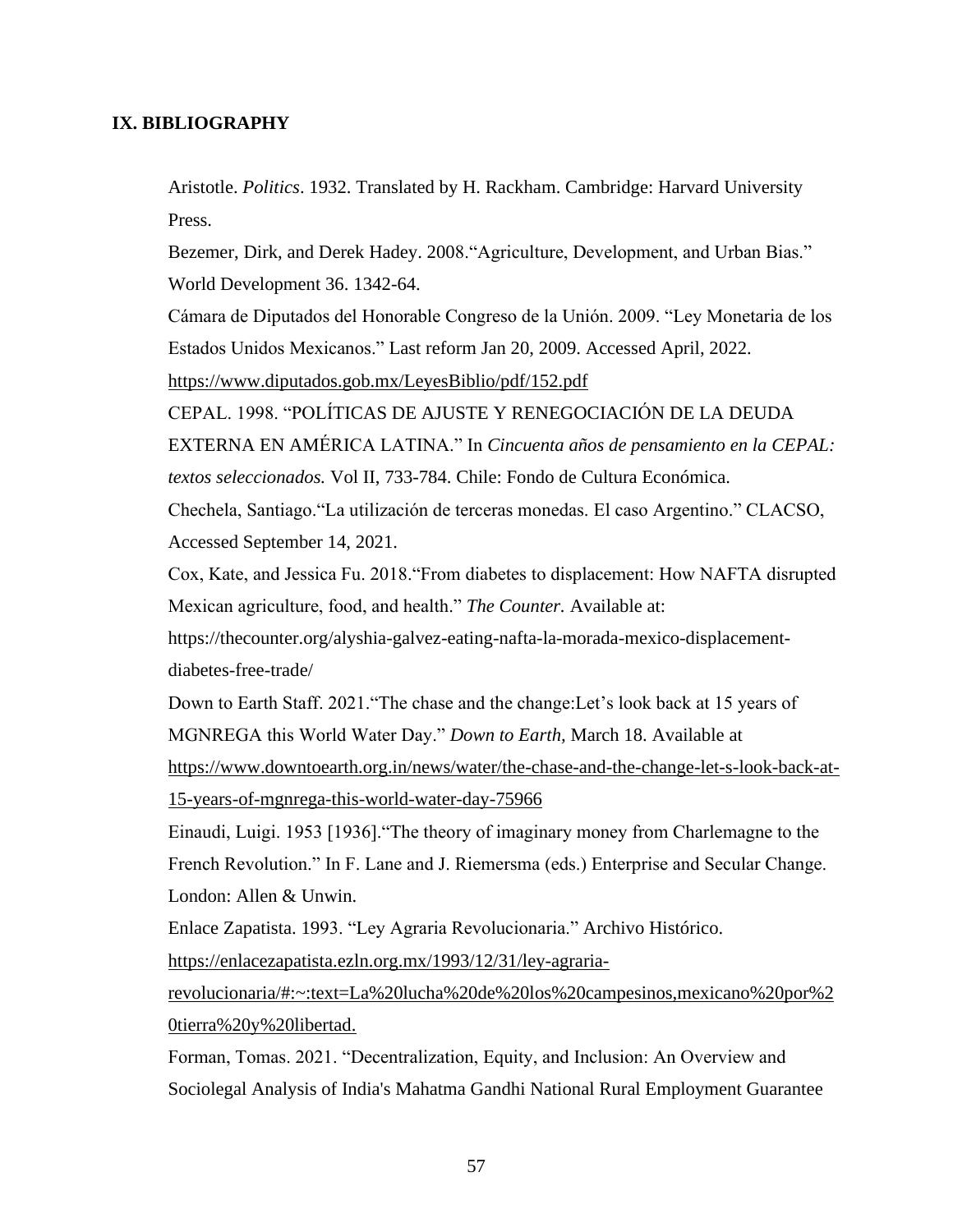# **IX. BIBLIOGRAPHY**

Aristotle. *Politics*. 1932. Translated by H. Rackham. Cambridge: Harvard University Press.

Bezemer, Dirk, and Derek Hadey. 2008."Agriculture, Development, and Urban Bias." World Development 36. 1342-64.

Cámara de Diputados del Honorable Congreso de la Unión. 2009. "Ley Monetaria de los Estados Unidos Mexicanos." Last reform Jan 20, 2009. Accessed April, 2022.

<https://www.diputados.gob.mx/LeyesBiblio/pdf/152.pdf>

CEPAL. 1998. "POLÍTICAS DE AJUSTE Y RENEGOCIACIÓN DE LA DEUDA

EXTERNA EN AMÉRICA LATINA." In *Cincuenta años de pensamiento en la CEPAL: textos seleccionados.* Vol II, 733-784. Chile: Fondo de Cultura Económica.

Chechela, Santiago."La utilización de terceras monedas. El caso Argentino." CLACSO, Accessed September 14, 2021.

Cox, Kate, and Jessica Fu. 2018."From diabetes to displacement: How NAFTA disrupted Mexican agriculture, food, and health." *The Counter.* Available at:

[https://thecounter.org/alyshia-galvez-eating-nafta-la-morada-mexico-displacement](https://thecounter.org/alyshia-galvez-eating-nafta-la-morada-mexico-displacement-diabetes-free-trade/)[diabetes-free-trade/](https://thecounter.org/alyshia-galvez-eating-nafta-la-morada-mexico-displacement-diabetes-free-trade/)

Down to Earth Staff. 2021."The chase and the change:Let's look back at 15 years of MGNREGA this World Water Day." *Down to Earth,* March 18. Available at

[https://www.downtoearth.org.in/news/water/the-chase-and-the-change-let-s-look-back-at-](https://www.downtoearth.org.in/news/water/the-chase-and-the-change-let-s-look-back-at-15-years-of-mgnrega-this-world-water-day-75966)[15-years-of-mgnrega-this-world-water-day-75966](https://www.downtoearth.org.in/news/water/the-chase-and-the-change-let-s-look-back-at-15-years-of-mgnrega-this-world-water-day-75966)

Einaudi, Luigi. 1953 [1936]."The theory of imaginary money from Charlemagne to the French Revolution." In F. Lane and J. Riemersma (eds.) Enterprise and Secular Change. London: Allen & Unwin.

Enlace Zapatista. 1993. "Ley Agraria Revolucionaria." Archivo Histórico.

[https://enlacezapatista.ezln.org.mx/1993/12/31/ley-agraria-](https://enlacezapatista.ezln.org.mx/1993/12/31/ley-agraria-revolucionaria/#:~:text=La%20lucha%20de%20los%20campesinos,mexicano%20por%20tierra%20y%20libertad)

[revolucionaria/#:~:text=La%20lucha%20de%20los%20campesinos,mexicano%20por%2](https://enlacezapatista.ezln.org.mx/1993/12/31/ley-agraria-revolucionaria/#:~:text=La%20lucha%20de%20los%20campesinos,mexicano%20por%20tierra%20y%20libertad) [0tierra%20y%20libertad.](https://enlacezapatista.ezln.org.mx/1993/12/31/ley-agraria-revolucionaria/#:~:text=La%20lucha%20de%20los%20campesinos,mexicano%20por%20tierra%20y%20libertad)

Forman, Tomas. 2021. "Decentralization, Equity, and Inclusion: An Overview and Sociolegal Analysis of India's Mahatma Gandhi National Rural Employment Guarantee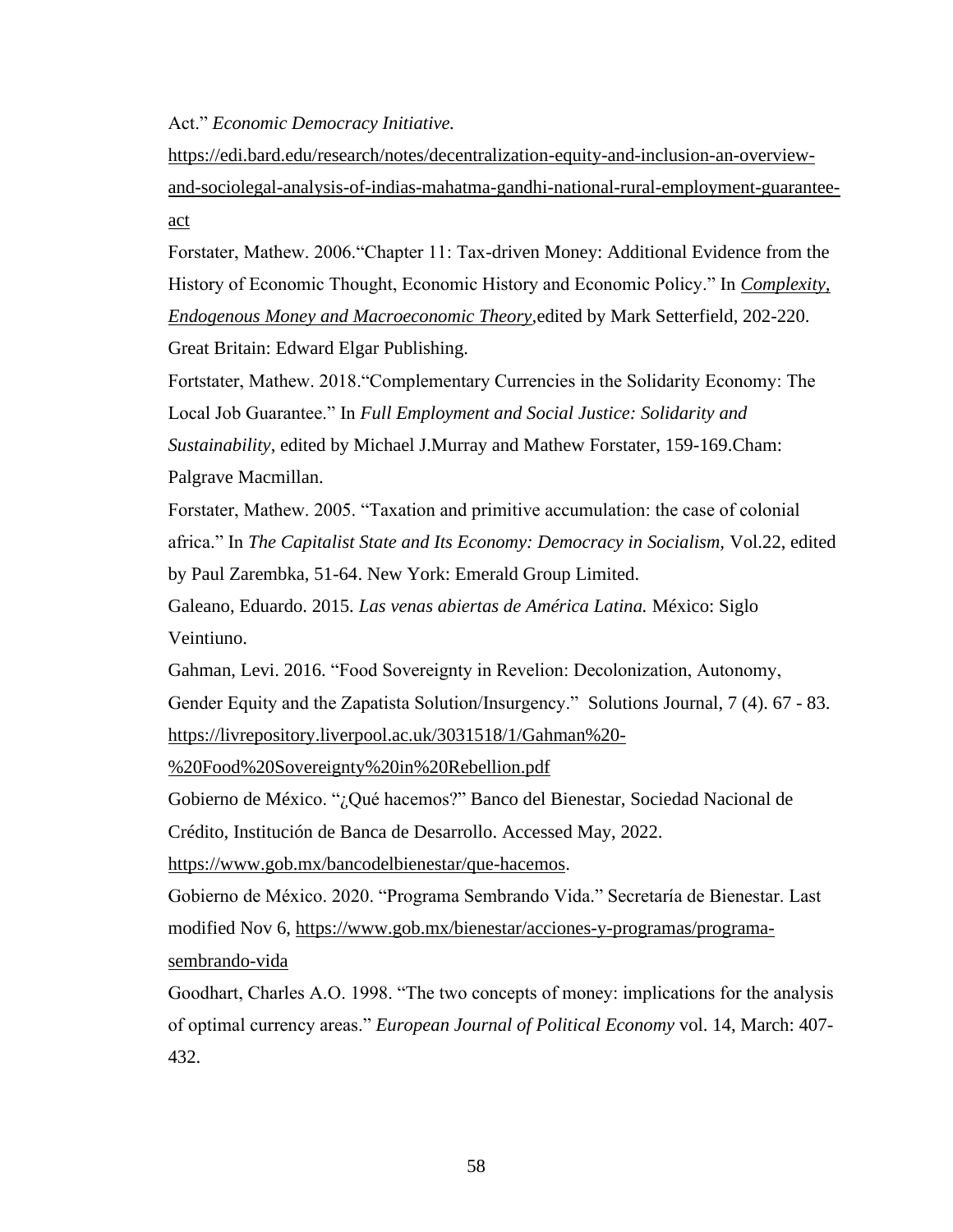Act." *Economic Democracy Initiative.*

[https://edi.bard.edu/research/notes/decentralization-equity-and-inclusion-an-overview](https://edi.bard.edu/research/notes/decentralization-equity-and-inclusion-an-overview-and-sociolegal-analysis-of-indias-mahatma-gandhi-national-rural-employment-guarantee-act)[and-sociolegal-analysis-of-indias-mahatma-gandhi-national-rural-employment-guarantee](https://edi.bard.edu/research/notes/decentralization-equity-and-inclusion-an-overview-and-sociolegal-analysis-of-indias-mahatma-gandhi-national-rural-employment-guarantee-act)[act](https://edi.bard.edu/research/notes/decentralization-equity-and-inclusion-an-overview-and-sociolegal-analysis-of-indias-mahatma-gandhi-national-rural-employment-guarantee-act)

Forstater, Mathew. 2006."Chapter 11: Tax-driven Money: Additional Evidence from the History of Economic Thought, Economic History and Economic Policy." In *[Complexity,](https://www.elgaronline.com/view/9781843769873.xml)  [Endogenous Money and Macroeconomic Theory,](https://www.elgaronline.com/view/9781843769873.xml)*edited by Mark Setterfield, 202-220. Great Britain: Edward Elgar Publishing.

Fortstater, Mathew. 2018."Complementary Currencies in the Solidarity Economy: The Local Job Guarantee." In *Full Employment and Social Justice: Solidarity and Sustainability*, edited by Michael J.Murray and Mathew Forstater, 159-169.Cham: Palgrave Macmillan.

Forstater, Mathew. 2005. "Taxation and primitive accumulation: the case of colonial africa." In *The Capitalist State and Its Economy: Democracy in Socialism,* Vol.22, edited by Paul Zarembka, 51-64. New York: Emerald Group Limited.

Galeano, Eduardo. 2015. *Las venas abiertas de América Latina.* México: Siglo Veintiuno.

Gahman, Levi. 2016. "Food Sovereignty in Revelion: Decolonization, Autonomy, Gender Equity and the Zapatista Solution/Insurgency." Solutions Journal, 7 (4). 67 - 83. [https://livrepository.liverpool.ac.uk/3031518/1/Gahman%20-](https://livrepository.liverpool.ac.uk/3031518/1/Gahman%20-%20Food%20Sovereignty%20in%20Rebellion.pdf)

[%20Food%20Sovereignty%20in%20Rebellion.pdf](https://livrepository.liverpool.ac.uk/3031518/1/Gahman%20-%20Food%20Sovereignty%20in%20Rebellion.pdf)

Gobierno de México. "¿Qué hacemos?" [Banco del Bienestar, Sociedad Nacional de](https://www.gob.mx/bancodelbienestar) 

[Crédito, Institución de Banca de Desarrollo.](https://www.gob.mx/bancodelbienestar) Accessed May, 2022.

[https://www.gob.mx/bancodelbienestar/que-hacemos.](https://www.gob.mx/bancodelbienestar/que-hacemos)

Gobierno de México. 2020. "Programa Sembrando Vida." Secretaría de Bienestar. Last modified Nov 6, [https://www.gob.mx/bienestar/acciones-y-programas/programa](https://www.gob.mx/bienestar/acciones-y-programas/programa-sembrando-vida)[sembrando-vida](https://www.gob.mx/bienestar/acciones-y-programas/programa-sembrando-vida)

Goodhart, Charles A.O. 1998. "The two concepts of money: implications for the analysis of optimal currency areas." *European Journal of Political Economy* vol. 14, March: 407- 432.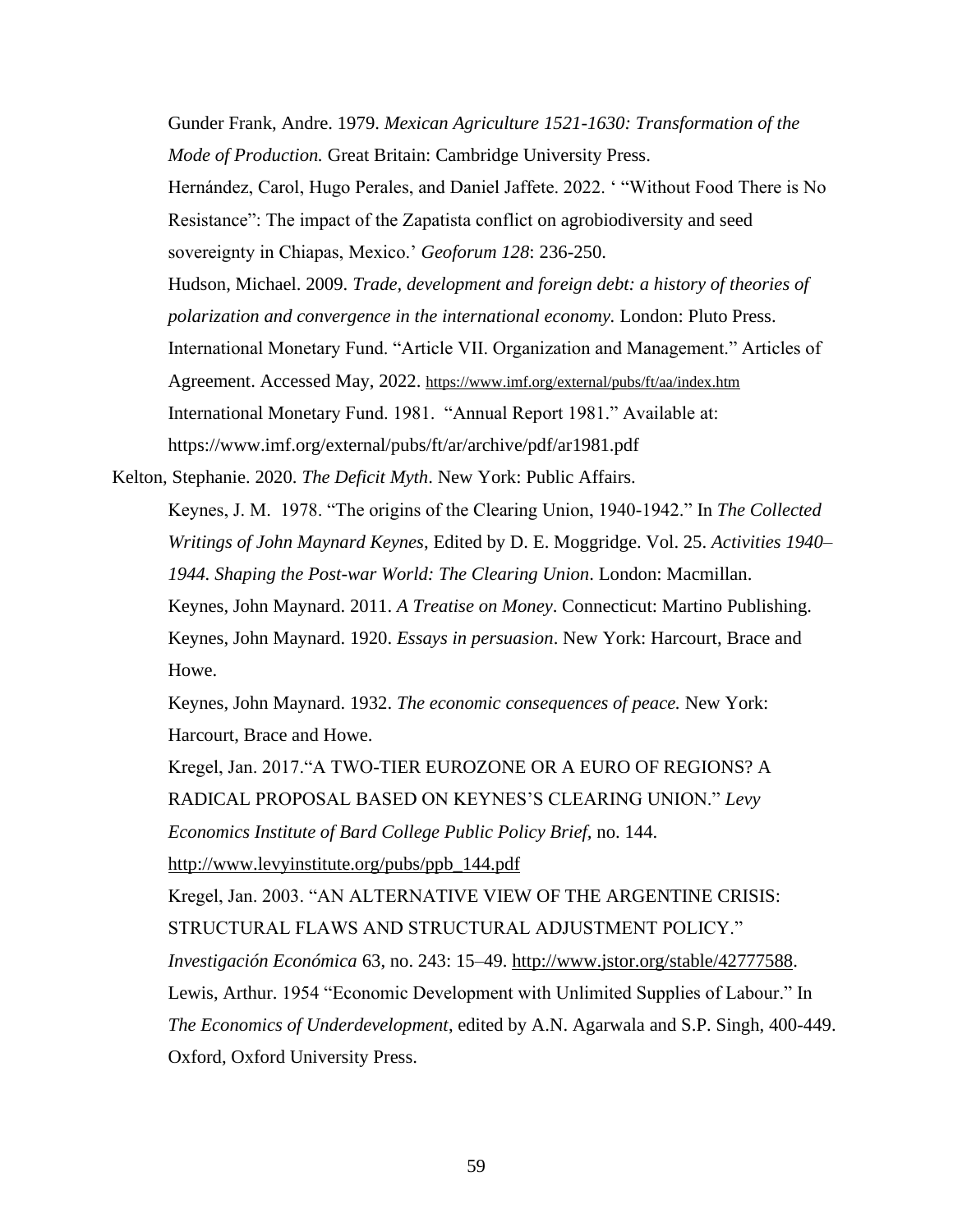Gunder Frank, Andre. 1979. *Mexican Agriculture 1521-1630: Transformation of the Mode of Production.* Great Britain: Cambridge University Press. Hernández, Carol, Hugo Perales, and Daniel Jaffete. 2022. ' "Without Food There is No Resistance": The impact of the Zapatista conflict on agrobiodiversity and seed sovereignty in Chiapas, Mexico.' *Geoforum 128*: 236-250. Hudson, Michael. 2009. *Trade, development and foreign debt: a history of theories of polarization and convergence in the international economy.* London: Pluto Press. International Monetary Fund. "Article VII. Organization and Management." Articles of Agreement. Accessed May, 2022. <https://www.imf.org/external/pubs/ft/aa/index.htm> International Monetary Fund. 1981. "Annual Report 1981." Available at: https://www.imf.org/external/pubs/ft/ar/archive/pdf/ar1981.pdf

Kelton, Stephanie. 2020. *The Deficit Myth*. New York: Public Affairs.

Keynes, J. M. 1978. "The origins of the Clearing Union, 1940-1942." In *The Collected Writings of John Maynard Keynes*, Edited by D. E. Moggridge. Vol. 25. *Activities 1940– 1944. Shaping the Post-war World: The Clearing Union*. London: Macmillan. Keynes, John Maynard. 2011. *A Treatise on Money*. Connecticut: Martino Publishing. Keynes, John Maynard. 1920. *Essays in persuasion*. New York: Harcourt, Brace and Howe.

Keynes, John Maynard. 1932. *The economic consequences of peace.* New York: Harcourt, Brace and Howe.

Kregel, Jan. 2017."A TWO-TIER EUROZONE OR A EURO OF REGIONS? A RADICAL PROPOSAL BASED ON KEYNES'S CLEARING UNION." *Levy Economics Institute of Bard College Public Policy Brief,* no. 144. [http://www.levyinstitute.org/pubs/ppb\\_144.pdf](http://www.levyinstitute.org/pubs/ppb_144.pdf) Kregel, Jan. 2003. "AN ALTERNATIVE VIEW OF THE ARGENTINE CRISIS: STRUCTURAL FLAWS AND STRUCTURAL ADJUSTMENT POLICY." *Investigación Económica* 63, no. 243: 15–49. [http://www.jstor.org/stable/42777588.](http://www.jstor.org/stable/42777588) Lewis, Arthur. 1954 "Economic Development with Unlimited Supplies of Labour." In *The Economics of Underdevelopment*, edited by A.N. Agarwala and S.P. Singh, 400-449. Oxford, Oxford University Press.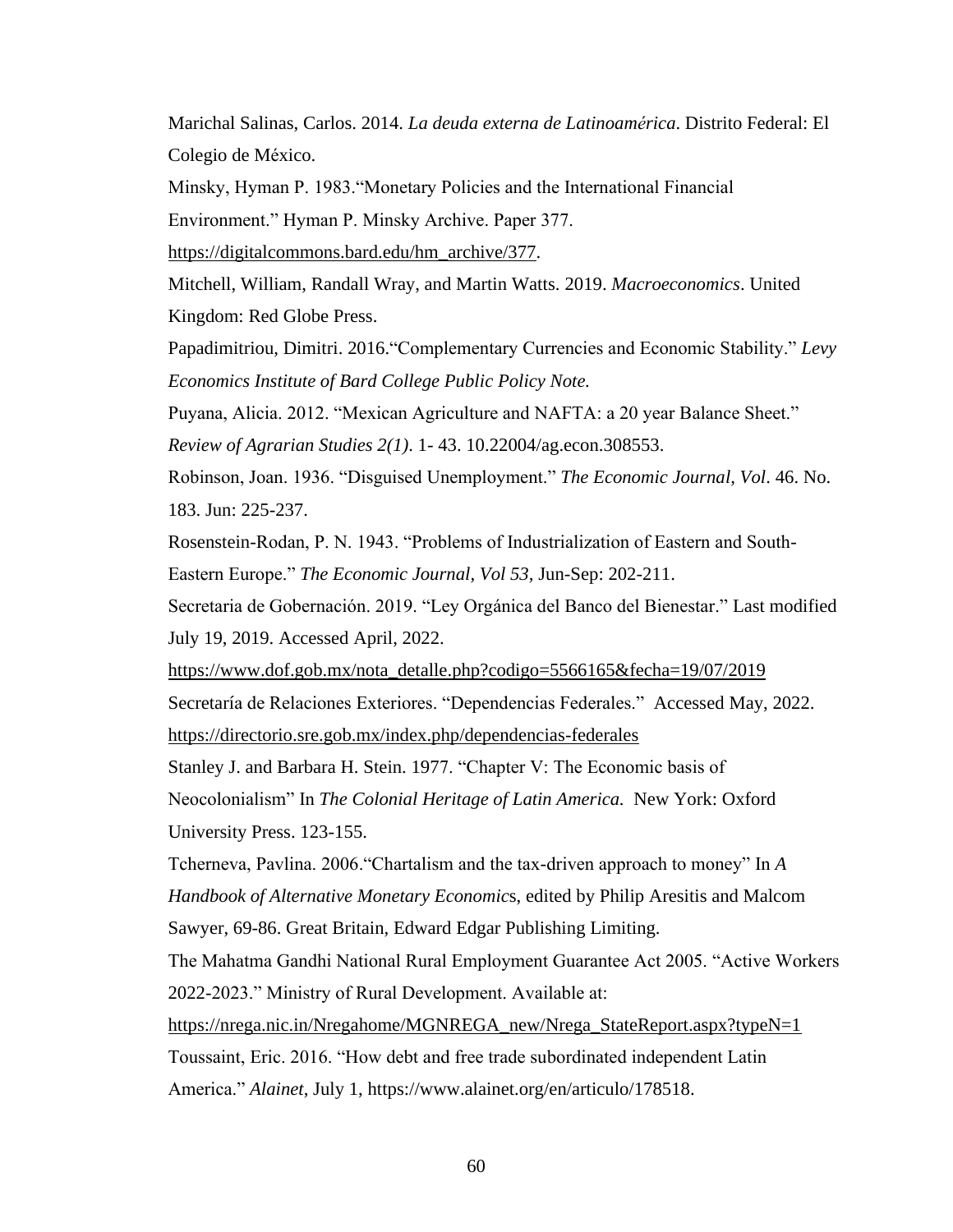Marichal Salinas, Carlos. 2014. *La deuda externa de Latinoamérica*. Distrito Federal: El Colegio de México.

Minsky, Hyman P. 1983."Monetary Policies and the International Financial

Environment." Hyman P. Minsky Archive. Paper 377.

[https://digitalcommons.bard.edu/hm\\_archive/377.](https://digitalcommons.bard.edu/hm_archive/377)

Mitchell, William, Randall Wray, and Martin Watts. 2019. *Macroeconomics*. United Kingdom: Red Globe Press.

Papadimitriou, Dimitri. 2016."Complementary Currencies and Economic Stability." *Levy Economics Institute of Bard College Public Policy Note.*

Puyana, Alicia. 2012. "Mexican Agriculture and NAFTA: a 20 year Balance Sheet."

*Review of Agrarian Studies 2(1)*. 1- 43. [10.22004/ag.econ.308553.](http://dx.doi.org/10.22004/ag.econ.308553)

Robinson, Joan. 1936. "Disguised Unemployment." *The Economic Journal, Vol*. 46. No. 183. Jun: 225-237.

Rosenstein-Rodan, P. N. 1943. "Problems of Industrialization of Eastern and South-Eastern Europe." *The Economic Journal, Vol 53,* Jun-Sep: 202-211.

Secretaria de Gobernación. 2019. "Ley Orgánica del Banco del Bienestar." Last modified July 19, 2019. Accessed April, 2022.

[https://www.dof.gob.mx/nota\\_detalle.php?codigo=5566165&fecha=19/07/2019](https://www.dof.gob.mx/nota_detalle.php?codigo=5566165&fecha=19/07/2019) Secretaría de Relaciones Exteriores. "Dependencias Federales." Accessed May, 2022. <https://directorio.sre.gob.mx/index.php/dependencias-federales>

Stanley J. and Barbara H. Stein. 1977. "Chapter V: The Economic basis of

Neocolonialism" In *The Colonial Heritage of Latin America.* New York: Oxford University Press. 123-155.

Tcherneva, Pavlina. 2006."Chartalism and the tax-driven approach to money" In *A Handbook of Alternative Monetary Economic*s, edited by Philip Aresitis and Malcom Sawyer, 69-86. Great Britain, Edward Edgar Publishing Limiting.

The Mahatma Gandhi National Rural Employment Guarantee Act 2005. "Active Workers 2022-2023." Ministry of Rural Development. Available at:

[https://nrega.nic.in/Nregahome/MGNREGA\\_new/Nrega\\_StateReport.aspx?typeN=1](https://nrega.nic.in/Nregahome/MGNREGA_new/Nrega_StateReport.aspx?typeN=1) Toussaint, Eric. 2016. "How debt and free trade subordinated independent Latin America." *Alainet*, July 1, https://www.alainet.org/en/articulo/178518.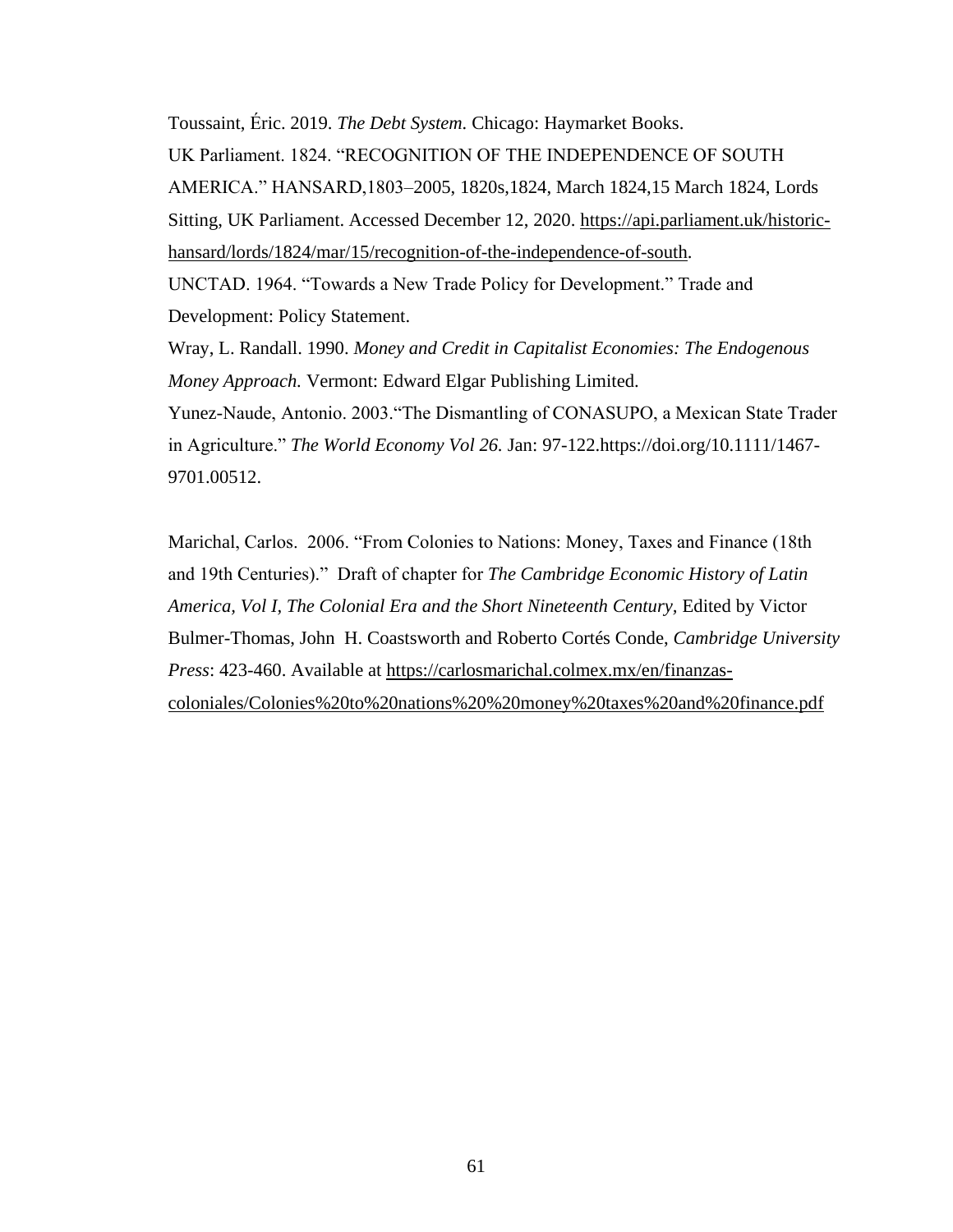Toussaint, Éric. 2019. *The Debt System.* Chicago: Haymarket Books. UK Parliament. 1824. "RECOGNITION OF THE INDEPENDENCE OF SOUTH AMERICA." HANSARD,1803–2005, 1820s,1824, March 1824,15 March 1824, Lords Sitting, UK Parliament. Accessed December 12, 2020. [https://api.parliament.uk/historic](https://api.parliament.uk/historic-hansard/lords/1824/mar/15/recognition-of-the-independence-of-south)[hansard/lords/1824/mar/15/recognition-of-the-independence-of-south.](https://api.parliament.uk/historic-hansard/lords/1824/mar/15/recognition-of-the-independence-of-south) UNCTAD. 1964. "Towards a New Trade Policy for Development." Trade and Development: Policy Statement. Wray, L. Randall. 1990. *Money and Credit in Capitalist Economies: The Endogenous Money Approach.* Vermont: Edward Elgar Publishing Limited. Yunez-Naude, Antonio. 2003."The Dismantling of CONASUPO, a Mexican State Trader in Agriculture." *The World Economy Vol 26.* Jan: 97-122[.https://doi.org/10.1111/1467-](https://doi.org/10.1111/1467-9701.00512)

[9701.00512.](https://doi.org/10.1111/1467-9701.00512)

Marichal, Carlos. 2006. "From Colonies to Nations: Money, Taxes and Finance (18th and 19th Centuries)." Draft of chapter for *The Cambridge Economic History of Latin America, Vol I, The Colonial Era and the Short Nineteenth Century,* Edited by Victor Bulmer-Thomas, John H. Coastsworth and Roberto Cortés Conde, *Cambridge University Press*: 423-460. Available at [https://carlosmarichal.colmex.mx/en/finanzas](https://carlosmarichal.colmex.mx/en/finanzas-coloniales/Colonies%20to%20nations%20%20money%20taxes%20and%20finance.pdf)[coloniales/Colonies%20to%20nations%20%20money%20taxes%20and%20finance.pdf](https://carlosmarichal.colmex.mx/en/finanzas-coloniales/Colonies%20to%20nations%20%20money%20taxes%20and%20finance.pdf)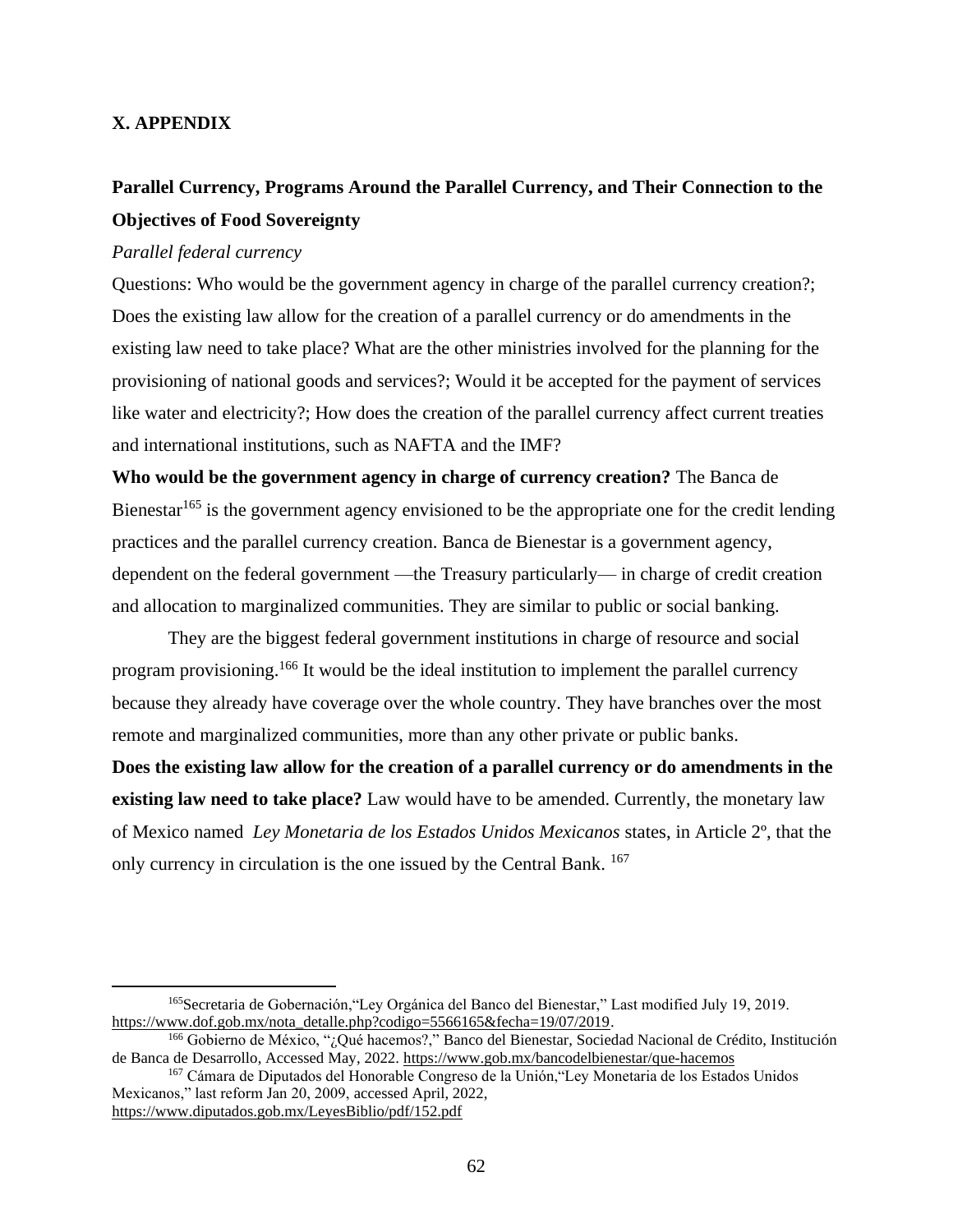# **X. APPENDIX**

# **Parallel Currency, Programs Around the Parallel Currency, and Their Connection to the Objectives of Food Sovereignty**

# *Parallel federal currency*

Questions: Who would be the government agency in charge of the parallel currency creation?; Does the existing law allow for the creation of a parallel currency or do amendments in the existing law need to take place? What are the other ministries involved for the planning for the provisioning of national goods and services?; Would it be accepted for the payment of services like water and electricity?; How does the creation of the parallel currency affect current treaties and international institutions, such as NAFTA and the IMF?

**Who would be the government agency in charge of currency creation?** The Banca de Bienestar<sup>165</sup> is the government agency envisioned to be the appropriate one for the credit lending practices and the parallel currency creation. Banca de Bienestar is a government agency, dependent on the federal government —the Treasury particularly— in charge of credit creation and allocation to marginalized communities. They are similar to public or social banking.

They are the biggest federal government institutions in charge of resource and social program provisioning.<sup>166</sup> It would be the ideal institution to implement the parallel currency because they already have coverage over the whole country. They have branches over the most remote and marginalized communities, more than any other private or public banks.

**Does the existing law allow for the creation of a parallel currency or do amendments in the existing law need to take place?** Law would have to be amended. Currently, the monetary law of Mexico named *Ley Monetaria de los Estados Unidos Mexicanos* states, in Article 2º, that the only currency in circulation is the one issued by the Central Bank. <sup>167</sup>

<sup>165</sup>Secretaria de Gobernación,"Ley Orgánica del Banco del Bienestar," Last modified July 19, 2019[.](https://www.dof.gob.mx/nota_detalle.php?codigo=5566165&fecha=19/07/2019) [https://www.dof.gob.mx/nota\\_detalle.php?codigo=5566165&fecha=19/07/2019.](https://www.dof.gob.mx/nota_detalle.php?codigo=5566165&fecha=19/07/2019)

<sup>166</sup> Gobierno de México, "¿Qué hacemos?,["](https://www.gob.mx/bancodelbienestar) [Banco del Bienestar, Sociedad Nacional de Crédito, Institución](https://www.gob.mx/bancodelbienestar)  [de Banca de Desarrollo,](https://www.gob.mx/bancodelbienestar) Accessed May, 202[2.](https://www.gob.mx/bancodelbienestar/que-hacemos) <https://www.gob.mx/bancodelbienestar/que-hacemos>

<sup>167</sup> Cámara de Diputados del Honorable Congreso de la Unión,"Ley Monetaria de los Estados Unidos Mexicanos," last reform Jan 20, 2009, accessed April, 2022[,](https://www.diputados.gob.mx/LeyesBiblio/pdf/152.pdf) <https://www.diputados.gob.mx/LeyesBiblio/pdf/152.pdf>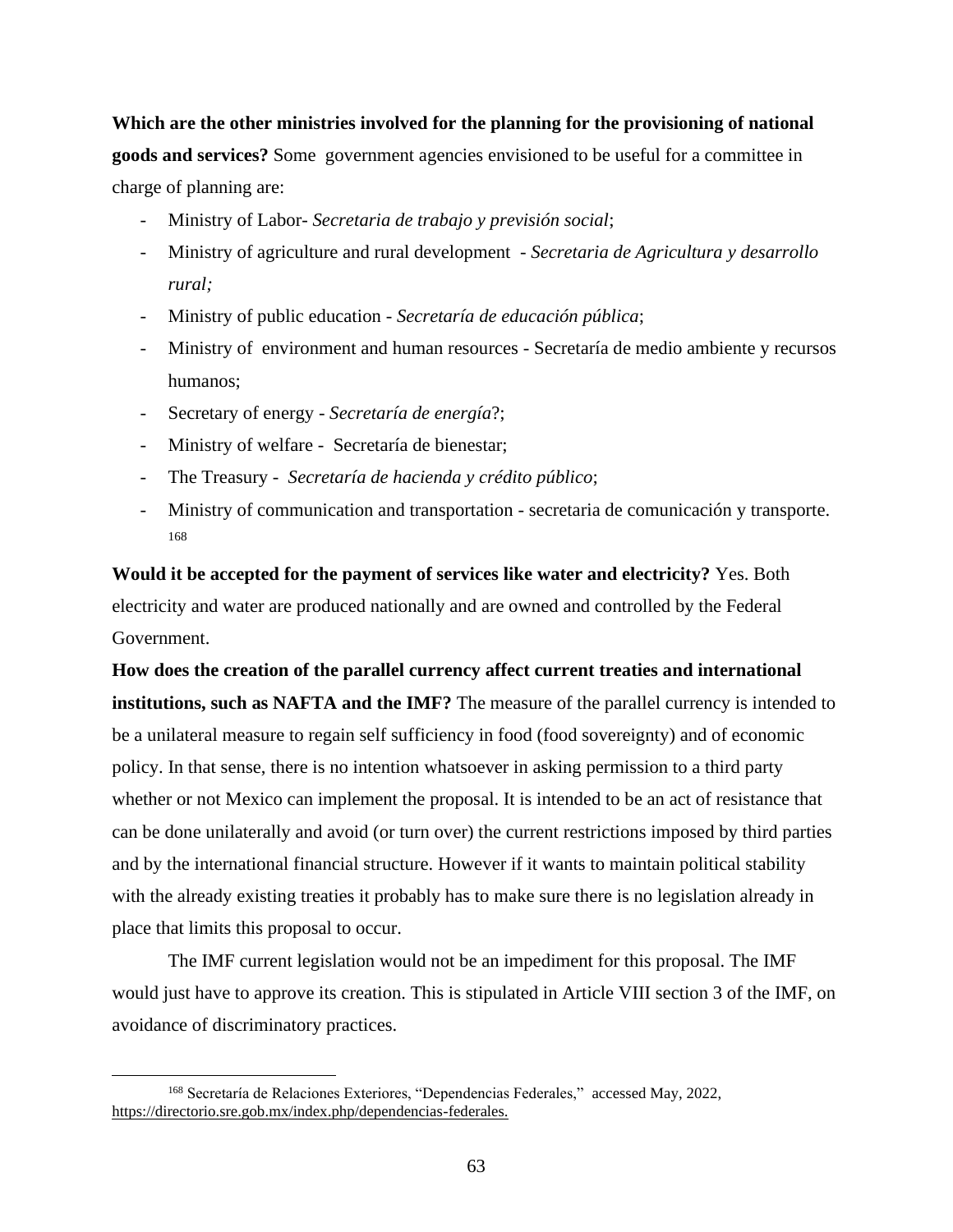**Which are the other ministries involved for the planning for the provisioning of national goods and services?** Some government agencies envisioned to be useful for a committee in charge of planning are:

- Ministry of Labor- *Secretaria de trabajo y previsión social*;
- Ministry of agriculture and rural development *Secretaria de Agricultura y desarrollo rural;*
- Ministry of public education *Secretaría de educación pública*;
- Ministry of environment and human resources Secretaría de medio ambiente y recursos humanos;
- Secretary of energy *Secretaría de energía*?;
- Ministry of welfare Secretaría de bienestar;
- The Treasury *Secretaría de hacienda y crédito público*;
- Ministry of communication and transportation secretaria de comunicación y transporte. 168

**Would it be accepted for the payment of services like water and electricity?** Yes. Both electricity and water are produced nationally and are owned and controlled by the Federal Government.

**How does the creation of the parallel currency affect current treaties and international institutions, such as NAFTA and the IMF?** The measure of the parallel currency is intended to be a unilateral measure to regain self sufficiency in food (food sovereignty) and of economic policy. In that sense, there is no intention whatsoever in asking permission to a third party whether or not Mexico can implement the proposal. It is intended to be an act of resistance that can be done unilaterally and avoid (or turn over) the current restrictions imposed by third parties and by the international financial structure. However if it wants to maintain political stability with the already existing treaties it probably has to make sure there is no legislation already in place that limits this proposal to occur.

The IMF current legislation would not be an impediment for this proposal. The IMF would just have to approve its creation. This is stipulated in Article VIII section 3 of the IMF, on avoidance of discriminatory practices.

<sup>168</sup> Secretaría de Relaciones Exteriores, "Dependencias Federales," accessed May, 2022, [https://directorio.sre.gob.mx/index.php/dependencias-federales.](https://directorio.sre.gob.mx/index.php/dependencias-federales)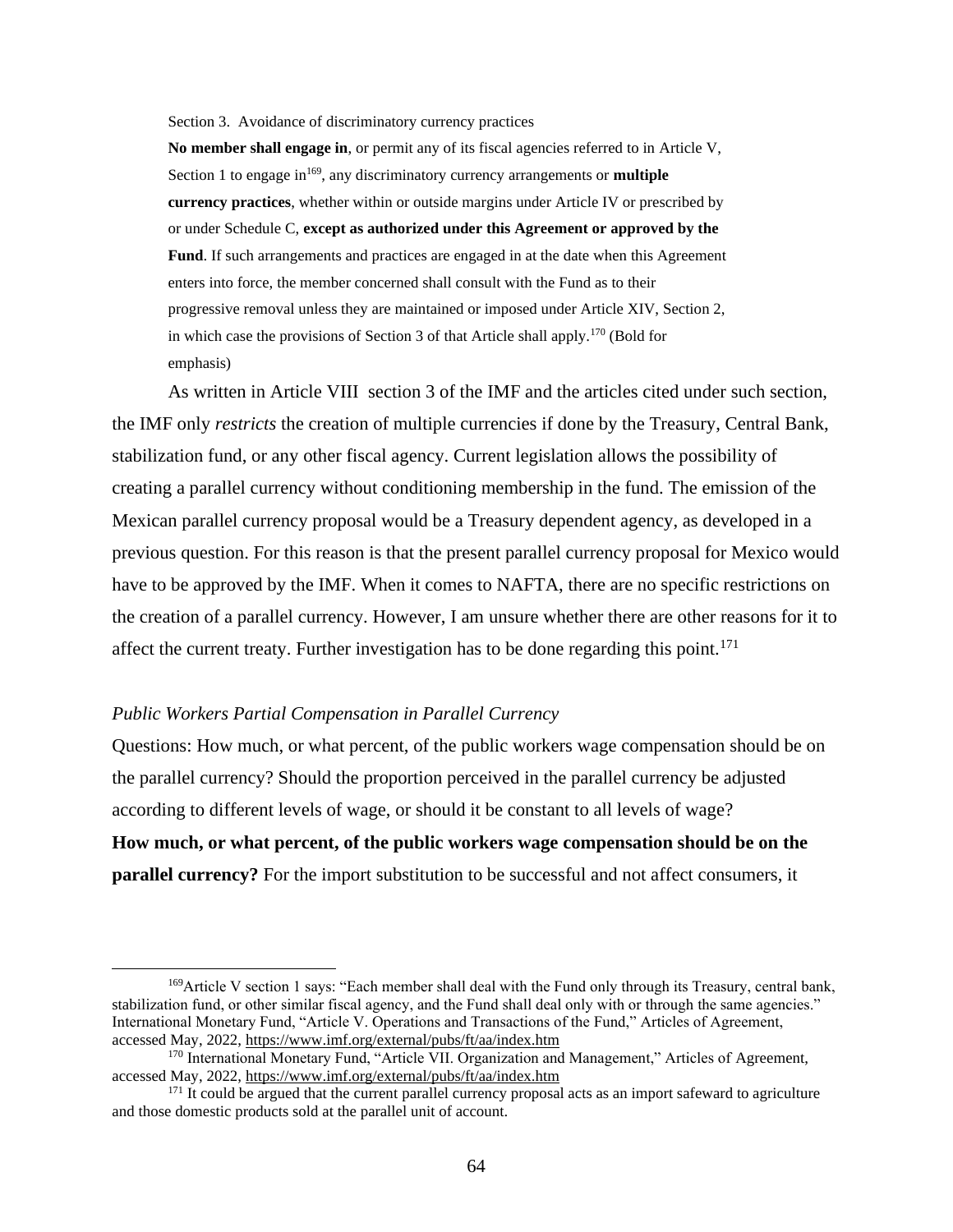Section 3. Avoidance of discriminatory currency practices

**No member shall engage in**, or permit any of its fiscal agencies referred to in Article V, Section 1 to engage in<sup>169</sup>, any discriminatory currency arrangements or **multiple currency practices**, whether within or outside margins under Article IV or prescribed by or under Schedule C, **except as authorized under this Agreement or approved by the Fund**. If such arrangements and practices are engaged in at the date when this Agreement enters into force, the member concerned shall consult with the Fund as to their progressive removal unless they are maintained or imposed under Article XIV, Section 2, in which case the provisions of Section 3 of that Article shall apply.<sup>170</sup> (Bold for emphasis)

As written in Article VIII section 3 of the IMF and the articles cited under such section, the IMF only *restricts* the creation of multiple currencies if done by the Treasury, Central Bank, stabilization fund, or any other fiscal agency. Current legislation allows the possibility of creating a parallel currency without conditioning membership in the fund. The emission of the Mexican parallel currency proposal would be a Treasury dependent agency, as developed in a previous question. For this reason is that the present parallel currency proposal for Mexico would have to be approved by the IMF. When it comes to NAFTA, there are no specific restrictions on the creation of a parallel currency. However, I am unsure whether there are other reasons for it to affect the current treaty. Further investigation has to be done regarding this point.<sup>171</sup>

#### *Public Workers Partial Compensation in Parallel Currency*

Questions: How much, or what percent, of the public workers wage compensation should be on the parallel currency? Should the proportion perceived in the parallel currency be adjusted according to different levels of wage, or should it be constant to all levels of wage? **How much, or what percent, of the public workers wage compensation should be on the** 

**parallel currency?** For the import substitution to be successful and not affect consumers, it

<sup>169</sup>Article V section 1 says: "Each member shall deal with the Fund only through its Treasury, central bank, stabilization fund, or other similar fiscal agency, and the Fund shall deal only with or through the same agencies." International Monetary Fund, "Article V. Operations and Transactions of the Fund," Articles of Agreement, accessed May, 2022[,](https://www.imf.org/external/pubs/ft/aa/index.htm) <https://www.imf.org/external/pubs/ft/aa/index.htm>

<sup>&</sup>lt;sup>170</sup> International Monetary Fund, "Article VII. Organization and Management," Articles of Agreement, accessed May, 2022[,](https://www.imf.org/external/pubs/ft/aa/index.htm) <https://www.imf.org/external/pubs/ft/aa/index.htm>

<sup>&</sup>lt;sup>171</sup> It could be argued that the current parallel currency proposal acts as an import safeward to agriculture and those domestic products sold at the parallel unit of account.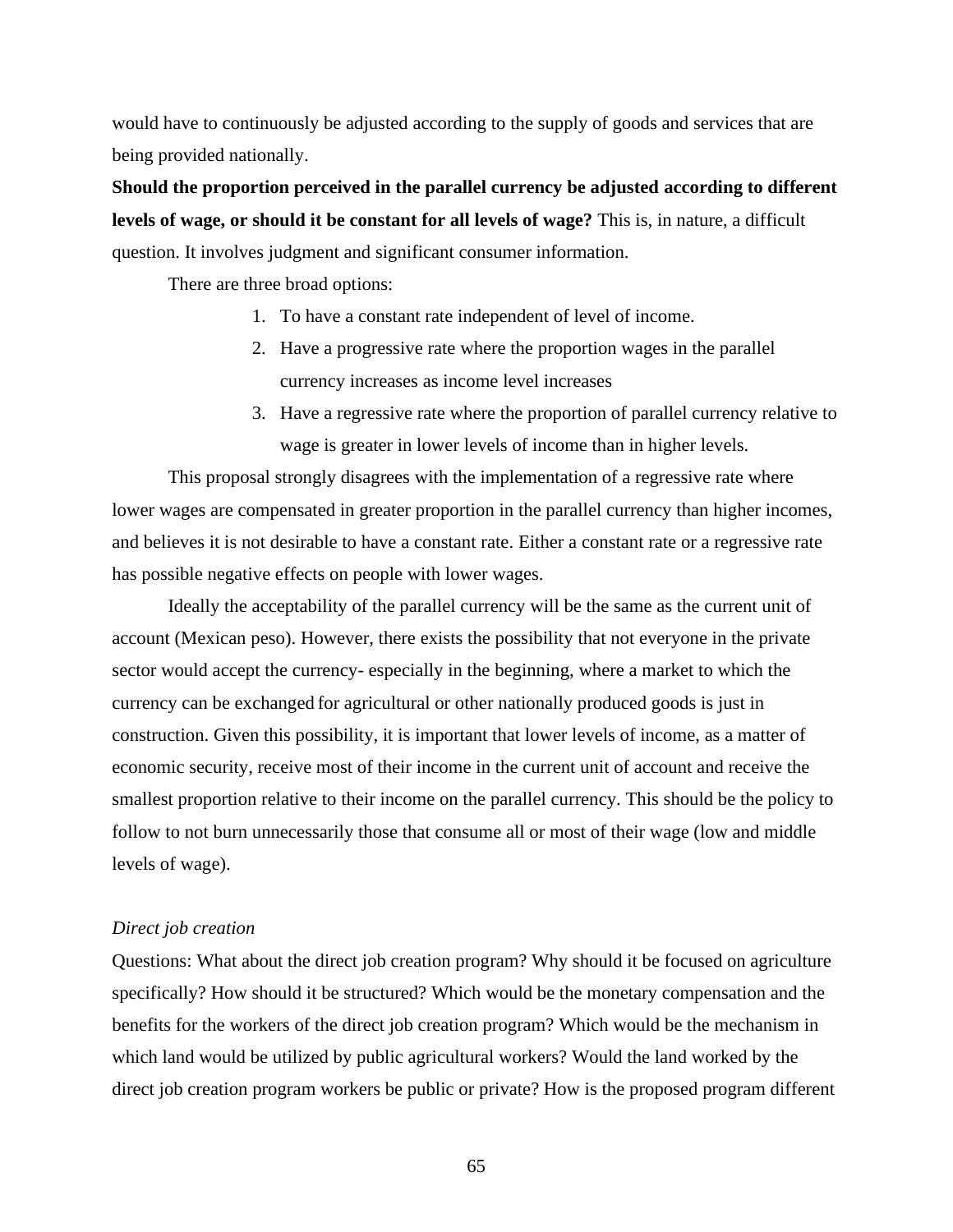would have to continuously be adjusted according to the supply of goods and services that are being provided nationally.

**Should the proportion perceived in the parallel currency be adjusted according to different levels of wage, or should it be constant for all levels of wage?** This is, in nature, a difficult question. It involves judgment and significant consumer information.

There are three broad options:

- 1. To have a constant rate independent of level of income.
- 2. Have a progressive rate where the proportion wages in the parallel currency increases as income level increases
- 3. Have a regressive rate where the proportion of parallel currency relative to wage is greater in lower levels of income than in higher levels.

This proposal strongly disagrees with the implementation of a regressive rate where lower wages are compensated in greater proportion in the parallel currency than higher incomes, and believes it is not desirable to have a constant rate. Either a constant rate or a regressive rate has possible negative effects on people with lower wages.

Ideally the acceptability of the parallel currency will be the same as the current unit of account (Mexican peso). However, there exists the possibility that not everyone in the private sector would accept the currency- especially in the beginning, where a market to which the currency can be exchanged for agricultural or other nationally produced goods is just in construction. Given this possibility, it is important that lower levels of income, as a matter of economic security, receive most of their income in the current unit of account and receive the smallest proportion relative to their income on the parallel currency. This should be the policy to follow to not burn unnecessarily those that consume all or most of their wage (low and middle levels of wage).

#### *Direct job creation*

Questions: What about the direct job creation program? Why should it be focused on agriculture specifically? How should it be structured? Which would be the monetary compensation and the benefits for the workers of the direct job creation program? Which would be the mechanism in which land would be utilized by public agricultural workers? Would the land worked by the direct job creation program workers be public or private? How is the proposed program different

65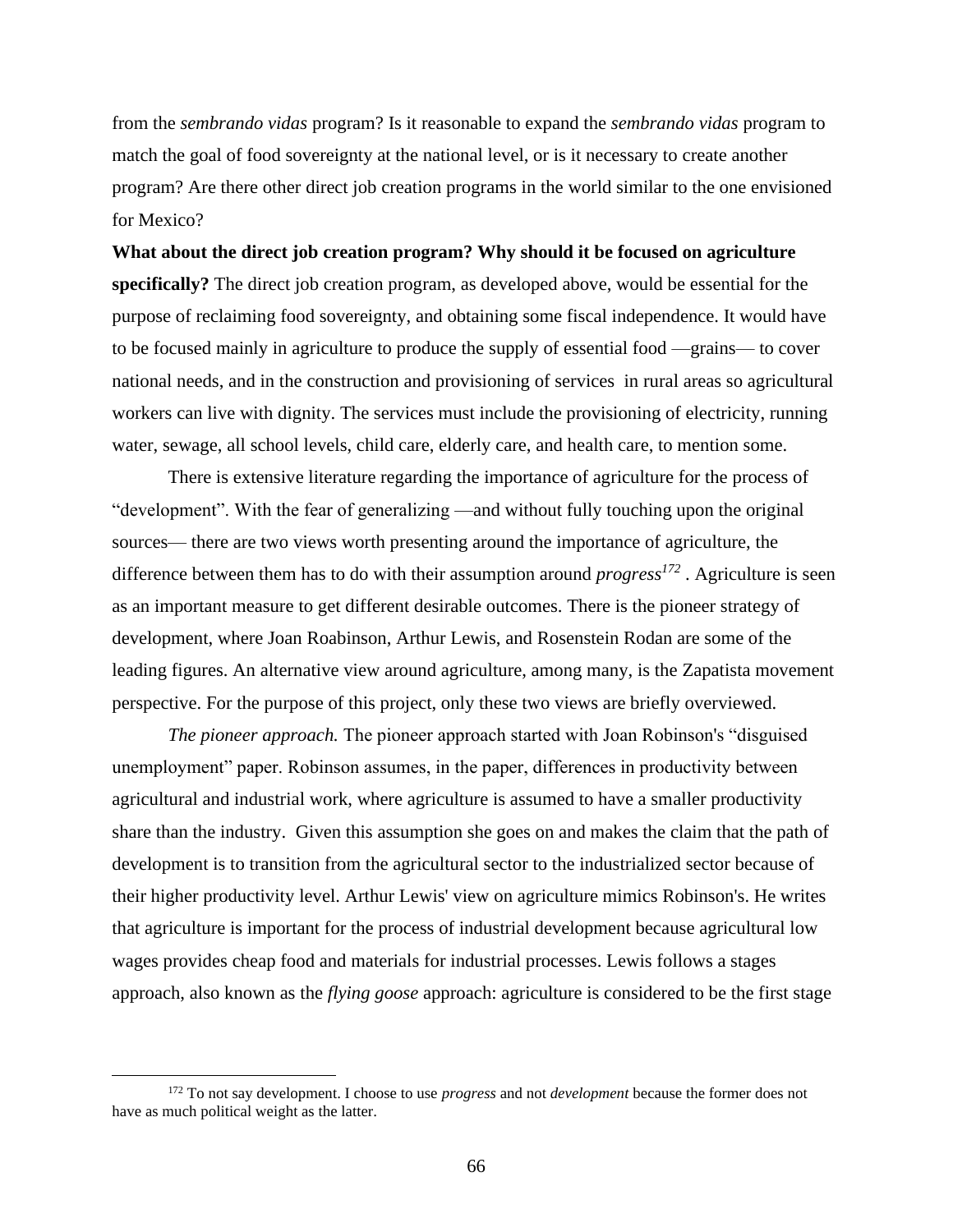from the *sembrando vidas* program? Is it reasonable to expand the *sembrando vidas* program to match the goal of food sovereignty at the national level, or is it necessary to create another program? Are there other direct job creation programs in the world similar to the one envisioned for Mexico?

**What about the direct job creation program? Why should it be focused on agriculture specifically?** The direct job creation program, as developed above, would be essential for the purpose of reclaiming food sovereignty, and obtaining some fiscal independence. It would have to be focused mainly in agriculture to produce the supply of essential food —grains— to cover national needs, and in the construction and provisioning of services in rural areas so agricultural workers can live with dignity. The services must include the provisioning of electricity, running water, sewage, all school levels, child care, elderly care, and health care, to mention some.

There is extensive literature regarding the importance of agriculture for the process of "development". With the fear of generalizing —and without fully touching upon the original sources— there are two views worth presenting around the importance of agriculture, the difference between them has to do with their assumption around *progress<sup>172</sup>* . Agriculture is seen as an important measure to get different desirable outcomes. There is the pioneer strategy of development, where Joan Roabinson, Arthur Lewis, and Rosenstein Rodan are some of the leading figures. An alternative view around agriculture, among many, is the Zapatista movement perspective. For the purpose of this project, only these two views are briefly overviewed.

*The pioneer approach.* The pioneer approach started with Joan Robinson's "disguised unemployment" paper. Robinson assumes, in the paper, differences in productivity between agricultural and industrial work, where agriculture is assumed to have a smaller productivity share than the industry. Given this assumption she goes on and makes the claim that the path of development is to transition from the agricultural sector to the industrialized sector because of their higher productivity level. Arthur Lewis' view on agriculture mimics Robinson's. He writes that agriculture is important for the process of industrial development because agricultural low wages provides cheap food and materials for industrial processes. Lewis follows a stages approach, also known as the *flying goose* approach: agriculture is considered to be the first stage

<sup>172</sup> To not say development. I choose to use *progress* and not *development* because the former does not have as much political weight as the latter.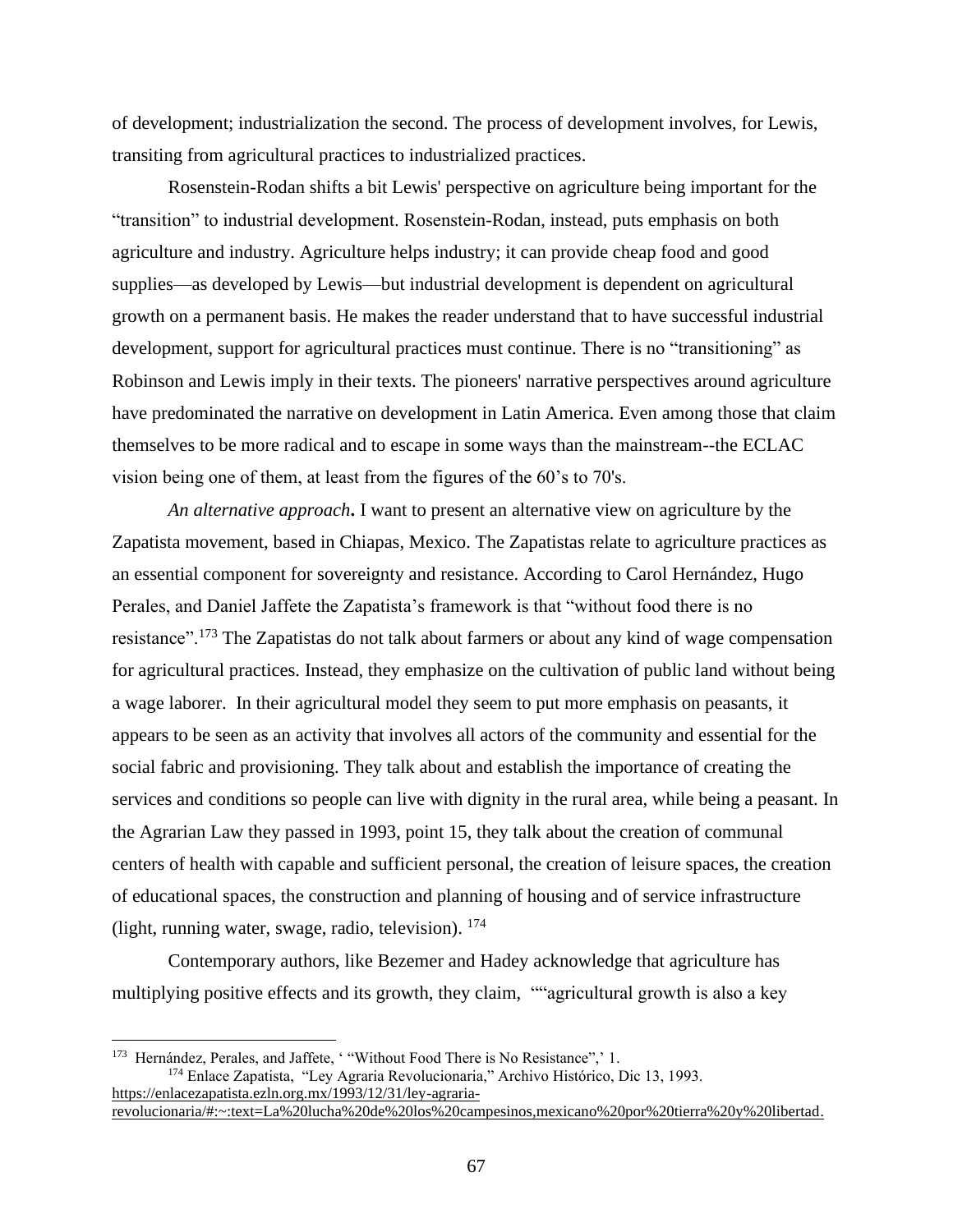of development; industrialization the second. The process of development involves, for Lewis, transiting from agricultural practices to industrialized practices.

Rosenstein-Rodan shifts a bit Lewis' perspective on agriculture being important for the "transition" to industrial development. Rosenstein-Rodan, instead, puts emphasis on both agriculture and industry. Agriculture helps industry; it can provide cheap food and good supplies—as developed by Lewis—but industrial development is dependent on agricultural growth on a permanent basis. He makes the reader understand that to have successful industrial development, support for agricultural practices must continue. There is no "transitioning" as Robinson and Lewis imply in their texts. The pioneers' narrative perspectives around agriculture have predominated the narrative on development in Latin America. Even among those that claim themselves to be more radical and to escape in some ways than the mainstream--the ECLAC vision being one of them, at least from the figures of the 60's to 70's.

*An alternative approach***.** I want to present an alternative view on agriculture by the Zapatista movement, based in Chiapas, Mexico. The Zapatistas relate to agriculture practices as an essential component for sovereignty and resistance. According to Carol Hernández, Hugo Perales, and Daniel Jaffete the Zapatista's framework is that "without food there is no resistance".<sup>173</sup> The Zapatistas do not talk about farmers or about any kind of wage compensation for agricultural practices. Instead, they emphasize on the cultivation of public land without being a wage laborer. In their agricultural model they seem to put more emphasis on peasants, it appears to be seen as an activity that involves all actors of the community and essential for the social fabric and provisioning. They talk about and establish the importance of creating the services and conditions so people can live with dignity in the rural area, while being a peasant. In the Agrarian Law they passed in 1993, point 15, they talk about the creation of communal centers of health with capable and sufficient personal, the creation of leisure spaces, the creation of educational spaces, the construction and planning of housing and of service infrastructure (light, running water, swage, radio, television).  $^{174}$ 

Contemporary authors, like Bezemer and Hadey acknowledge that agriculture has multiplying positive effects and its growth, they claim, ""agricultural growth is also a key

<sup>&</sup>lt;sup>173</sup> Hernández, Perales, and Jaffete, ' "Without Food There is No Resistance",' 1. <sup>174</sup> Enlace Zapatista, "Ley Agraria Revolucionaria," Archivo Histórico, Dic 13, 1993[.](https://enlacezapatista.ezln.org.mx/1993/12/31/ley-agraria-revolucionaria/#:~:text=La%20lucha%20de%20los%20campesinos,mexicano%20por%20tierra%20y%20libertad) [https://enlacezapatista.ezln.org.mx/1993/12/31/ley-agraria](https://enlacezapatista.ezln.org.mx/1993/12/31/ley-agraria-revolucionaria/#:~:text=La%20lucha%20de%20los%20campesinos,mexicano%20por%20tierra%20y%20libertad)[revolucionaria/#:~:text=La%20lucha%20de%20los%20campesinos,mexicano%20por%20tierra%20y%20libertad.](https://enlacezapatista.ezln.org.mx/1993/12/31/ley-agraria-revolucionaria/#:~:text=La%20lucha%20de%20los%20campesinos,mexicano%20por%20tierra%20y%20libertad)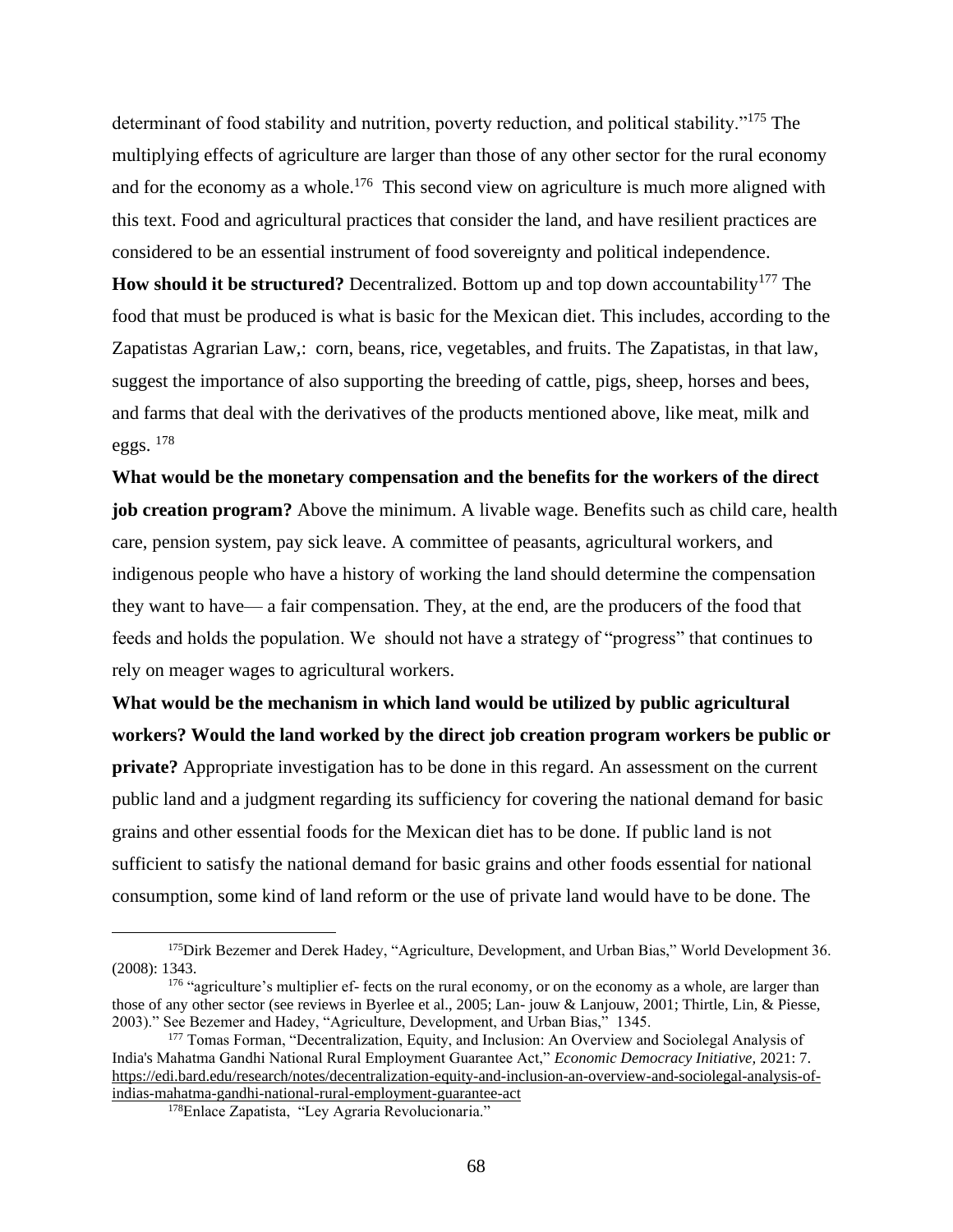determinant of food stability and nutrition, poverty reduction, and political stability."<sup>175</sup> The multiplying effects of agriculture are larger than those of any other sector for the rural economy and for the economy as a whole.<sup>176</sup> This second view on agriculture is much more aligned with this text. Food and agricultural practices that consider the land, and have resilient practices are considered to be an essential instrument of food sovereignty and political independence.

**How should it be structured?** Decentralized. Bottom up and top down accountability<sup>177</sup> The food that must be produced is what is basic for the Mexican diet. This includes, according to the Zapatistas Agrarian Law,: corn, beans, rice, vegetables, and fruits. The Zapatistas, in that law, suggest the importance of also supporting the breeding of cattle, pigs, sheep, horses and bees, and farms that deal with the derivatives of the products mentioned above, like meat, milk and eggs. <sup>178</sup>

**What would be the monetary compensation and the benefits for the workers of the direct job creation program?** Above the minimum. A livable wage. Benefits such as child care, health care, pension system, pay sick leave. A committee of peasants, agricultural workers, and indigenous people who have a history of working the land should determine the compensation they want to have— a fair compensation. They, at the end, are the producers of the food that feeds and holds the population. We should not have a strategy of "progress" that continues to rely on meager wages to agricultural workers.

**What would be the mechanism in which land would be utilized by public agricultural workers? Would the land worked by the direct job creation program workers be public or private?** Appropriate investigation has to be done in this regard. An assessment on the current public land and a judgment regarding its sufficiency for covering the national demand for basic grains and other essential foods for the Mexican diet has to be done. If public land is not sufficient to satisfy the national demand for basic grains and other foods essential for national consumption, some kind of land reform or the use of private land would have to be done. The

<sup>&</sup>lt;sup>175</sup>Dirk Bezemer and Derek Hadey, "Agriculture, Development, and Urban Bias," World Development 36. (2008): 1343.

<sup>&</sup>lt;sup>176</sup> "agriculture's multiplier ef- fects on the rural economy, or on the economy as a whole, are larger than those of any other sector (see reviews in Byerlee et al., 2005; Lan- jouw & Lanjouw, 2001; Thirtle, Lin, & Piesse, 2003)." See Bezemer and Hadey, "Agriculture, Development, and Urban Bias," 1345.

<sup>177</sup> Tomas Forman, "Decentralization, Equity, and Inclusion: An Overview and Sociolegal Analysis of India's Mahatma Gandhi National Rural Employment Guarantee Act," *Economic Democracy Initiative,* 2021: 7. [https://edi.bard.edu/research/notes/decentralization-equity-and-inclusion-an-overview-and-sociolegal-analysis-of](https://edi.bard.edu/research/notes/decentralization-equity-and-inclusion-an-overview-and-sociolegal-analysis-of-indias-mahatma-gandhi-national-rural-employment-guarantee-act)[indias-mahatma-gandhi-national-rural-employment-guarantee-act](https://edi.bard.edu/research/notes/decentralization-equity-and-inclusion-an-overview-and-sociolegal-analysis-of-indias-mahatma-gandhi-national-rural-employment-guarantee-act)

<sup>178</sup>Enlace Zapatista, "Ley Agraria Revolucionaria."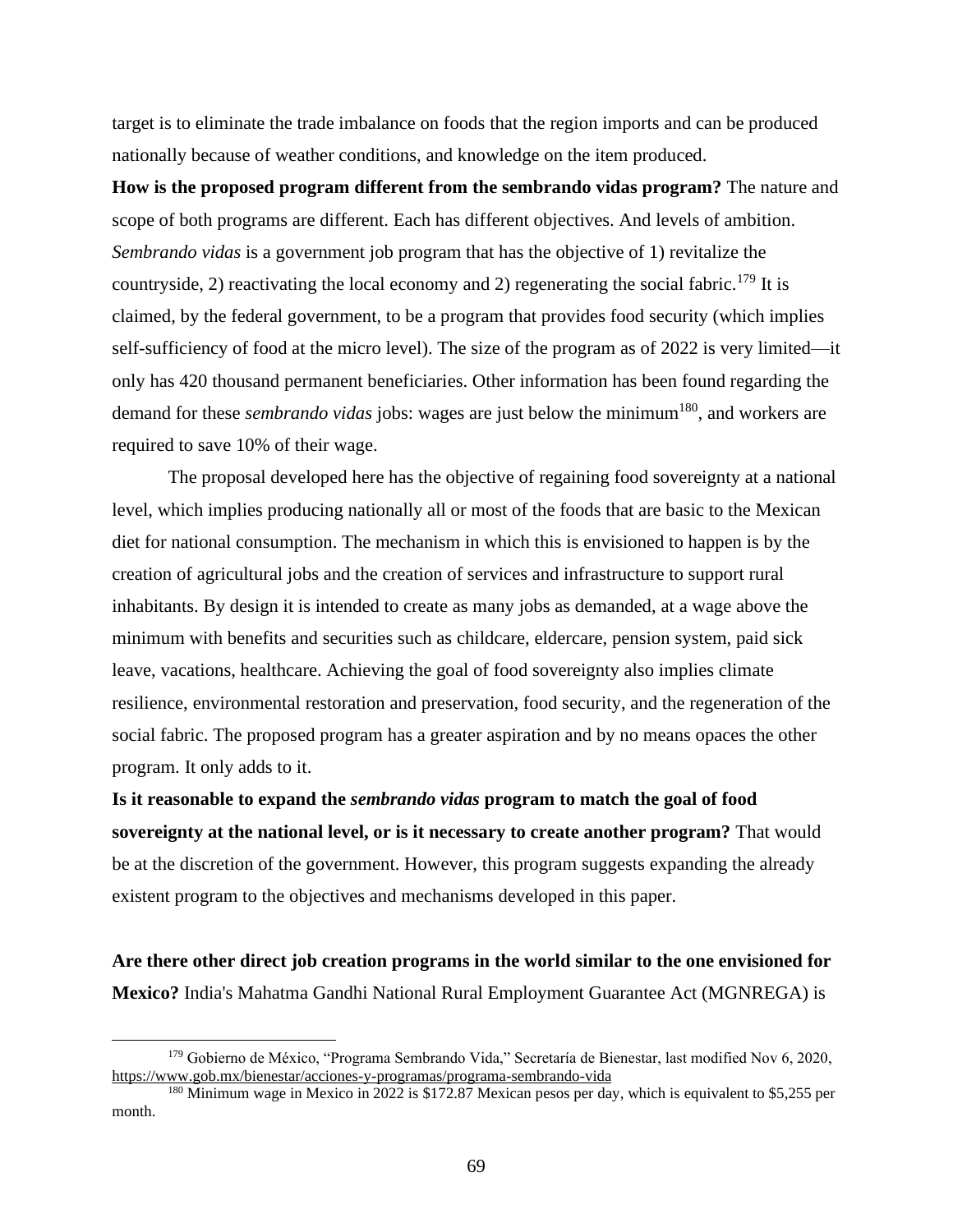target is to eliminate the trade imbalance on foods that the region imports and can be produced nationally because of weather conditions, and knowledge on the item produced.

**How is the proposed program different from the sembrando vidas program?** The nature and scope of both programs are different. Each has different objectives. And levels of ambition. *Sembrando vidas* is a government job program that has the objective of 1) revitalize the countryside, 2) reactivating the local economy and 2) regenerating the social fabric.<sup>179</sup> It is claimed, by the federal government, to be a program that provides food security (which implies self-sufficiency of food at the micro level). The size of the program as of 2022 is very limited—it only has 420 thousand permanent beneficiaries. Other information has been found regarding the demand for these *sembrando vidas* jobs: wages are just below the minimum<sup>180</sup>, and workers are required to save 10% of their wage.

The proposal developed here has the objective of regaining food sovereignty at a national level, which implies producing nationally all or most of the foods that are basic to the Mexican diet for national consumption. The mechanism in which this is envisioned to happen is by the creation of agricultural jobs and the creation of services and infrastructure to support rural inhabitants. By design it is intended to create as many jobs as demanded, at a wage above the minimum with benefits and securities such as childcare, eldercare, pension system, paid sick leave, vacations, healthcare. Achieving the goal of food sovereignty also implies climate resilience, environmental restoration and preservation, food security, and the regeneration of the social fabric. The proposed program has a greater aspiration and by no means opaces the other program. It only adds to it.

**Is it reasonable to expand the** *sembrando vidas* **program to match the goal of food sovereignty at the national level, or is it necessary to create another program?** That would be at the discretion of the government. However, this program suggests expanding the already existent program to the objectives and mechanisms developed in this paper.

**Are there other direct job creation programs in the world similar to the one envisioned for Mexico?** India's Mahatma Gandhi National Rural Employment Guarantee Act (MGNREGA) is

<sup>179</sup> Gobierno de México, "Programa Sembrando Vida," Secretaría de Bienestar, last modified Nov 6, 2020, https://www.gob.mx/bienestar/acciones-y-programas/programa-sembrando-vida

<sup>&</sup>lt;sup>180</sup> Minimum wage in Mexico in 2022 is \$172.87 Mexican pesos per day, which is equivalent to \$5,255 per month.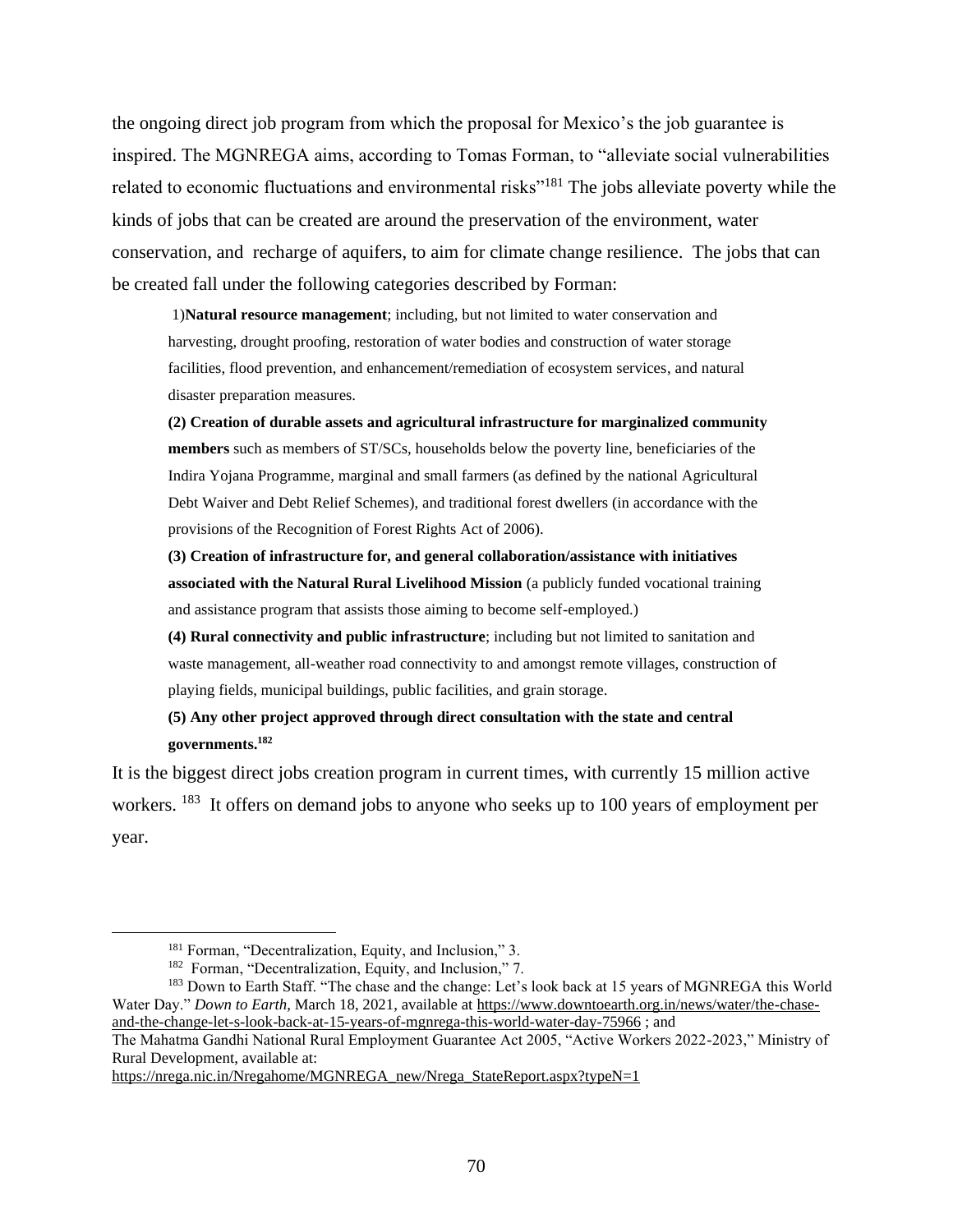the ongoing direct job program from which the proposal for Mexico's the job guarantee is inspired. The MGNREGA aims, according to Tomas Forman, to "alleviate social vulnerabilities related to economic fluctuations and environmental risks<sup>"181</sup> The jobs alleviate poverty while the kinds of jobs that can be created are around the preservation of the environment, water conservation, and recharge of aquifers, to aim for climate change resilience. The jobs that can be created fall under the following categories described by Forman:

1)**Natural resource management**; including, but not limited to water conservation and harvesting, drought proofing, restoration of water bodies and construction of water storage facilities, flood prevention, and enhancement/remediation of ecosystem services, and natural disaster preparation measures.

**(2) Creation of durable assets and agricultural infrastructure for marginalized community members** such as members of ST/SCs, households below the poverty line, beneficiaries of the Indira Yojana Programme, marginal and small farmers (as defined by the national Agricultural Debt Waiver and Debt Relief Schemes), and traditional forest dwellers (in accordance with the provisions of the Recognition of Forest Rights Act of 2006).

**(3) Creation of infrastructure for, and general collaboration/assistance with initiatives associated with the Natural Rural Livelihood Mission** (a publicly funded vocational training and assistance program that assists those aiming to become self-employed.)

**(4) Rural connectivity and public infrastructure**; including but not limited to sanitation and waste management, all-weather road connectivity to and amongst remote villages, construction of playing fields, municipal buildings, public facilities, and grain storage.

**(5) Any other project approved through direct consultation with the state and central governments.<sup>182</sup>**

It is the biggest direct jobs creation program in current times, with currently 15 million active workers. <sup>183</sup> It offers on demand jobs to anyone who seeks up to 100 years of employment per year.

[https://nrega.nic.in/Nregahome/MGNREGA\\_new/Nrega\\_StateReport.aspx?typeN=1](https://nrega.nic.in/Nregahome/MGNREGA_new/Nrega_StateReport.aspx?typeN=1)

<sup>&</sup>lt;sup>181</sup> Forman, "Decentralization, Equity, and Inclusion," 3.

<sup>&</sup>lt;sup>182</sup> Forman, "Decentralization, Equity, and Inclusion," 7.

<sup>&</sup>lt;sup>183</sup> Down to Earth Staff. "The chase and the change: Let's look back at 15 years of MGNREGA this World Water Day." *Down to Earth,* March 18, 2021, available at [https://www.downtoearth.org.in/news/water/the-chase](https://www.downtoearth.org.in/news/water/the-chase-and-the-change-let-s-look-back-at-15-years-of-mgnrega-this-world-water-day-75966)[and-the-change-let-s-look-back-at-15-years-of-mgnrega-this-world-water-day-75966](https://www.downtoearth.org.in/news/water/the-chase-and-the-change-let-s-look-back-at-15-years-of-mgnrega-this-world-water-day-75966) ; and

The Mahatma Gandhi National Rural Employment Guarantee Act 2005, "Active Workers 2022-2023," Ministry of Rural Development, available at[:](https://nrega.nic.in/Nregahome/MGNREGA_new/Nrega_StateReport.aspx?typeN=1)